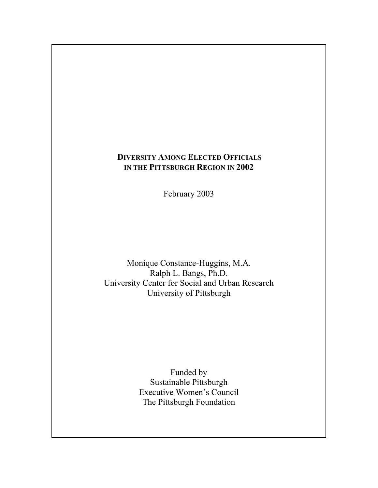# **DIVERSITY AMONG ELECTED OFFICIALS IN THE PITTSBURGH REGION IN 2002**

February 2003

Monique Constance-Huggins, M.A. Ralph L. Bangs, Ph.D. University Center for Social and Urban Research University of Pittsburgh

> Funded by Sustainable Pittsburgh Executive Women's Council The Pittsburgh Foundation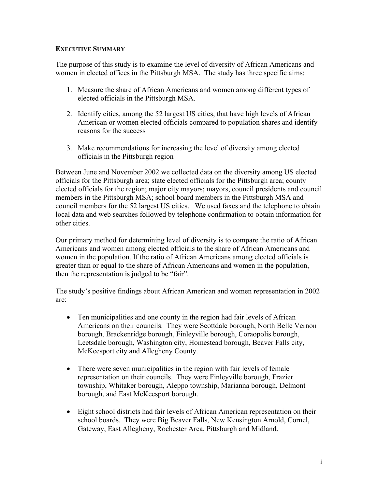## **EXECUTIVE SUMMARY**

The purpose of this study is to examine the level of diversity of African Americans and women in elected offices in the Pittsburgh MSA. The study has three specific aims:

- 1. Measure the share of African Americans and women among different types of elected officials in the Pittsburgh MSA.
- 2. Identify cities, among the 52 largest US cities, that have high levels of African American or women elected officials compared to population shares and identify reasons for the success
- 3. Make recommendations for increasing the level of diversity among elected officials in the Pittsburgh region

Between June and November 2002 we collected data on the diversity among US elected officials for the Pittsburgh area; state elected officials for the Pittsburgh area; county elected officials for the region; major city mayors; mayors, council presidents and council members in the Pittsburgh MSA; school board members in the Pittsburgh MSA and council members for the 52 largest US cities. We used faxes and the telephone to obtain local data and web searches followed by telephone confirmation to obtain information for other cities.

Our primary method for determining level of diversity is to compare the ratio of African Americans and women among elected officials to the share of African Americans and women in the population. If the ratio of African Americans among elected officials is greater than or equal to the share of African Americans and women in the population, then the representation is judged to be "fair".

The study's positive findings about African American and women representation in 2002 are:

- Ten municipalities and one county in the region had fair levels of African Americans on their councils. They were Scottdale borough, North Belle Vernon borough, Brackenridge borough, Finleyville borough, Coraopolis borough, Leetsdale borough, Washington city, Homestead borough, Beaver Falls city, McKeesport city and Allegheny County.
- There were seven municipalities in the region with fair levels of female representation on their councils. They were Finleyville borough, Frazier township, Whitaker borough, Aleppo township, Marianna borough, Delmont borough, and East McKeesport borough.
- Eight school districts had fair levels of African American representation on their school boards. They were Big Beaver Falls, New Kensington Arnold, Cornel, Gateway, East Allegheny, Rochester Area, Pittsburgh and Midland.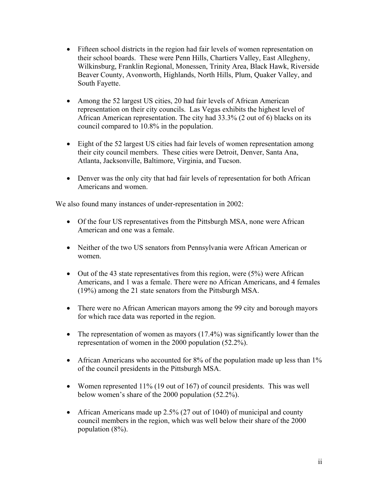- Fifteen school districts in the region had fair levels of women representation on their school boards. These were Penn Hills, Chartiers Valley, East Allegheny, Wilkinsburg, Franklin Regional, Monessen, Trinity Area, Black Hawk, Riverside Beaver County, Avonworth, Highlands, North Hills, Plum, Quaker Valley, and South Fayette.
- Among the 52 largest US cities, 20 had fair levels of African American representation on their city councils. Las Vegas exhibits the highest level of African American representation. The city had 33.3% (2 out of 6) blacks on its council compared to 10.8% in the population.
- Eight of the 52 largest US cities had fair levels of women representation among their city council members. These cities were Detroit, Denver, Santa Ana, Atlanta, Jacksonville, Baltimore, Virginia, and Tucson.
- Denver was the only city that had fair levels of representation for both African Americans and women.

We also found many instances of under-representation in 2002:

- Of the four US representatives from the Pittsburgh MSA, none were African American and one was a female.
- Neither of the two US senators from Pennsylvania were African American or women.
- Out of the 43 state representatives from this region, were (5%) were African Americans, and 1 was a female. There were no African Americans, and 4 females (19%) among the 21 state senators from the Pittsburgh MSA.
- There were no African American mayors among the 99 city and borough mayors for which race data was reported in the region.
- The representation of women as mayors (17.4%) was significantly lower than the representation of women in the 2000 population (52.2%).
- African Americans who accounted for 8% of the population made up less than 1% of the council presidents in the Pittsburgh MSA.
- Women represented 11% (19 out of 167) of council presidents. This was well below women's share of the 2000 population (52.2%).
- African Americans made up 2.5% (27 out of 1040) of municipal and county council members in the region, which was well below their share of the 2000 population (8%).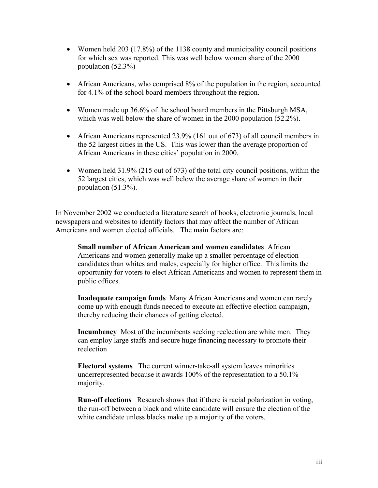- Women held 203 (17.8%) of the 1138 county and municipality council positions for which sex was reported. This was well below women share of the 2000 population (52.3%)
- African Americans, who comprised 8% of the population in the region, accounted for 4.1% of the school board members throughout the region.
- Women made up 36.6% of the school board members in the Pittsburgh MSA, which was well below the share of women in the 2000 population (52.2%).
- African Americans represented 23.9% (161 out of 673) of all council members in the 52 largest cities in the US. This was lower than the average proportion of African Americans in these cities' population in 2000.
- Women held 31.9% (215 out of 673) of the total city council positions, within the 52 largest cities, which was well below the average share of women in their population (51.3%).

In November 2002 we conducted a literature search of books, electronic journals, local newspapers and websites to identify factors that may affect the number of African Americans and women elected officials. The main factors are:

**Small number of African American and women candidates** African Americans and women generally make up a smaller percentage of election candidates than whites and males, especially for higher office. This limits the opportunity for voters to elect African Americans and women to represent them in public offices.

**Inadequate campaign funds** Many African Americans and women can rarely come up with enough funds needed to execute an effective election campaign, thereby reducing their chances of getting elected.

**Incumbency** Most of the incumbents seeking reelection are white men. They can employ large staffs and secure huge financing necessary to promote their reelection

**Electoral systems** The current winner-take-all system leaves minorities underrepresented because it awards 100% of the representation to a 50.1% majority.

**Run-off elections** Research shows that if there is racial polarization in voting, the run-off between a black and white candidate will ensure the election of the white candidate unless blacks make up a majority of the voters.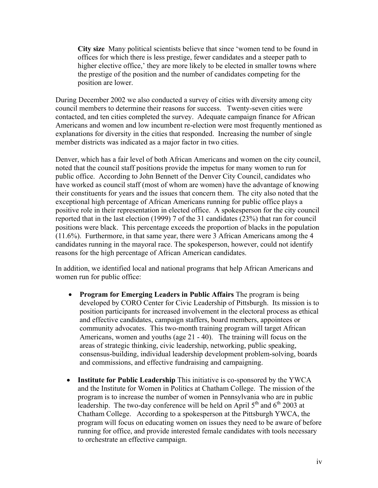**City size** Many political scientists believe that since 'women tend to be found in offices for which there is less prestige, fewer candidates and a steeper path to higher elective office,' they are more likely to be elected in smaller towns where the prestige of the position and the number of candidates competing for the position are lower.

During December 2002 we also conducted a survey of cities with diversity among city council members to determine their reasons for success. Twenty-seven cities were contacted, and ten cities completed the survey. Adequate campaign finance for African Americans and women and low incumbent re-election were most frequently mentioned as explanations for diversity in the cities that responded. Increasing the number of single member districts was indicated as a major factor in two cities.

Denver, which has a fair level of both African Americans and women on the city council, noted that the council staff positions provide the impetus for many women to run for public office. According to John Bennett of the Denver City Council, candidates who have worked as council staff (most of whom are women) have the advantage of knowing their constituents for years and the issues that concern them. The city also noted that the exceptional high percentage of African Americans running for public office plays a positive role in their representation in elected office. A spokesperson for the city council reported that in the last election (1999) 7 of the 31 candidates (23%) that ran for council positions were black. This percentage exceeds the proportion of blacks in the population (11.6%). Furthermore, in that same year, there were 3 African Americans among the 4 candidates running in the mayoral race. The spokesperson, however, could not identify reasons for the high percentage of African American candidates.

In addition, we identified local and national programs that help African Americans and women run for public office:

- **Program for Emerging Leaders in Public Affairs** The program is being developed by CORO Center for Civic Leadership of Pittsburgh. Its mission is to position participants for increased involvement in the electoral process as ethical and effective candidates, campaign staffers, board members, appointees or community advocates. This two-month training program will target African Americans, women and youths (age 21 - 40). The training will focus on the areas of strategic thinking, civic leadership, networking, public speaking, consensus-building, individual leadership development problem-solving, boards and commissions, and effective fundraising and campaigning.
- **Institute for Public Leadership** This initiative is co-sponsored by the YWCA and the Institute for Women in Politics at Chatham College. The mission of the program is to increase the number of women in Pennsylvania who are in public leadership. The two-day conference will be held on April  $5<sup>th</sup>$  and  $6<sup>th</sup>$  2003 at Chatham College. According to a spokesperson at the Pittsburgh YWCA, the program will focus on educating women on issues they need to be aware of before running for office, and provide interested female candidates with tools necessary to orchestrate an effective campaign.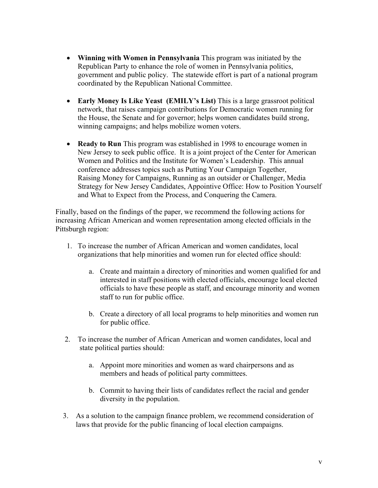- **Winning with Women in Pennsylvania** This program was initiated by the Republican Party to enhance the role of women in Pennsylvania politics, government and public policy. The statewide effort is part of a national program coordinated by the Republican National Committee.
- **Early Money Is Like Yeast (EMILY's List)** This is a large grassroot political network, that raises campaign contributions for Democratic women running for the House, the Senate and for governor; helps women candidates build strong, winning campaigns; and helps mobilize women voters.
- **Ready to Run** This program was established in 1998 to encourage women in New Jersey to seek public office. It is a joint project of the Center for American Women and Politics and the Institute for Women's Leadership. This annual conference addresses topics such as Putting Your Campaign Together, Raising Money for Campaigns, Running as an outsider or Challenger, Media Strategy for New Jersey Candidates, Appointive Office: How to Position Yourself and What to Expect from the Process, and Conquering the Camera.

Finally, based on the findings of the paper, we recommend the following actions for increasing African American and women representation among elected officials in the Pittsburgh region:

- 1. To increase the number of African American and women candidates, local organizations that help minorities and women run for elected office should:
	- a. Create and maintain a directory of minorities and women qualified for and interested in staff positions with elected officials, encourage local elected officials to have these people as staff, and encourage minority and women staff to run for public office.
	- b. Create a directory of all local programs to help minorities and women run for public office.
- 2. To increase the number of African American and women candidates, local and state political parties should:
	- a. Appoint more minorities and women as ward chairpersons and as members and heads of political party committees.
	- b. Commit to having their lists of candidates reflect the racial and gender diversity in the population.
- 3. As a solution to the campaign finance problem, we recommend consideration of laws that provide for the public financing of local election campaigns.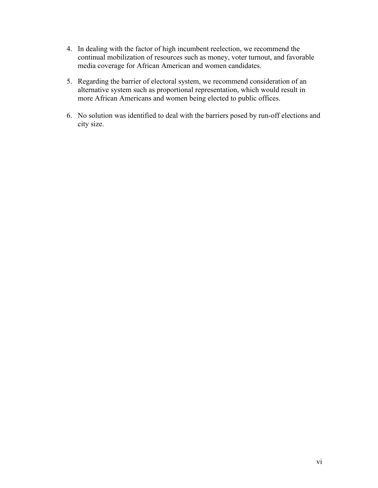- 4. In dealing with the factor of high incumbent reelection, we recommend the continual mobilization of resources such as money, voter turnout, and favorable media coverage for African American and women candidates.
- 5. Regarding the barrier of electoral system, we recommend consideration of an alternative system such as proportional representation, which would result in more African Americans and women being elected to public offices.
- 6. No solution was identified to deal with the barriers posed by run-off elections and city size.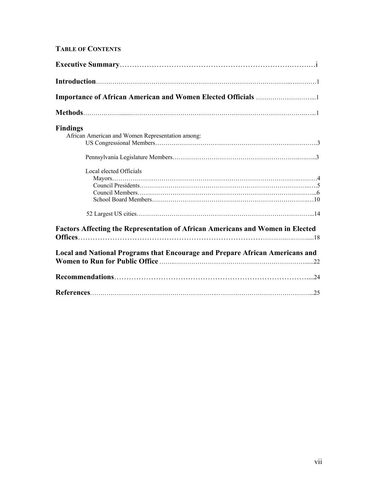# **TABLE OF CONTENTS**

| <b>Findings</b>                                                                       |  |
|---------------------------------------------------------------------------------------|--|
| African American and Women Representation among:                                      |  |
|                                                                                       |  |
| Local elected Officials                                                               |  |
|                                                                                       |  |
|                                                                                       |  |
|                                                                                       |  |
|                                                                                       |  |
| <b>Factors Affecting the Representation of African Americans and Women in Elected</b> |  |
|                                                                                       |  |
| Local and National Programs that Encourage and Prepare African Americans and          |  |
|                                                                                       |  |
|                                                                                       |  |
|                                                                                       |  |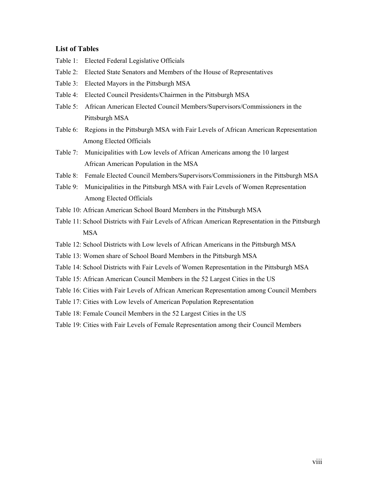### **List of Tables**

- Table 1:Elected Federal Legislative Officials
- Table 2: Elected State Senators and Members of the House of Representatives
- Table 3: Elected Mayors in the Pittsburgh MSA
- Table 4:Elected Council Presidents/Chairmen in the Pittsburgh MSA
- Table 5: African American Elected Council Members/Supervisors/Commissioners in the Pittsburgh MSA
- Table 6:Regions in the Pittsburgh MSA with Fair Levels of African American Representation Among Elected Officials
- Table 7: Municipalities with Low levels of African Americans among the 10 largest African American Population in the MSA
- Table 8: Female Elected Council Members/Supervisors/Commissioners in the Pittsburgh MSA
- Table 9: Municipalities in the Pittsburgh MSA with Fair Levels of Women Representation Among Elected Officials
- Table 10: African American School Board Members in the Pittsburgh MSA
- Table 11: School Districts with Fair Levels of African American Representation in the Pittsburgh MSA
- Table 12: School Districts with Low levels of African Americans in the Pittsburgh MSA
- Table 13: Women share of School Board Members in the Pittsburgh MSA
- Table 14: School Districts with Fair Levels of Women Representation in the Pittsburgh MSA
- Table 15: African American Council Members in the 52 Largest Cities in the US
- Table 16: Cities with Fair Levels of African American Representation among Council Members
- Table 17: Cities with Low levels of American Population Representation
- Table 18: Female Council Members in the 52 Largest Cities in the US
- Table 19: Cities with Fair Levels of Female Representation among their Council Members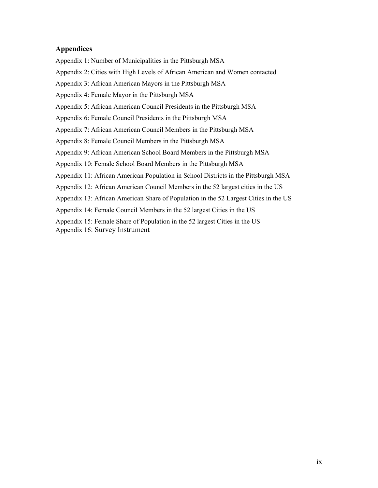### **Appendices**

Appendix 1: Number of Municipalities in the Pittsburgh MSA

Appendix 2: Cities with High Levels of African American and Women contacted

Appendix 3: African American Mayors in the Pittsburgh MSA

Appendix 4: Female Mayor in the Pittsburgh MSA

Appendix 5: African American Council Presidents in the Pittsburgh MSA

Appendix 6: Female Council Presidents in the Pittsburgh MSA

Appendix 7: African American Council Members in the Pittsburgh MSA

Appendix 8: Female Council Members in the Pittsburgh MSA

Appendix 9: African American School Board Members in the Pittsburgh MSA

Appendix 10: Female School Board Members in the Pittsburgh MSA

Appendix 11: African American Population in School Districts in the Pittsburgh MSA

Appendix 12: African American Council Members in the 52 largest cities in the US

Appendix 13: African American Share of Population in the 52 Largest Cities in the US

Appendix 14: Female Council Members in the 52 largest Cities in the US

Appendix 15: Female Share of Population in the 52 largest Cities in the US

Appendix 16: Survey Instrument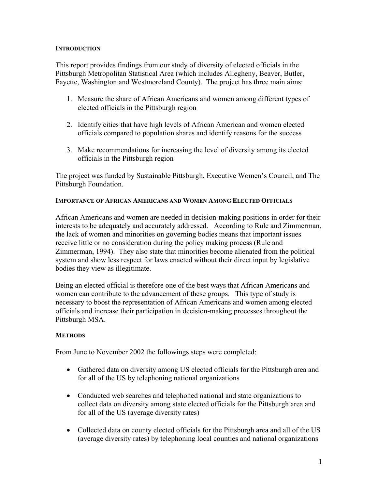### **INTRODUCTION**

This report provides findings from our study of diversity of elected officials in the Pittsburgh Metropolitan Statistical Area (which includes Allegheny, Beaver, Butler, Fayette, Washington and Westmoreland County). The project has three main aims:

- 1. Measure the share of African Americans and women among different types of elected officials in the Pittsburgh region
- 2. Identify cities that have high levels of African American and women elected officials compared to population shares and identify reasons for the success
- 3. Make recommendations for increasing the level of diversity among its elected officials in the Pittsburgh region

The project was funded by Sustainable Pittsburgh, Executive Women's Council, and The Pittsburgh Foundation.

### **IMPORTANCE OF AFRICAN AMERICANS AND WOMEN AMONG ELECTED OFFICIALS**

African Americans and women are needed in decision-making positions in order for their interests to be adequately and accurately addressed. According to Rule and Zimmerman, the lack of women and minorities on governing bodies means that important issues receive little or no consideration during the policy making process (Rule and Zimmerman, 1994). They also state that minorities become alienated from the political system and show less respect for laws enacted without their direct input by legislative bodies they view as illegitimate.

Being an elected official is therefore one of the best ways that African Americans and women can contribute to the advancement of these groups. This type of study is necessary to boost the representation of African Americans and women among elected officials and increase their participation in decision-making processes throughout the Pittsburgh MSA.

### **METHODS**

From June to November 2002 the followings steps were completed:

- Gathered data on diversity among US elected officials for the Pittsburgh area and for all of the US by telephoning national organizations
- Conducted web searches and telephoned national and state organizations to collect data on diversity among state elected officials for the Pittsburgh area and for all of the US (average diversity rates)
- Collected data on county elected officials for the Pittsburgh area and all of the US (average diversity rates) by telephoning local counties and national organizations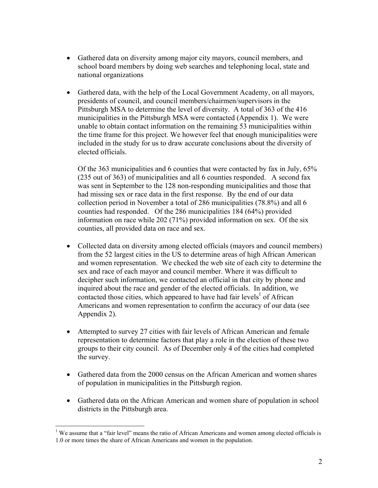- Gathered data on diversity among major city mayors, council members, and school board members by doing web searches and telephoning local, state and national organizations
- Gathered data, with the help of the Local Government Academy, on all mayors, presidents of council, and council members/chairmen/supervisors in the Pittsburgh MSA to determine the level of diversity. A total of 363 of the 416 municipalities in the Pittsburgh MSA were contacted (Appendix 1). We were unable to obtain contact information on the remaining 53 municipalities within the time frame for this project. We however feel that enough municipalities were included in the study for us to draw accurate conclusions about the diversity of elected officials.

Of the 363 municipalities and 6 counties that were contacted by fax in July, 65% (235 out of 363) of municipalities and all 6 counties responded. A second fax was sent in September to the 128 non-responding municipalities and those that had missing sex or race data in the first response. By the end of our data collection period in November a total of 286 municipalities (78.8%) and all 6 counties had responded. Of the 286 municipalities 184 (64%) provided information on race while 202 (71%) provided information on sex. Of the six counties, all provided data on race and sex.

- Collected data on diversity among elected officials (mayors and council members) from the 52 largest cities in the US to determine areas of high African American and women representation. We checked the web site of each city to determine the sex and race of each mayor and council member. Where it was difficult to decipher such information, we contacted an official in that city by phone and inquired about the race and gender of the elected officials. In addition, we contacted those cities, which appeared to have had fair levels<sup>1</sup> of African Americans and women representation to confirm the accuracy of our data (see Appendix 2).
- Attempted to survey 27 cities with fair levels of African American and female representation to determine factors that play a role in the election of these two groups to their city council. As of December only 4 of the cities had completed the survey.
- Gathered data from the 2000 census on the African American and women shares of population in municipalities in the Pittsburgh region.
- Gathered data on the African American and women share of population in school districts in the Pittsburgh area.

 $\overline{a}$ 

<sup>&</sup>lt;sup>1</sup> We assume that a "fair level" means the ratio of African Americans and women among elected officials is 1.0 or more times the share of African Americans and women in the population.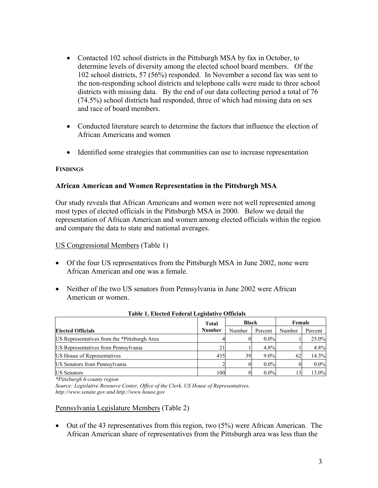- Contacted 102 school districts in the Pittsburgh MSA by fax in October, to determine levels of diversity among the elected school board members. Of the 102 school districts, 57 (56%) responded. In November a second fax was sent to the non-responding school districts and telephone calls were made to three school districts with missing data. By the end of our data collecting period a total of 76 (74.5%) school districts had responded, three of which had missing data on sex and race of board members.
- Conducted literature search to determine the factors that influence the election of African Americans and women
- Identified some strategies that communities can use to increase representation

### **FINDINGS**

### **African American and Women Representation in the Pittsburgh MSA**

Our study reveals that African Americans and women were not well represented among most types of elected officials in the Pittsburgh MSA in 2000. Below we detail the representation of African American and women among elected officials within the region and compare the data to state and national averages.

### US Congressional Members (Table 1)

- Of the four US representatives from the Pittsburgh MSA in June 2002, none were African American and one was a female.
- Neither of the two US senators from Pennsylvania in June 2002 were African American or women.

|                                              | Total         | <b>Black</b> |         | Female |         |
|----------------------------------------------|---------------|--------------|---------|--------|---------|
| <b>Elected Officials</b>                     | <b>Number</b> | Number       | Percent | Number | Percent |
| US Representatives from the *Pittsburgh Area |               |              | $0.0\%$ |        | 25.0%   |
| US Representatives from Pennsylvania         | 21            |              | $4.8\%$ |        | 4.8%    |
| US House of Representatives                  | 435           | 39           | $9.0\%$ |        | 14.3%   |
| US Senators from Pennsylvania                |               |              | $0.0\%$ |        | $0.0\%$ |
| <b>IUS</b> Senators                          | 100l          |              | $0.0\%$ |        | 13.0%   |

### **Table 1. Elected Federal Legislative Officials**

*\*Pittsburgh 6-county region* 

*Source: Legislative Resource Center, Office of the Clerk, US House of Representatives, http://www.senate.gov and http://www.house.gov* 

### Pennsylvania Legislature Members (Table 2)

• Out of the 43 representatives from this region, two  $(5%)$  were African American. The African American share of representatives from the Pittsburgh area was less than the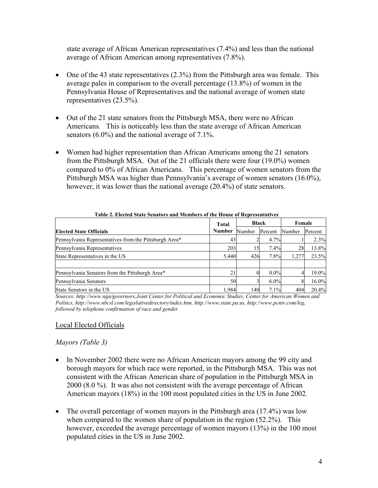state average of African American representatives (7.4%) and less than the national average of African American among representatives (7.8%).

- One of the 43 state representatives (2.3%) from the Pittsburgh area was female. This average pales in comparison to the overall percentage (13.8%) of women in the Pennsylvania House of Representatives and the national average of women state representatives (23.5%).
- Out of the 21 state senators from the Pittsburgh MSA, there were no African Americans*.* This is noticeably less than the state average of African American senators (6.0%) and the national average of 7.1%.
- Women had higher representation than African Americans among the 21 senators from the Pittsburgh MSA. Out of the 21 officials there were four (19.0%) women compared to 0% of African Americans*.* This percentage of women senators from the Pittsburgh MSA was higher than Pennsylvania's average of women senators (16.0%), however, it was lower than the national average (20.4%) of state senators.

| Table 2. Elected State Senators and Members of the House of Representatives |       |              |         |        |         |  |  |  |
|-----------------------------------------------------------------------------|-------|--------------|---------|--------|---------|--|--|--|
|                                                                             |       | <b>Black</b> |         | Female |         |  |  |  |
| <b>Elected State Officials</b>                                              |       | Number       | Percent | Number | Percent |  |  |  |
| Pennsylvania Representatives from the Pittsburgh Area*                      | 43    |              | 4.7%    |        | 2.3%    |  |  |  |
| Pennsylvania Representatives                                                | 203   | 15           | 7.4%    | 28     | 13.8%   |  |  |  |
| State Representatives in the US                                             | 5,440 | 426          | 7.8%    | 1,277  | 23.5%   |  |  |  |
| Pennsylvania Senators from the Pittsburgh Area*                             |       |              | $0.0\%$ |        | 19.0%   |  |  |  |
| Pennsylvania Senators                                                       | 50    |              | $6.0\%$ | 81     | 16.0%   |  |  |  |
| State Senators in the US                                                    | 1.984 | 140          | 7.1%    | 404    | 20.4%   |  |  |  |

 **Table 2. Elected State Senators and Members of the House of Representatives** 

*Sources: http://www.nga/governors,Joint Center for Political and Economic Studies, Center for American Women and Politics, http://www.nbcsl.com/legislativedirectory/index.htm, http://www.state.pa.us, http://www.pcntv.com/leg, followed by telephone confirmation of race and gender* 

### Local Elected Officials

## *Mayors (Table 3)*

- In November 2002 there were no African American mayors among the 99 city and borough mayors for which race were reported, in the Pittsburgh MSA. This was not consistent with the African American share of population in the Pittsburgh MSA in 2000 (8.0 %). It was also not consistent with the average percentage of African American mayors (18%) in the 100 most populated cities in the US in June 2002*.*
- The overall percentage of women mayors in the Pittsburgh area (17.4%) was low when compared to the women share of population in the region (52.2%). This however, exceeded the average percentage of women mayors (13%) in the 100 most populated cities in the US in June 2002.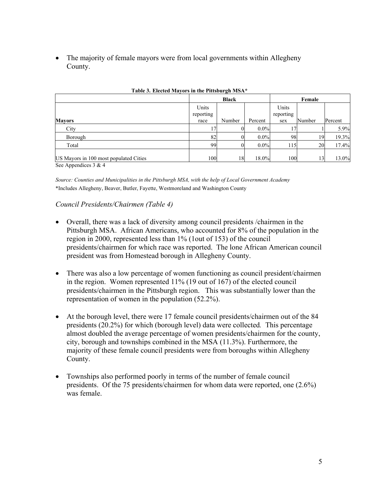• The majority of female mayors were from local governments within Allegheny County.

|                                                                              |                    | <b>Black</b> |         |                    | Female |         |  |
|------------------------------------------------------------------------------|--------------------|--------------|---------|--------------------|--------|---------|--|
|                                                                              | Units<br>reporting |              |         | Units<br>reporting |        |         |  |
| <b>Mayors</b>                                                                | race               | Number       | Percent | sex                | Number | Percent |  |
| City                                                                         | 7                  | 01           | $0.0\%$ | 17                 |        | 5.9%    |  |
| Borough                                                                      | 82                 | OI.          | $0.0\%$ | 98                 | 19     | 19.3%   |  |
| Total                                                                        | 99                 | 01           | $0.0\%$ | 115                | 20     | 17.4%   |  |
| US Mayors in 100 most populated Cities<br>$\alpha$ $\alpha$ $\beta$ $\alpha$ | 100                | 18           | 18.0%   | <b>100</b>         | 13     | 13.0%   |  |

| Table 3. Elected Mayors in the Pittsburgh MSA* |  |
|------------------------------------------------|--|
|                                                |  |

See Appendices 3 & 4

*Source: Counties and Municipalities in the Pittsburgh MSA, with the help of Local Government Academy*  \*Includes Allegheny, Beaver, Butler, Fayette, Westmoreland and Washington County

### *Council Presidents/Chairmen (Table 4)*

- Overall, there was a lack of diversity among council presidents /chairmen in the Pittsburgh MSA. African Americans, who accounted for 8% of the population in the region in 2000, represented less than 1% (1out of 153) of the council presidents/chairmen for which race was reported. The lone African American council president was from Homestead borough in Allegheny County.
- There was also a low percentage of women functioning as council president/chairmen in the region. Women represented 11% (19 out of 167) of the elected council presidents/chairmen in the Pittsburgh region. This was substantially lower than the representation of women in the population (52.2%).
- At the borough level, there were 17 female council presidents/chairmen out of the 84 presidents (20.2%) for which (borough level) data were collected*.* This percentage almost doubled the average percentage of women presidents/chairmen for the county, city, borough and townships combined in the MSA (11.3%). Furthermore, the majority of these female council presidents were from boroughs within Allegheny County.
- Townships also performed poorly in terms of the number of female council presidents. Of the 75 presidents/chairmen for whom data were reported, one (2.6%) was female.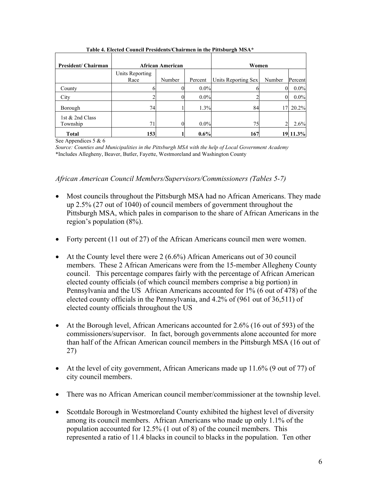| President/ Chairman         |                         | <b>African American</b> |         | Women               |          |         |
|-----------------------------|-------------------------|-------------------------|---------|---------------------|----------|---------|
|                             | Units Reporting<br>Race | Number                  | Percent | Units Reporting Sex | Number   | Percent |
| County                      |                         |                         | $0.0\%$ |                     | $\Omega$ | $0.0\%$ |
| City                        |                         |                         | $0.0\%$ |                     |          | $0.0\%$ |
| Borough                     | 74                      |                         | 1.3%    | 84                  | 17       | 20.2%   |
| 1st & 2nd Class<br>Township | 71                      | 0                       | $0.0\%$ | 75                  |          | 2.6%    |
| <b>Total</b>                | 153                     |                         | $0.6\%$ | 167                 | 19       | 11.3%   |

 **Table 4. Elected Council Presidents/Chairmen in the Pittsburgh MSA\*** 

See Appendices 5 & 6

*Source: Counties and Municipalities in the Pittsburgh MSA with the help of Local Government Academy*  \*Includes Allegheny, Beaver, Butler, Fayette, Westmoreland and Washington County

*African American Council Members/Supervisors/Commissioners (Tables 5-7)* 

- Most councils throughout the Pittsburgh MSA had no African Americans. They made up 2.5% (27 out of 1040) of council members of government throughout the Pittsburgh MSA, which pales in comparison to the share of African Americans in the region's population (8%).
- Forty percent (11 out of 27) of the African Americans council men were women.
- At the County level there were 2 (6.6%) African Americans out of 30 council members. These 2 African Americans were from the 15-member Allegheny County council. This percentage compares fairly with the percentage of African American elected county officials (of which council members comprise a big portion) in Pennsylvania and the US African Americans accounted for 1% (6 out of 478) of the elected county officials in the Pennsylvania, and 4.2% of (961 out of 36,511) of elected county officials throughout the US
- At the Borough level, African Americans accounted for 2.6% (16 out of 593) of the commissioners/supervisor. In fact, borough governments alone accounted for more than half of the African American council members in the Pittsburgh MSA (16 out of 27)
- At the level of city government, African Americans made up 11.6% (9 out of 77) of city council members.
- There was no African American council member/commissioner at the township level.
- Scottdale Borough in Westmoreland County exhibited the highest level of diversity among its council members. African Americans who made up only 1.1% of the population accounted for 12.5% (1 out of 8) of the council members. This represented a ratio of 11.4 blacks in council to blacks in the population. Ten other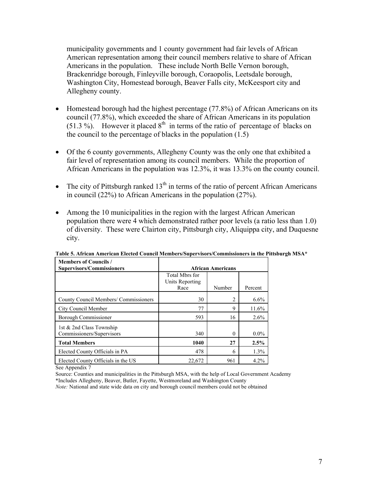municipality governments and 1 county government had fair levels of African American representation among their council members relative to share of African Americans in the population. These include North Belle Vernon borough, Brackenridge borough, Finleyville borough, Coraopolis, Leetsdale borough, Washington City, Homestead borough, Beaver Falls city, McKeesport city and Allegheny county.

- Homestead borough had the highest percentage (77.8%) of African Americans on its council (77.8%), which exceeded the share of African Americans in its population  $(51.3 \%)$ . However it placed  $8<sup>th</sup>$  in terms of the ratio of percentage of blacks on the council to the percentage of blacks in the population (1.5)
- Of the 6 county governments, Allegheny County was the only one that exhibited a fair level of representation among its council members. While the proportion of African Americans in the population was 12.3%, it was 13.3% on the county council.
- The city of Pittsburgh ranked  $13<sup>th</sup>$  in terms of the ratio of percent African Americans in council (22%) to African Americans in the population (27%).
- Among the 10 municipalities in the region with the largest African American population there were 4 which demonstrated rather poor levels (a ratio less than 1.0) of diversity. These were Clairton city, Pittsburgh city, Aliquippa city, and Duquesne city.

| <b>Members of Councils /</b><br><b>Supervisors/Commissioners</b> | <b>African Americans</b>                  |        |         |  |  |  |  |
|------------------------------------------------------------------|-------------------------------------------|--------|---------|--|--|--|--|
|                                                                  | Total Mbrs for<br>Units Reporting<br>Race | Number | Percent |  |  |  |  |
| County Council Members/ Commissioners                            | 30                                        | 2      | $6.6\%$ |  |  |  |  |
| City Council Member                                              | 77                                        | 9      | 11.6%   |  |  |  |  |
| Borough Commissioner                                             | 593                                       | 16     | $2.6\%$ |  |  |  |  |
| 1st & 2nd Class Township<br>Commissioners/Supervisors            | 340                                       | 0      | $0.0\%$ |  |  |  |  |
| <b>Total Members</b>                                             | 1040                                      | 27     | 2.5%    |  |  |  |  |
| Elected County Officials in PA                                   | 478                                       | 6      | 1.3%    |  |  |  |  |
| Elected County Officials in the US                               | 22,672                                    | 961    | $4.2\%$ |  |  |  |  |

**Table 5. African American Elected Council Members/Supervisors/Commissioners in the Pittsburgh MSA\***

See Appendix 7

Source: Counties and municipalities in the Pittsburgh MSA, with the help of Local Government Academy \*Includes Allegheny, Beaver, Butler, Fayette, Westmoreland and Washington County

*Note:* National and state wide data on city and borough council members could not be obtained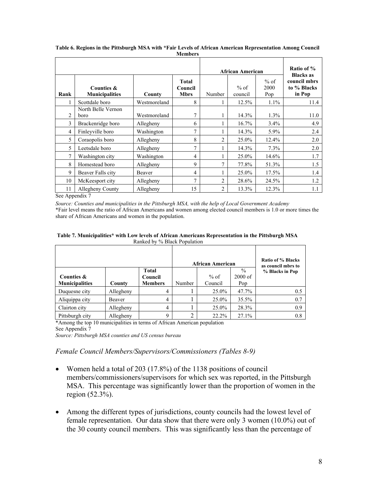| <b>African American</b><br>$%$ of<br><b>Total</b><br>$%$ of<br>2000<br>Counties &<br>Council<br><b>Municipalities</b><br><b>Mbrs</b><br>Rank<br>Number<br>County<br>council |                                      |              |                |                |       | Ratio of %<br><b>Blacks</b> as<br>council mbrs<br>to % Blacks<br>in Pop |      |
|-----------------------------------------------------------------------------------------------------------------------------------------------------------------------------|--------------------------------------|--------------|----------------|----------------|-------|-------------------------------------------------------------------------|------|
|                                                                                                                                                                             |                                      |              |                |                |       | Pop                                                                     |      |
|                                                                                                                                                                             | Scottdale boro<br>North Belle Vernon | Westmoreland | 8              |                | 12.5% | $1.1\%$                                                                 | 11.4 |
| 2                                                                                                                                                                           | boro                                 | Westmoreland | 7              |                | 14.3% | 1.3%                                                                    | 11.0 |
| 3                                                                                                                                                                           | Brackenridge boro                    | Allegheny    | 6              |                | 16.7% | $3.4\%$                                                                 | 4.9  |
| 4                                                                                                                                                                           | Finleyville boro                     | Washington   | 7              |                | 14.3% | $5.9\%$                                                                 | 2.4  |
| 5                                                                                                                                                                           | Coraopolis boro                      | Allegheny    | 8              | 2              | 25.0% | 12.4%                                                                   | 2.0  |
| 5                                                                                                                                                                           | Leetsdale boro                       | Allegheny    | 7              |                | 14.3% | 7.3%                                                                    | 2.0  |
| 7                                                                                                                                                                           | Washington city                      | Washington   | 4              |                | 25.0% | 14.6%                                                                   | 1.7  |
| 8                                                                                                                                                                           | Homestead boro                       | Allegheny    | 9              | $\tau$         | 77.8% | 51.3%                                                                   | 1.5  |
| 9                                                                                                                                                                           | Beaver Falls city                    | Beaver       | 4              |                | 25.0% | 17.5%                                                                   | 1.4  |
| 10                                                                                                                                                                          | McKeesport city                      | Allegheny    | $\overline{7}$ | $\overline{2}$ | 28.6% | 24.5%                                                                   | 1.2  |
| 11                                                                                                                                                                          | Allegheny County                     | Allegheny    | 15             | 2              | 13.3% | 12.3%                                                                   | 1.1  |

**Table 6. Regions in the Pittsburgh MSA with \*Fair Levels of African American Representation Among Council Members** 

See Appendix 7

*Source: Counties and municipalities in the Pittsburgh MSA, with the help of Local Government Academy*  \*Fair level means the ratio of African Americans and women among elected council members is 1.0 or more times the share of African Americans and women in the population.

| Table 7. Municipalities* with Low levels of African Americans Representation in the Pittsburgh MSA |
|----------------------------------------------------------------------------------------------------|
| Ranked by % Black Population                                                                       |

|                       |           |                         |        | <b>African American</b> |                            | Ratio of % Blacks<br>as council mbrs to |
|-----------------------|-----------|-------------------------|--------|-------------------------|----------------------------|-----------------------------------------|
| Counties &            |           | <b>Total</b><br>Council |        | $%$ of                  | $\frac{0}{0}$<br>$2000$ of | % Blacks in Pop                         |
| <b>Municipalities</b> | County    | Members                 | Number | Council                 | Pop                        |                                         |
| Duquesne city         | Allegheny | $\overline{4}$          |        | 25.0%                   | 47.7%                      | 0.5                                     |
| Aliquippa city        | Beaver    | $\overline{4}$          |        | 25.0%                   | 35.5%                      | 0.7                                     |
| Clairton city         | Allegheny | $\overline{4}$          |        | 25.0%                   | 28.3%                      | 0.9                                     |
| Pittsburgh city       | Allegheny | 9                       |        | 22.2%                   | 27.1%                      | 0.8                                     |

\*Among the top 10 municipalities in terms of African American population See Appendix 7

*Source: Pittsburgh MSA counties and US census bureau* 

*Female Council Members/Supervisors/Commissioners (Tables 8-9)* 

- Women held a total of 203 (17.8%) of the 1138 positions of council members/commissioners/supervisors for which sex was reported, in the Pittsburgh MSA. This percentage was significantly lower than the proportion of women in the region (52.3%).
- Among the different types of jurisdictions, county councils had the lowest level of female representation. Our data show that there were only 3 women (10.0%) out of the 30 county council members. This was significantly less than the percentage of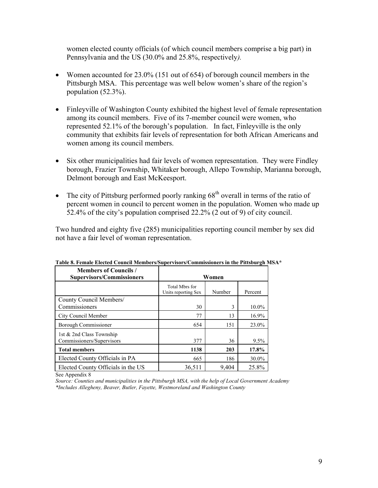women elected county officials (of which council members comprise a big part) in Pennsylvania and the US (30.0% and 25.8%, respectively*).*

- Women accounted for 23.0% (151 out of 654) of borough council members in the Pittsburgh MSA. This percentage was well below women's share of the region's population (52.3%).
- Finleyville of Washington County exhibited the highest level of female representation among its council members. Five of its 7-member council were women, who represented 52.1% of the borough's population. In fact, Finleyville is the only community that exhibits fair levels of representation for both African Americans and women among its council members.
- Six other municipalities had fair levels of women representation. They were Findley borough, Frazier Township, Whitaker borough, Allepo Township, Marianna borough, Delmont borough and East McKeesport.
- The city of Pittsburg performed poorly ranking  $68<sup>th</sup>$  overall in terms of the ratio of percent women in council to percent women in the population. Women who made up 52.4% of the city's population comprised 22.2% (2 out of 9) of city council.

Two hundred and eighty five (285) municipalities reporting council member by sex did not have a fair level of woman representation.

| <b>Members of Councils /</b><br><b>Supervisors/Commissioners</b> | Women                                 |        |         |  |  |  |
|------------------------------------------------------------------|---------------------------------------|--------|---------|--|--|--|
|                                                                  | Total Mbrs for<br>Units reporting Sex | Number | Percent |  |  |  |
| County Council Members/                                          |                                       |        |         |  |  |  |
| Commissioners                                                    | 30                                    | 3      | 10.0%   |  |  |  |
| City Council Member                                              | 77                                    | 13     | 16.9%   |  |  |  |
| Borough Commissioner                                             | 654                                   | 151    | 23.0%   |  |  |  |
| 1st & 2nd Class Township                                         |                                       |        |         |  |  |  |
| Commissioners/Supervisors                                        | 377                                   | 36     | 9.5%    |  |  |  |
| <b>Total members</b>                                             | 1138                                  | 203    | 17.8%   |  |  |  |
| Elected County Officials in PA                                   | 665                                   | 186    | 30.0%   |  |  |  |
| Elected County Officials in the US                               | 36.511                                | 9.404  | 25.8%   |  |  |  |

**Table 8. Female Elected Council Members/Supervisors/Commissioners in the Pittsburgh MSA\*** 

See Appendix 8

*Source: Counties and municipalities in the Pittsburgh MSA, with the help of Local Government Academy \*Includes Allegheny, Beaver, Butler, Fayette, Westmoreland and Washington County*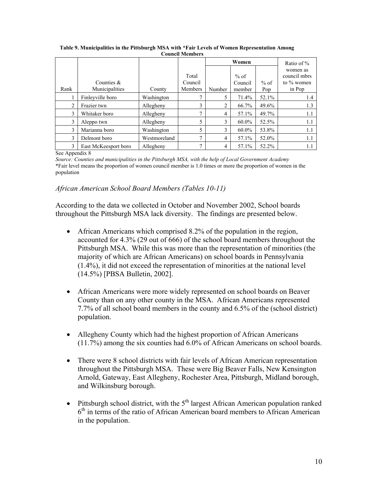|      |                                 |              |                             | Women  |                             |               | Ratio of $\%$                                       |
|------|---------------------------------|--------------|-----------------------------|--------|-----------------------------|---------------|-----------------------------------------------------|
| Rank | Counties $\&$<br>Municipalities | County       | Total<br>Council<br>Members | Number | $%$ of<br>Council<br>member | $%$ of<br>Pop | women as<br>council mbrs<br>to $\%$ women<br>in Pop |
|      | Finleyville boro                | Washington   | 7                           | 5      | 71.4%                       | 52.1%         | 1.4                                                 |
| 2    | Frazier twn                     | Allegheny    | 3                           | 2      | 66.7%                       | 49.6%         | 1.3                                                 |
| 3    | Whitaker boro                   | Allegheny    |                             | 4      | 57.1%                       | 49.7%         | 1.1                                                 |
| 3    | Aleppo twn                      | Allegheny    | 5                           | 3      | $60.0\%$                    | 52.5%         | 1.1                                                 |
| 3    | Marianna boro                   | Washington   | 5                           | 3      | $60.0\%$                    | 53.8%         | 1.1                                                 |
| 3    | Delmont boro                    | Westmoreland | 7                           | 4      | 57.1%                       | 52.0%         | 1.1                                                 |
| 3    | East McKeesport boro            | Allegheny    | ⇁                           | 4      | 57.1%                       | 52.2%         | 1.1                                                 |

 **Table 9. Municipalities in the Pittsburgh MSA with \*Fair Levels of Women Representation Among Council Members** 

See Appendix 8

*Source: Counties and municipalities in the Pittsburgh MSA, with the help of Local Government Academy* \*Fair level means the proportion of women council member is 1.0 times or more the proportion of women in the population

### *African American School Board Members (Tables 10-11)*

According to the data we collected in October and November 2002, School boards throughout the Pittsburgh MSA lack diversity. The findings are presented below.

- African Americans which comprised 8.2% of the population in the region, accounted for 4.3% (29 out of 666) of the school board members throughout the Pittsburgh MSA. While this was more than the representation of minorities (the majority of which are African Americans) on school boards in Pennsylvania (1.4%), it did not exceed the representation of minorities at the national level (14.5%) [PBSA Bulletin, 2002].
- African Americans were more widely represented on school boards on Beaver County than on any other county in the MSA. African Americans represented 7.7% of all school board members in the county and 6.5% of the (school district) population.
- Allegheny County which had the highest proportion of African Americans (11.7%) among the six counties had 6.0% of African Americans on school boards.
- There were 8 school districts with fair levels of African American representation throughout the Pittsburgh MSA. These were Big Beaver Falls, New Kensington Arnold, Gateway, East Allegheny, Rochester Area, Pittsburgh, Midland borough, and Wilkinsburg borough.
- Pittsburgh school district, with the  $5<sup>th</sup>$  largest African American population ranked  $6<sup>th</sup>$  in terms of the ratio of African American board members to African American in the population.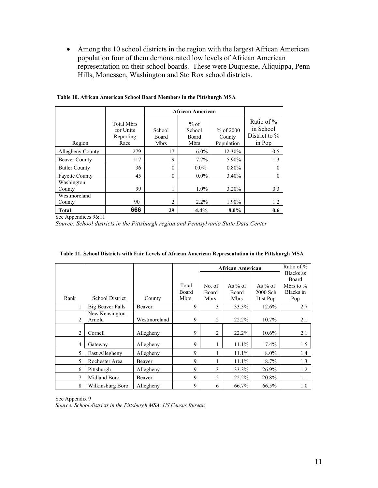• Among the 10 school districts in the region with the largest African American population four of them demonstrated low levels of African American representation on their school boards. These were Duquesne, Aliquippa, Penn Hills, Monessen, Washington and Sto Rox school districts.

|                        |                                                     |                                       | <b>African American</b>                  |                                     |                                                          |  |  |
|------------------------|-----------------------------------------------------|---------------------------------------|------------------------------------------|-------------------------------------|----------------------------------------------------------|--|--|
| Region                 | <b>Total Mbrs</b><br>for Units<br>Reporting<br>Race | School<br><b>Board</b><br><b>Mbrs</b> | $%$ of<br>School<br>Board<br><b>Mbrs</b> | % of $2000$<br>County<br>Population | Ratio of $\%$<br>in School<br>District to $\%$<br>in Pop |  |  |
| Allegheny County       | 279                                                 | 17                                    | $6.0\%$                                  | 12.30%                              | 0.5                                                      |  |  |
| <b>Beaver County</b>   | 117                                                 | 9                                     | $7.7\%$                                  | 5.90%                               | 1.3                                                      |  |  |
| <b>Butler County</b>   | 36                                                  | $\theta$                              | $0.0\%$                                  | 0.80%                               | $\Omega$                                                 |  |  |
| <b>Favette County</b>  | 45                                                  | $\theta$                              | $0.0\%$                                  | 3.40%                               | 0                                                        |  |  |
| Washington<br>County   | 99                                                  |                                       | $1.0\%$                                  | 3.20%                               | 0.3                                                      |  |  |
| Westmoreland<br>County | 90                                                  | $\overline{c}$                        | $2.2\%$                                  | 1.90%                               | 1.2                                                      |  |  |
| <b>Total</b>           | 666                                                 | 29                                    | 4.4%                                     | $8.0\%$                             | 0.6                                                      |  |  |

 **Table 10. African American School Board Members in the Pittsburgh MSA** 

See Appendices 9&11

*Source: School districts in the Pittsburgh region and Pennsylvania State Data Center* 

|                |                          |              |       |                | <b>African American</b> |           |                      |
|----------------|--------------------------|--------------|-------|----------------|-------------------------|-----------|----------------------|
|                |                          |              |       |                |                         |           | Blacks as            |
|                |                          |              | Total | No. of         | As $%$ of               | As $%$ of | Board<br>Mbrs to $%$ |
|                |                          |              | Board | Board          | Board                   | 2000 Sch  | Blacks in            |
| Rank           | <b>School District</b>   | County       | Mbrs. | Mbrs.          | <b>Mbrs</b>             | Dist Pop  | Pop                  |
|                | <b>Big Beaver Falls</b>  | Beaver       | 9     | 3              | 33.3%                   | 12.6%     | 2.7                  |
| $\overline{c}$ | New Kensington<br>Arnold | Westmoreland | 9     | $\overline{2}$ | 22.2%                   | 10.7%     | 2.1                  |
|                |                          |              |       |                |                         |           |                      |
| 2              | Cornell                  | Allegheny    | 9     | 2              | 22.2%                   | $10.6\%$  | 2.1                  |
| $\overline{4}$ | Gateway                  | Allegheny    | 9     | 1              | $11.1\%$                | $7.4\%$   | 1.5                  |
| 5              | East Allegheny           | Allegheny    | 9     |                | 11.1%                   | 8.0%      | 1.4                  |
| 5              | Rochester Area           | Beaver       | 9     |                | 11.1%                   | 8.7%      | 1.3                  |
| 6              | Pittsburgh               | Allegheny    | 9     | 3              | 33.3%                   | 26.9%     | 1.2                  |
| 7              | Midland Boro             | Beaver       | 9     | $\overline{2}$ | 22.2%                   | 20.8%     | 1.1                  |
| 8              | Wilkinsburg Boro         | Allegheny    | 9     | 6              | 66.7%                   | 66.5%     | 1.0                  |

| Table 11. School Districts with Fair Levels of African American Representation in the Pittsburgh MSA |  |  |
|------------------------------------------------------------------------------------------------------|--|--|
|                                                                                                      |  |  |

See Appendix 9 *Source: School districts in the Pittsburgh MSA; US Census Bureau*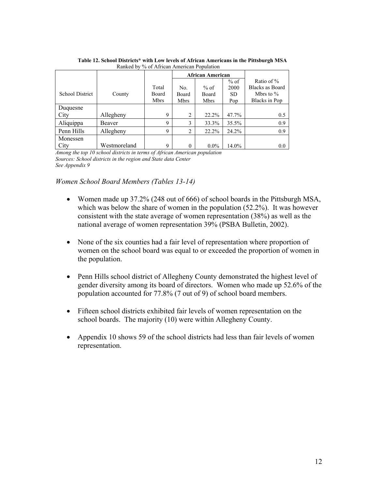|                 |              |             |             | <b>African American</b> |           |                        |
|-----------------|--------------|-------------|-------------|-------------------------|-----------|------------------------|
|                 |              |             |             |                         | $%$ of    | Ratio of $\%$          |
|                 |              | Total       | No.         | $%$ of                  | 2000      | <b>Blacks as Board</b> |
| School District | County       | Board       | Board       | Board                   | <b>SD</b> | Mbrs to $\%$           |
|                 |              | <b>Mbrs</b> | <b>Mbrs</b> | <b>Mbrs</b>             | Pop       | Blacks in Pop          |
| Duquesne        |              |             |             |                         |           |                        |
| City            | Allegheny    | 9           | 2           | 22.2%                   | 47.7%     | 0.5                    |
| Aliquippa       | Beaver       | 9           | 3           | 33.3%                   | 35.5%     | 0.9                    |
| Penn Hills      | Allegheny    | 9           | ↑           | 22.2%                   | 24.2%     | 0.9                    |
| Monessen        |              |             |             |                         |           |                        |
| City            | Westmoreland | 9           | $\Omega$    | $0.0\%$                 | 14.0%     | 0.0                    |

**Table 12. School Districts\* with Low levels of African Americans in the Pittsburgh MSA** Ranked by % of African American Population

*Among the top 10 school districts in terms of African American population Sources: School districts in the region and State data Center See Appendix 9* 

## *Women School Board Members (Tables 13-14)*

- Women made up 37.2% (248 out of 666) of school boards in the Pittsburgh MSA, which was below the share of women in the population (52.2%). It was however consistent with the state average of women representation (38%) as well as the national average of women representation 39% (PSBA Bulletin, 2002).
- None of the six counties had a fair level of representation where proportion of women on the school board was equal to or exceeded the proportion of women in the population.
- Penn Hills school district of Allegheny County demonstrated the highest level of gender diversity among its board of directors. Women who made up 52.6% of the population accounted for 77.8% (7 out of 9) of school board members.
- Fifteen school districts exhibited fair levels of women representation on the school boards. The majority (10) were within Allegheny County.
- Appendix 10 shows 59 of the school districts had less than fair levels of women representation.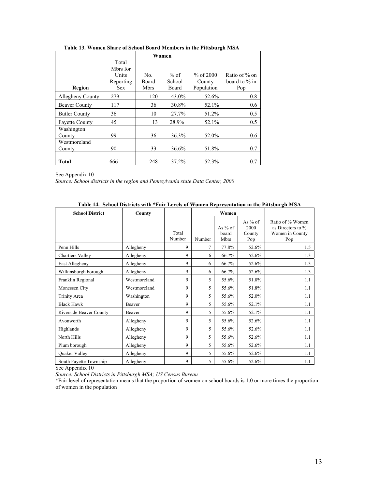|                        |                                         | Women        |                |                     |                                   |
|------------------------|-----------------------------------------|--------------|----------------|---------------------|-----------------------------------|
|                        | Total<br>Mbrs for<br>Units<br>Reporting | No.<br>Board | % of<br>School | % of 2000<br>County | Ratio of % on<br>board to $\%$ in |
| Region                 | <b>Sex</b>                              | <b>Mbrs</b>  | Board          | Population          | Pop                               |
| Allegheny County       | 279                                     | 120          | 43.0%          | 52.6%               | 0.8                               |
| <b>Beaver County</b>   | 117                                     | 36           | 30.8%          | 52.1%               | 0.6                               |
| <b>Butler County</b>   | 36                                      | 10           | 27.7%          | 51.2%               | 0.5                               |
| <b>Fayette County</b>  | 45                                      | 13           | 28.9%          | 52.1%               | 0.5                               |
| Washington<br>County   | 99                                      | 36           | 36.3%          | 52.0%               | 0.6                               |
| Westmoreland<br>County | 90                                      | 33           | 36.6%          | 51.8%               | 0.7                               |
| <b>Total</b>           | 666                                     | 248          | 37.2%          | 52.3%               | 0.7                               |

 **Table 13. Women Share of School Board Members in the Pittsburgh MSA** 

See Appendix 10 *Source: School districts in the region and Pennsylvania state Data Center, 2000* 

| <b>School District</b>  | <b>County</b> |                 |                | Women                      |                                    |                                                                 |
|-------------------------|---------------|-----------------|----------------|----------------------------|------------------------------------|-----------------------------------------------------------------|
|                         |               | Total<br>Number | Number         | As $%$ of<br>board<br>Mbrs | As $%$ of<br>2000<br>County<br>Pop | Ratio of % Women<br>as Directors to %<br>Women in County<br>Pop |
| Penn Hills              | Allegheny     | 9               | $\overline{7}$ | 77.8%                      | 52.6%                              | 1.5                                                             |
| <b>Chartiers Valley</b> | Allegheny     | 9               | 6              | 66.7%                      | 52.6%                              | 1.3                                                             |
| East Allegheny          | Allegheny     | 9               | 6              | 66.7%                      | 52.6%                              | 1.3                                                             |
| Wilkinsburgh borough    | Allegheny     | 9               | 6              | 66.7%                      | 52.6%                              | 1.3                                                             |
| Franklin Regional       | Westmoreland  | 9               | 5              | 55.6%                      | 51.8%                              | 1.1                                                             |
| Monessen City           | Westmoreland  | 9               | 5              | 55.6%                      | 51.8%                              | 1.1                                                             |
| Trinity Area            | Washington    | 9               | 5              | 55.6%                      | 52.0%                              | 1.1                                                             |
| <b>Black Hawk</b>       | Beaver        | 9               | 5              | 55.6%                      | 52.1%                              | 1.1                                                             |
| Riverside Beaver County | Beaver        | 9               | 5              | 55.6%                      | 52.1%                              | 1.1                                                             |
| Avonworth               | Allegheny     | 9               | 5              | 55.6%                      | 52.6%                              | 1.1                                                             |
| Highlands               | Allegheny     | 9               | 5              | 55.6%                      | 52.6%                              | 1.1                                                             |
| North Hills             | Allegheny     | 9               | 5              | 55.6%                      | 52.6%                              | 1.1                                                             |
| Plum borough            | Allegheny     | 9               | 5              | 55.6%                      | 52.6%                              | 1.1                                                             |
| Quaker Valley           | Allegheny     | 9               | 5              | 55.6%                      | 52.6%                              | 1.1                                                             |
| South Fayette Township  | Allegheny     | 9               | 5              | 55.6%                      | 52.6%                              | 1.1                                                             |

 **Table 14. School Districts with \*Fair Levels of Women Representation in the Pittsburgh MSA** 

See Appendix 10

*Source: School Districts in Pittsburgh MSA; US Census Bureau* 

\*Fair level of representation means that the proportion of women on school boards is 1.0 or more times the proportion of women in the population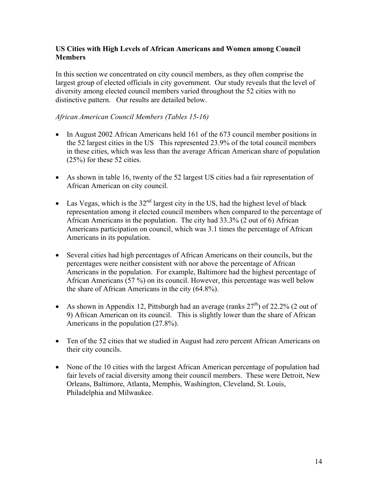## **US Cities with High Levels of African Americans and Women among Council Members**

In this section we concentrated on city council members, as they often comprise the largest group of elected officials in city government. Our study reveals that the level of diversity among elected council members varied throughout the 52 cities with no distinctive pattern. Our results are detailed below.

## *African American Council Members (Tables 15-16)*

- In August 2002 African Americans held 161 of the 673 council member positions in the 52 largest cities in the US This represented 23.9% of the total council members in these cities, which was less than the average African American share of population (25%) for these 52 cities.
- As shown in table 16, twenty of the 52 largest US cities had a fair representation of African American on city council.
- Las Vegas, which is the  $32<sup>nd</sup>$  largest city in the US, had the highest level of black representation among it elected council members when compared to the percentage of African Americans in the population. The city had 33.3% (2 out of 6) African Americans participation on council, which was 3.1 times the percentage of African Americans in its population.
- Several cities had high percentages of African Americans on their councils, but the percentages were neither consistent with nor above the percentage of African Americans in the population. For example, Baltimore had the highest percentage of African Americans (57 %) on its council. However, this percentage was well below the share of African Americans in the city (64.8%).
- As shown in Appendix 12, Pittsburgh had an average (ranks  $27<sup>th</sup>$ ) of 22.2% (2 out of 9) African American on its council. This is slightly lower than the share of African Americans in the population (27.8%).
- Ten of the 52 cities that we studied in August had zero percent African Americans on their city councils.
- None of the 10 cities with the largest African American percentage of population had fair levels of racial diversity among their council members. These were Detroit, New Orleans, Baltimore, Atlanta, Memphis, Washington, Cleveland, St. Louis, Philadelphia and Milwaukee.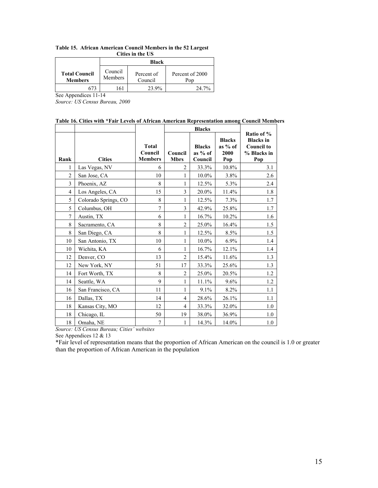**Table 15. African American Council Members in the 52 Largest Cities in the US** 

|                                        | <b>Black</b>       |                       |                        |  |  |
|----------------------------------------|--------------------|-----------------------|------------------------|--|--|
| <b>Total Council</b><br><b>Members</b> | Council<br>Members | Percent of<br>Council | Percent of 2000<br>Pop |  |  |
|                                        | -61                | 23.9%                 | $24.7\%$               |  |  |

See Appendices 11-14

*Source: US Census Bureau, 2000* 

#### **Table 16. Cities with \*Fair Levels of African American Representation among Council Members**

|                |                      |                                           | <b>Blacks</b>          |                                       |                                           |                                                                           |
|----------------|----------------------|-------------------------------------------|------------------------|---------------------------------------|-------------------------------------------|---------------------------------------------------------------------------|
| Rank           | <b>Cities</b>        | <b>Total</b><br>Council<br><b>Members</b> | Council<br><b>Mbrs</b> | <b>Blacks</b><br>as $%$ of<br>Council | <b>Blacks</b><br>as $%$ of<br>2000<br>Pop | Ratio of %<br><b>Blacks</b> in<br><b>Council to</b><br>% Blacks in<br>Pop |
|                | Las Vegas, NV        | 6                                         | $\overline{c}$         | 33.3%                                 | 10.8%                                     | 3.1                                                                       |
| $\overline{c}$ | San Jose, CA         | 10                                        | 1                      | 10.0%                                 | 3.8%                                      | 2.6                                                                       |
| 3              | Phoenix, AZ          | 8                                         | 1                      | 12.5%                                 | 5.3%                                      | 2.4                                                                       |
| $\overline{4}$ | Los Angeles, CA      | 15                                        | 3                      | 20.0%                                 | 11.4%                                     | 1.8                                                                       |
| 5              | Colorado Springs, CO | 8                                         | 1                      | 12.5%                                 | 7.3%                                      | 1.7                                                                       |
| 5              | Columbus, OH         | 7                                         | 3                      | 42.9%                                 | 25.8%                                     | 1.7                                                                       |
| $\overline{7}$ | Austin, TX           | 6                                         | 1                      | 16.7%                                 | 10.2%                                     | 1.6                                                                       |
| 8              | Sacramento, CA       | 8                                         | $\overline{c}$         | 25.0%                                 | 16.4%                                     | 1.5                                                                       |
| 8              | San Diego, CA        | 8                                         | 1                      | 12.5%                                 | 8.5%                                      | 1.5                                                                       |
| 10             | San Antonio, TX      | 10                                        | 1                      | 10.0%                                 | 6.9%                                      | 1.4                                                                       |
| 10             | Wichita, KA          | 6                                         | 1                      | 16.7%                                 | 12.1%                                     | 1.4                                                                       |
| 12             | Denver, CO           | 13                                        | $\overline{c}$         | 15.4%                                 | 11.6%                                     | 1.3                                                                       |
| 12             | New York, NY         | 51                                        | 17                     | 33.3%                                 | 25.6%                                     | 1.3                                                                       |
| 14             | Fort Worth, TX       | 8                                         | $\overline{c}$         | 25.0%                                 | 20.5%                                     | 1.2                                                                       |
| 14             | Seattle, WA          | 9                                         | 1                      | 11.1%                                 | 9.6%                                      | 1.2                                                                       |
| 16             | San Francisco, CA    | 11                                        | 1                      | 9.1%                                  | 8.2%                                      | 1.1                                                                       |
| 16             | Dallas, TX           | 14                                        | $\overline{4}$         | 28.6%                                 | 26.1%                                     | 1.1                                                                       |
| 18             | Kansas City, MO      | 12                                        | $\overline{4}$         | 33.3%                                 | 32.0%                                     | 1.0                                                                       |
| 18             | Chicago, IL          | 50                                        | 19                     | 38.0%                                 | 36.9%                                     | 1.0                                                                       |
| 18             | Omaha, NE            | 7                                         | 1                      | 14.3%                                 | 14.0%                                     | 1.0                                                                       |

*Source: US Census Bureau; Cities' websites* 

See Appendices 12 & 13

\*Fair level of representation means that the proportion of African American on the council is 1.0 or greater than the proportion of African American in the population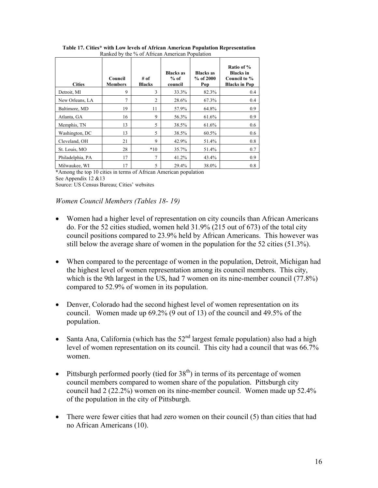| <b>Cities</b>    | Council<br><b>Members</b> | # of<br><b>Blacks</b> | <b>Blacks</b> as<br>$%$ of<br>council | <b>Blacks as</b><br>$%$ of 2000<br>Pop | Ratio of %<br><b>Blacks</b> in<br>Council to %<br><b>Blacks in Pop</b> |
|------------------|---------------------------|-----------------------|---------------------------------------|----------------------------------------|------------------------------------------------------------------------|
| Detroit, MI      | 9                         | 3                     | 33.3%                                 | 82.3%                                  | 0.4                                                                    |
| New Orleans, LA  | 7                         | 2                     | 28.6%                                 | 67.3%                                  | 0.4                                                                    |
| Baltimore, MD    | 19                        | 11                    | 57.9%                                 | 64.8%                                  | 0.9                                                                    |
| Atlanta, GA      | 16                        | 9                     | 56.3%                                 | 61.6%                                  | 0.9                                                                    |
| Memphis, TN      | 13                        | 5                     | 38.5%                                 | 61.6%                                  | 0.6                                                                    |
| Washington, DC   | 13                        | 5                     | 38.5%                                 | 60.5%                                  | 0.6                                                                    |
| Cleveland, OH    | 21                        | 9                     | 42.9%                                 | 51.4%                                  | 0.8                                                                    |
| St. Louis, MO    | 28                        | $*10$                 | 35.7%                                 | 51.4%                                  | 0.7                                                                    |
| Philadelphia, PA | 17                        | 7                     | 41.2%                                 | 43.4%                                  | 0.9                                                                    |
| Milwaukee, WI    | 17                        | 5                     | 29.4%                                 | 38.0%                                  | 0.8                                                                    |

 **Table 17. Cities\* with Low levels of African American Population Representation**  Ranked by the % of African American Population

**\***Among the top 10 cities in terms of African American population See Appendix 12 &13 Source: US Census Bureau; Cities' websites

## *Women Council Members (Tables 18- 19)*

- Women had a higher level of representation on city councils than African Americans do. For the 52 cities studied, women held 31.9% (215 out of 673) of the total city council positions compared to 23.9% held by African Americans. This however was still below the average share of women in the population for the 52 cities (51.3%).
- When compared to the percentage of women in the population, Detroit, Michigan had the highest level of women representation among its council members. This city, which is the 9th largest in the US, had 7 women on its nine-member council (77.8%) compared to 52.9% of women in its population.
- Denver, Colorado had the second highest level of women representation on its council. Women made up 69.2% (9 out of 13) of the council and 49.5% of the population.
- Santa Ana, California (which has the  $52<sup>nd</sup>$  largest female population) also had a high level of women representation on its council. This city had a council that was 66.7% women.
- Pittsburgh performed poorly (tied for  $38<sup>th</sup>$ ) in terms of its percentage of women council members compared to women share of the population. Pittsburgh city council had 2 (22.2%) women on its nine-member council. Women made up 52.4% of the population in the city of Pittsburgh.
- There were fewer cities that had zero women on their council (5) than cities that had no African Americans (10).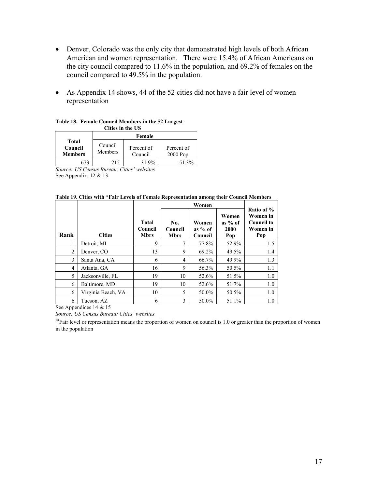- Denver, Colorado was the only city that demonstrated high levels of both African American and women representation. There were 15.4% of African Americans on the city council compared to 11.6% in the population, and 69.2% of females on the council compared to 49.5% in the population.
- As Appendix 14 shows, 44 of the 52 cities did not have a fair level of women representation

| Силэ ш ин сэ                              |                    |                       |                          |  |  |  |  |  |
|-------------------------------------------|--------------------|-----------------------|--------------------------|--|--|--|--|--|
|                                           | Female             |                       |                          |  |  |  |  |  |
| <b>Total</b><br>Council<br><b>Members</b> | Council<br>Members | Percent of<br>Council | Percent of<br>$2000$ Pop |  |  |  |  |  |
|                                           | 215                | 31 9%                 | $51.3\%$                 |  |  |  |  |  |

#### **Table 18. Female Council Members in the 52 Largest Cities in the US**

*Source: US Census Bureau; Cities' websites*  See Appendix: 12 & 13

#### **Table 19. Cities with \*Fair Levels of Female Representation among their Council Members**

|                |                    |                                        | Women                         |                               |                                   |                                                                |
|----------------|--------------------|----------------------------------------|-------------------------------|-------------------------------|-----------------------------------|----------------------------------------------------------------|
| Rank           | <b>Cities</b>      | <b>Total</b><br>Council<br><b>Mbrs</b> | No.<br>Council<br><b>Mbrs</b> | Women<br>as $%$ of<br>Council | Women<br>as $%$ of<br>2000<br>Pop | Ratio of %<br>Women in<br><b>Council to</b><br>Women in<br>Pop |
| 1              | Detroit, MI        | 9                                      | 7                             | 77.8%                         | 52.9%                             | 1.5                                                            |
| $\overline{c}$ | Denver, CO         | 13                                     | 9                             | 69.2%                         | 49.5%                             | 1.4                                                            |
| 3              | Santa Ana, CA      | 6                                      | 4                             | 66.7%                         | 49.9%                             | 1.3                                                            |
| $\overline{4}$ | Atlanta, GA        | 16                                     | 9                             | 56.3%                         | 50.5%                             | 1.1                                                            |
| 5              | Jacksonville, FL   | 19                                     | 10                            | 52.6%                         | 51.5%                             | 1.0                                                            |
| 6              | Baltimore, MD      | 19                                     | 10                            | 52.6%                         | 51.7%                             | 1.0                                                            |
| 6              | Virginia Beach, VA | 10                                     | 5                             | 50.0%                         | 50.5%                             | 1.0                                                            |
| 6              | Tucson, AZ         | 6                                      | 3                             | 50.0%                         | 51.1%                             | 1.0                                                            |

See Appendices 14 & 15

*Source: US Census Bureau; Cities' websites* 

*\**Fair level or representation means the proportion of women on council is 1.0 or greater than the proportion of women in the population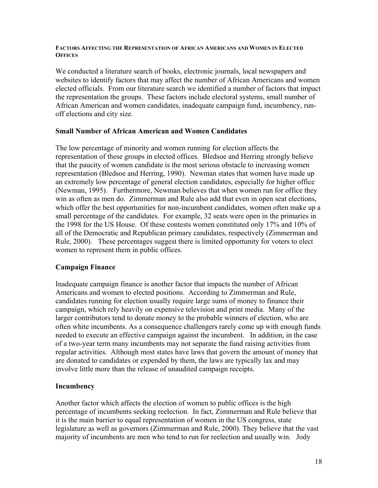### **FACTORS AFFECTING THE REPRESENTATION OF AFRICAN AMERICANS AND WOMEN IN ELECTED OFFICES**

We conducted a literature search of books, electronic journals, local newspapers and websites to identify factors that may affect the number of African Americans and women elected officials. From our literature search we identified a number of factors that impact the representation the groups. These factors include electoral systems, small number of African American and women candidates, inadequate campaign fund, incumbency, runoff elections and city size.

### **Small Number of African American and Women Candidates**

The low percentage of minority and women running for election affects the representation of these groups in elected offices. Bledsoe and Herring strongly believe that the paucity of women candidate is the most serious obstacle to increasing women representation (Bledsoe and Herring, 1990). Newman states that women have made up an extremely low percentage of general election candidates, especially for higher office (Newman, 1995). Furthermore, Newman believes that when women run for office they win as often as men do. Zimmerman and Rule also add that even in open seat elections, which offer the best opportunities for non-incumbent candidates, women often make up a small percentage of the candidates. For example, 32 seats were open in the primaries in the 1998 for the US House. Of these contests women constituted only 17% and 10% of all of the Democratic and Republican primary candidates, respectively (Zimmerman and Rule, 2000). These percentages suggest there is limited opportunity for voters to elect women to represent them in public offices.

## **Campaign Finance**

Inadequate campaign finance is another factor that impacts the number of African Americans and women to elected positions. According to Zimmerman and Rule, candidates running for election usually require large sums of money to finance their campaign, which rely heavily on expensive television and print media. Many of the larger contributors tend to donate money to the probable winners of election, who are often white incumbents. As a consequence challengers rarely come up with enough funds needed to execute an effective campaign against the incumbent. In addition, in the case of a two-year term many incumbents may not separate the fund raising activities from regular activities. Although most states have laws that govern the amount of money that are donated to candidates or expended by them, the laws are typically lax and may involve little more than the release of unaudited campaign receipts.

## **Incumbency**

Another factor which affects the election of women to public offices is the high percentage of incumbents seeking reelection. In fact, Zimmerman and Rule believe that it is the main barrier to equal representation of women in the US congress, state legislature as well as governors (Zimmerman and Rule, 2000). They believe that the vast majority of incumbents are men who tend to run for reelection and usually win. Jody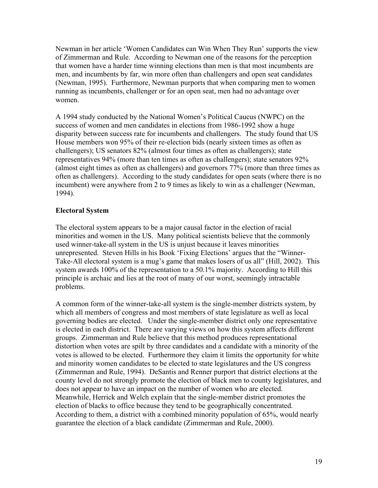Newman in her article 'Women Candidates can Win When They Run' supports the view of Zimmerman and Rule. According to Newman one of the reasons for the perception that women have a harder time winning elections than men is that most incumbents are men, and incumbents by far, win more often than challengers and open seat candidates (Newman, 1995). Furthermore, Newman purports that when comparing men to women running as incumbents, challenger or for an open seat, men had no advantage over women.

A 1994 study conducted by the National Women's Political Caucus (NWPC) on the success of women and men candidates in elections from 1986-1992 show a huge disparity between success rate for incumbents and challengers. The study found that US House members won 95% of their re-election bids (nearly sixteen times as often as challengers); US senators 82% (almost four times as often as challengers); state representatives 94% (more than ten times as often as challengers); state senators 92% (almost eight times as often as challengers) and governors 77% (more than three times as often as challengers). According to the study candidates for open seats (where there is no incumbent) were anywhere from 2 to 9 times as likely to win as a challenger (Newman, 1994).

## **Electoral System**

The electoral system appears to be a major causal factor in the election of racial minorities and women in the US. Many political scientists believe that the commonly used winner-take-all system in the US is unjust because it leaves minorities unrepresented. Steven Hills in his Book 'Fixing Elections' argues that the "Winner-Take-All electoral system is a mug's game that makes losers of us all" (Hill, 2002). This system awards 100% of the representation to a 50.1% majority. According to Hill this principle is archaic and lies at the root of many of our worst, seemingly intractable problems.

A common form of the winner-take-all system is the single-member districts system, by which all members of congress and most members of state legislature as well as local governing bodies are elected. Under the single-member district only one representative is elected in each district. There are varying views on how this system affects different groups. Zimmerman and Rule believe that this method produces representational distortion when votes are spilt by three candidates and a candidate with a minority of the votes is allowed to be elected. Furthermore they claim it limits the opportunity for white and minority women candidates to be elected to state legislatures and the US congress (Zimmerman and Rule, 1994). DeSantis and Renner purport that district elections at the county level do not strongly promote the election of black men to county legislatures, and does not appear to have an impact on the number of women who are elected. Meanwhile, Herrick and Welch explain that the single-member district promotes the election of blacks to office because they tend to be geographically concentrated. According to them, a district with a combined minority population of 65%, would nearly guarantee the election of a black candidate (Zimmerman and Rule, 2000).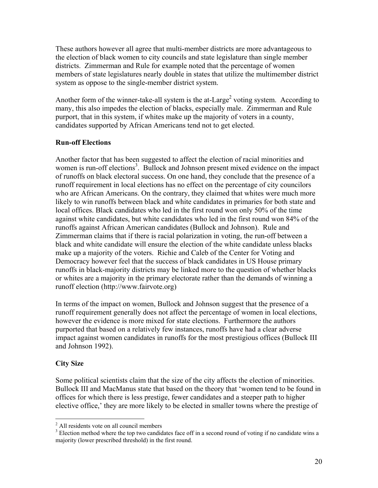These authors however all agree that multi-member districts are more advantageous to the election of black women to city councils and state legislature than single member districts. Zimmerman and Rule for example noted that the percentage of women members of state legislatures nearly double in states that utilize the multimember district system as oppose to the single-member district system.

Another form of the winner-take-all system is the at-Large<sup>2</sup> voting system. According to many, this also impedes the election of blacks, especially male. Zimmerman and Rule purport, that in this system, if whites make up the majority of voters in a county, candidates supported by African Americans tend not to get elected.

## **Run-off Elections**

Another factor that has been suggested to affect the election of racial minorities and women is run-off elections<sup>3</sup>. Bullock and Johnson present mixed evidence on the impact of runoffs on black electoral success. On one hand, they conclude that the presence of a runoff requirement in local elections has no effect on the percentage of city councilors who are African Americans. On the contrary, they claimed that whites were much more likely to win runoffs between black and white candidates in primaries for both state and local offices. Black candidates who led in the first round won only 50% of the time against white candidates, but white candidates who led in the first round won 84% of the runoffs against African American candidates (Bullock and Johnson). Rule and Zimmerman claims that if there is racial polarization in voting, the run-off between a black and white candidate will ensure the election of the white candidate unless blacks make up a majority of the voters. Richie and Caleb of the Center for Voting and Democracy however feel that the success of black candidates in US House primary runoffs in black-majority districts may be linked more to the question of whether blacks or whites are a majority in the primary electorate rather than the demands of winning a runoff election (http://www.fairvote.org)

In terms of the impact on women, Bullock and Johnson suggest that the presence of a runoff requirement generally does not affect the percentage of women in local elections, however the evidence is more mixed for state elections. Furthermore the authors purported that based on a relatively few instances, runoffs have had a clear adverse impact against women candidates in runoffs for the most prestigious offices (Bullock III and Johnson 1992).

## **City Size**

1

Some political scientists claim that the size of the city affects the election of minorities. Bullock III and MacManus state that based on the theory that 'women tend to be found in offices for which there is less prestige, fewer candidates and a steeper path to higher elective office,' they are more likely to be elected in smaller towns where the prestige of

<sup>&</sup>lt;sup>2</sup> All residents vote on all council members

 $3$  Election method where the top two candidates face off in a second round of voting if no candidate wins a majority (lower prescribed threshold) in the first round.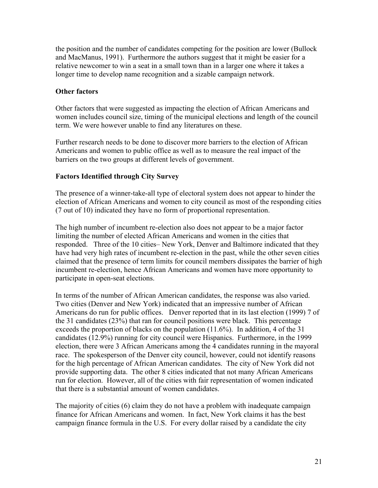the position and the number of candidates competing for the position are lower (Bullock and MacManus, 1991). Furthermore the authors suggest that it might be easier for a relative newcomer to win a seat in a small town than in a larger one where it takes a longer time to develop name recognition and a sizable campaign network.

## **Other factors**

Other factors that were suggested as impacting the election of African Americans and women includes council size, timing of the municipal elections and length of the council term. We were however unable to find any literatures on these.

Further research needs to be done to discover more barriers to the election of African Americans and women to public office as well as to measure the real impact of the barriers on the two groups at different levels of government.

## **Factors Identified through City Survey**

The presence of a winner-take-all type of electoral system does not appear to hinder the election of African Americans and women to city council as most of the responding cities (7 out of 10) indicated they have no form of proportional representation.

The high number of incumbent re-election also does not appear to be a major factor limiting the number of elected African Americans and women in the cities that responded. Three of the 10 cities– New York, Denver and Baltimore indicated that they have had very high rates of incumbent re-election in the past, while the other seven cities claimed that the presence of term limits for council members dissipates the barrier of high incumbent re-election, hence African Americans and women have more opportunity to participate in open-seat elections.

In terms of the number of African American candidates, the response was also varied. Two cities (Denver and New York) indicated that an impressive number of African Americans do run for public offices. Denver reported that in its last election (1999) 7 of the 31 candidates (23%) that ran for council positions were black. This percentage exceeds the proportion of blacks on the population (11.6%). In addition, 4 of the 31 candidates (12.9%) running for city council were Hispanics. Furthermore, in the 1999 election, there were 3 African Americans among the 4 candidates running in the mayoral race. The spokesperson of the Denver city council, however, could not identify reasons for the high percentage of African American candidates. The city of New York did not provide supporting data. The other 8 cities indicated that not many African Americans run for election. However, all of the cities with fair representation of women indicated that there is a substantial amount of women candidates.

The majority of cities (6) claim they do not have a problem with inadequate campaign finance for African Americans and women. In fact, New York claims it has the best campaign finance formula in the U.S. For every dollar raised by a candidate the city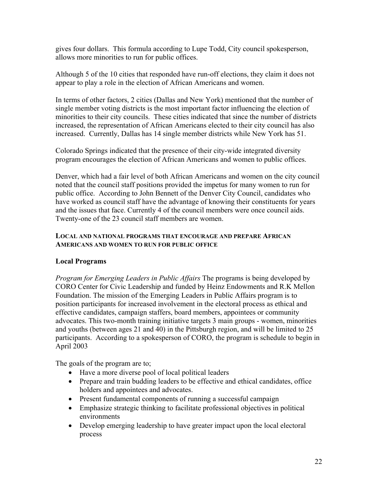gives four dollars. This formula according to Lupe Todd, City council spokesperson, allows more minorities to run for public offices.

Although 5 of the 10 cities that responded have run-off elections, they claim it does not appear to play a role in the election of African Americans and women.

In terms of other factors, 2 cities (Dallas and New York) mentioned that the number of single member voting districts is the most important factor influencing the election of minorities to their city councils. These cities indicated that since the number of districts increased, the representation of African Americans elected to their city council has also increased. Currently, Dallas has 14 single member districts while New York has 51.

Colorado Springs indicated that the presence of their city-wide integrated diversity program encourages the election of African Americans and women to public offices.

Denver, which had a fair level of both African Americans and women on the city council noted that the council staff positions provided the impetus for many women to run for public office. According to John Bennett of the Denver City Council, candidates who have worked as council staff have the advantage of knowing their constituents for years and the issues that face. Currently 4 of the council members were once council aids. Twenty-one of the 23 council staff members are women.

### **LOCAL AND NATIONAL PROGRAMS THAT ENCOURAGE AND PREPARE AFRICAN AMERICANS AND WOMEN TO RUN FOR PUBLIC OFFICE**

## **Local Programs**

*Program for Emerging Leaders in Public Affairs* The programs is being developed by CORO Center for Civic Leadership and funded by Heinz Endowments and R.K Mellon Foundation. The mission of the Emerging Leaders in Public Affairs program is to position participants for increased involvement in the electoral process as ethical and effective candidates, campaign staffers, board members, appointees or community advocates. This two-month training initiative targets 3 main groups - women, minorities and youths (between ages 21 and 40) in the Pittsburgh region, and will be limited to 25 participants. According to a spokesperson of CORO, the program is schedule to begin in April 2003

The goals of the program are to;

- Have a more diverse pool of local political leaders
- Prepare and train budding leaders to be effective and ethical candidates, office holders and appointees and advocates.
- Present fundamental components of running a successful campaign
- Emphasize strategic thinking to facilitate professional objectives in political environments
- Develop emerging leadership to have greater impact upon the local electoral process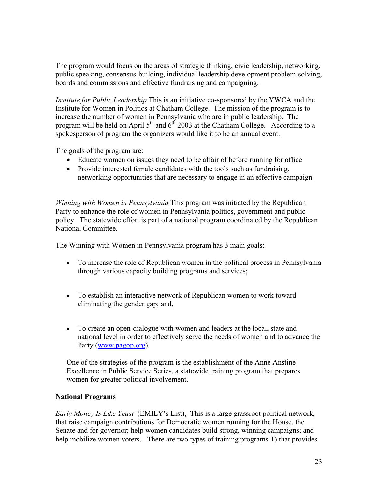The program would focus on the areas of strategic thinking, civic leadership, networking, public speaking, consensus-building, individual leadership development problem-solving, boards and commissions and effective fundraising and campaigning.

*Institute for Public Leadership* This is an initiative co-sponsored by the YWCA and the Institute for Women in Politics at Chatham College. The mission of the program is to increase the number of women in Pennsylvania who are in public leadership. The program will be held on April  $5<sup>th</sup>$  and  $6<sup>th</sup>$  2003 at the Chatham College. According to a spokesperson of program the organizers would like it to be an annual event.

The goals of the program are:

- Educate women on issues they need to be affair of before running for office
- Provide interested female candidates with the tools such as fundraising, networking opportunities that are necessary to engage in an effective campaign.

*Winning with Women in Pennsylvania* This program was initiated by the Republican Party to enhance the role of women in Pennsylvania politics, government and public policy. The statewide effort is part of a national program coordinated by the Republican National Committee.

The Winning with Women in Pennsylvania program has 3 main goals:

- To increase the role of Republican women in the political process in Pennsylvania through various capacity building programs and services;
- To establish an interactive network of Republican women to work toward eliminating the gender gap; and,
- To create an open-dialogue with women and leaders at the local, state and national level in order to effectively serve the needs of women and to advance the Party (www.pagop.org).

One of the strategies of the program is the establishment of the Anne Anstine Excellence in Public Service Series, a statewide training program that prepares women for greater political involvement.

## **National Programs**

*Early Money Is Like Yeast* (EMILY's List), This is a large grassroot political network, that raise campaign contributions for Democratic women running for the House, the Senate and for governor; help women candidates build strong, winning campaigns; and help mobilize women voters. There are two types of training programs-1) that provides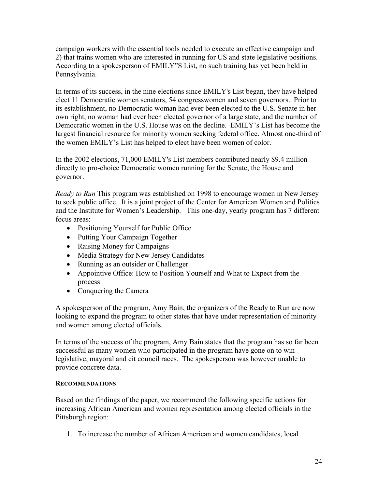campaign workers with the essential tools needed to execute an effective campaign and 2) that trains women who are interested in running for US and state legislative positions. According to a spokesperson of EMILY"S List, no such training has yet been held in Pennsylvania.

In terms of its success, in the nine elections since EMILY's List began, they have helped elect 11 Democratic women senators, 54 congresswomen and seven governors. Prior to its establishment, no Democratic woman had ever been elected to the U.S. Senate in her own right, no woman had ever been elected governor of a large state, and the number of Democratic women in the U.S. House was on the decline. EMILY's List has become the largest financial resource for minority women seeking federal office. Almost one-third of the women EMILY's List has helped to elect have been women of color.

In the 2002 elections, 71,000 EMILY's List members contributed nearly \$9.4 million directly to pro-choice Democratic women running for the Senate, the House and governor.

*Ready to Run* This program was established on 1998 to encourage women in New Jersey to seek public office. It is a joint project of the Center for American Women and Politics and the Institute for Women's Leadership. This one-day, yearly program has 7 different focus areas:

- Positioning Yourself for Public Office
- Putting Your Campaign Together
- Raising Money for Campaigns
- Media Strategy for New Jersey Candidates
- Running as an outsider or Challenger
- Appointive Office: How to Position Yourself and What to Expect from the process
- Conquering the Camera

A spokesperson of the program, Amy Bain, the organizers of the Ready to Run are now looking to expand the program to other states that have under representation of minority and women among elected officials.

In terms of the success of the program, Amy Bain states that the program has so far been successful as many women who participated in the program have gone on to win legislative, mayoral and cit council races. The spokesperson was however unable to provide concrete data.

## **RECOMMENDATIONS**

Based on the findings of the paper, we recommend the following specific actions for increasing African American and women representation among elected officials in the Pittsburgh region:

1. To increase the number of African American and women candidates, local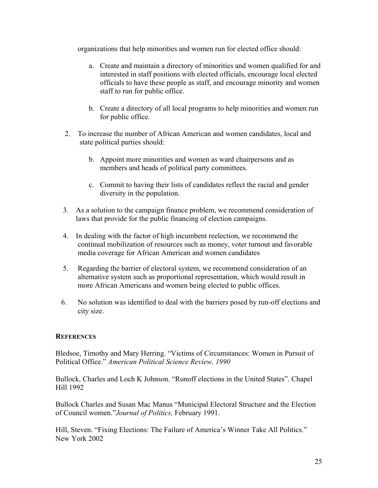organizations that help minorities and women run for elected office should:

- a. Create and maintain a directory of minorities and women qualified for and interested in staff positions with elected officials, encourage local elected officials to have these people as staff, and encourage minority and women staff to run for public office.
- b. Create a directory of all local programs to help minorities and women run for public office.
- 2. To increase the number of African American and women candidates, local and state political parties should:
	- b. Appoint more minorities and women as ward chairpersons and as members and heads of political party committees.
	- c. Commit to having their lists of candidates reflect the racial and gender diversity in the population.
- 3. As a solution to the campaign finance problem, we recommend consideration of laws that provide for the public financing of election campaigns.
- 4. In dealing with the factor of high incumbent reelection, we recommend the continual mobilization of resources such as money, voter turnout and favorable media coverage for African American and women candidates
- 5. Regarding the barrier of electoral system, we recommend consideration of an alternative system such as proportional representation, which would result in more African Americans and women being elected to public offices.
- 6. No solution was identified to deal with the barriers posed by run-off elections and city size.

## **REFERENCES**

Bledsoe, Timothy and Mary Herring. "Victims of Circumstances: Women in Pursuit of Political Office." *American Political Science Review, 1990* 

Bullock, Charles and Loch K Johnson. "Runoff elections in the United States". Chapel Hill 1992

Bullock Charles and Susan Mac Manus "Municipal Electoral Structure and the Election of Council women."*Journal of Politics,* February 1991.

Hill, Steven. "Fixing Elections: The Failure of America's Winner Take All Politics." New York 2002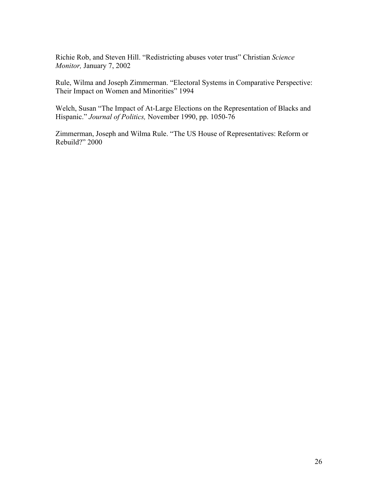Richie Rob, and Steven Hill. "Redistricting abuses voter trust" Christian *Science Monitor,* January 7, 2002

Rule, Wilma and Joseph Zimmerman. "Electoral Systems in Comparative Perspective: Their Impact on Women and Minorities" 1994

Welch, Susan "The Impact of At-Large Elections on the Representation of Blacks and Hispanic." *Journal of Politics,* November 1990, pp. 1050-76

Zimmerman, Joseph and Wilma Rule. "The US House of Representatives: Reform or Rebuild?" 2000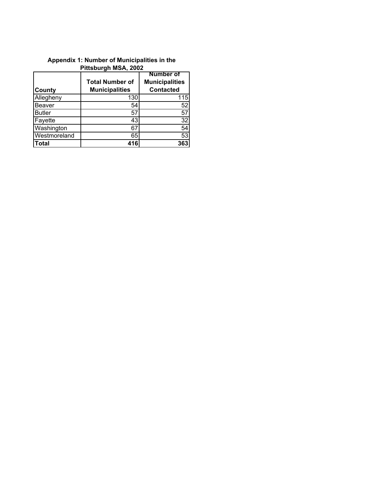| <b>County</b> | <b>Total Number of</b><br><b>Municipalities</b> | <b>Number of</b><br><b>Municipalities</b><br><b>Contacted</b> |
|---------------|-------------------------------------------------|---------------------------------------------------------------|
| Allegheny     | 130                                             | 115                                                           |
| <b>Beaver</b> | 54                                              | 52                                                            |
| <b>Butler</b> | 57                                              | 57                                                            |
| Fayette       | 43                                              | 32                                                            |
| Washington    | 67                                              | 54                                                            |
| Westmoreland  | 65                                              | 53                                                            |
| <b>Total</b>  | 416                                             | 363                                                           |

## **Appendix 1: Number of Municipalities in the Pittsburgh MSA, 2002**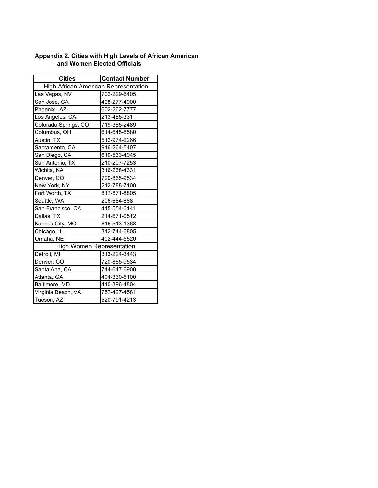## **Appendix 2. Cities with High Levels of African American and Women Elected Officials**

| <b>Cities</b>                        | <b>Contact Number</b> |  |  |  |
|--------------------------------------|-----------------------|--|--|--|
| High African American Representation |                       |  |  |  |
| Las Vegas, NV                        | 702-229-6405          |  |  |  |
| San Jose, CA                         | 408-277-4000          |  |  |  |
| Phoenix, AZ                          | 602-262-7777          |  |  |  |
| Los Angeles, CA                      | 213-485-331           |  |  |  |
| Colorado Springs, CO                 | 719-385-2489          |  |  |  |
| Columbus, OH                         | 614-645-8580          |  |  |  |
| Austin, TX                           | 512-974-2266          |  |  |  |
| Sacramento, CA                       | 916-264-5407          |  |  |  |
| San Diego, CA                        | 619-533-4045          |  |  |  |
| San Antonio, TX                      | 210-207-7253          |  |  |  |
| Wichita, KA                          | 316-268-4331          |  |  |  |
| Denver, CO                           | 720-865-9534          |  |  |  |
| New York, NY                         | 212-788-7100          |  |  |  |
| Fort Worth, TX                       | 817-871-8805          |  |  |  |
| Seattle, WA                          | 206-684-888           |  |  |  |
| San Francisco, CA                    | 415-554-6141          |  |  |  |
| Dallas, TX                           | 214-671-0512          |  |  |  |
| Kansas City, MO                      | 816-513-1368          |  |  |  |
| Chicago, IL                          | 312-744-6805          |  |  |  |
| Omaha, NE                            | 402-444-5520          |  |  |  |
| <b>High Women Representation</b>     |                       |  |  |  |
| Detroit, MI                          | 313-224-3443          |  |  |  |
| Denver, CO                           | 720-865-9534          |  |  |  |
| Santa Ana, CA                        | 714-647-6900          |  |  |  |
| Atlanta, GA                          | 404-330-6100          |  |  |  |
| Baltimore, MD                        | 410-396-4804          |  |  |  |
| Virginia Beach, VA                   | 757-427-4581          |  |  |  |
| Tucson, AZ                           | 520-791-4213          |  |  |  |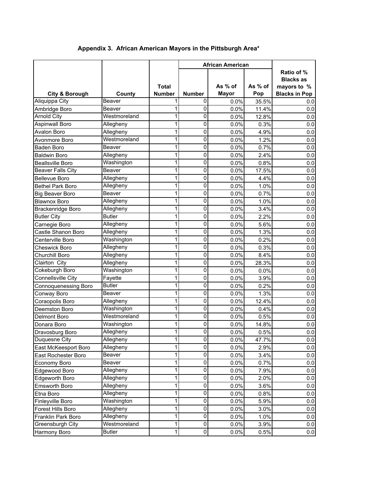|                                         |               |               | <b>African American</b> |              |              |                      |
|-----------------------------------------|---------------|---------------|-------------------------|--------------|--------------|----------------------|
|                                         |               |               |                         |              |              | Ratio of %           |
|                                         |               |               |                         |              |              | <b>Blacks as</b>     |
|                                         |               | <b>Total</b>  |                         | As % of      | As % of      | mayors to %          |
| <b>City &amp; Borough</b>               | County        | <b>Number</b> | Number                  | <b>Mayor</b> | Pop          | <b>Blacks in Pop</b> |
| Aliquippa City                          | Beaver        |               | 0                       | 0.0%         | 35.5%        | 0.0                  |
| Ambridge Boro                           | Beaver        | 1             | 0                       | 0.0%         | 11.4%        | 0.0                  |
| <b>Arnold City</b>                      | Westmoreland  | 1             | 0                       | 0.0%         | 12.8%        | 0.0                  |
| <b>Aspinwall Boro</b>                   | Allegheny     | 1             | 0                       | 0.0%         | 0.3%         | 0.0                  |
| Avalon Boro                             | Allegheny     | 1             | 0                       | 0.0%         | 4.9%         | $0.0\,$              |
| Avonmore Boro                           | Westmoreland  | 1             | 0                       | 0.0%         | 1.2%         | 0.0                  |
| Baden Boro                              | Beaver        | 1             | 0                       | 0.0%         | 0.7%         | $0.0\,$              |
| <b>Baldwin Boro</b>                     | Allegheny     | 1             | 0                       | 0.0%         | 2.4%         | 0.0                  |
| <b>Beallsville Boro</b>                 | Washington    | 1             | 0                       | 0.0%         | 0.8%         | 0.0                  |
| <b>Beaver Falls City</b>                | Beaver        | 1             | 0                       | 0.0%         | 17.5%        | 0.0                  |
| <b>Bellevue Boro</b>                    | Allegheny     | 1             | 0                       | 0.0%         | 4.4%         | 0.0                  |
| <b>Bethel Park Boro</b>                 | Allegheny     | 1             | 0                       | 0.0%         | 1.0%         | 0.0                  |
| <b>Big Beaver Boro</b>                  | Beaver        | 1             | 0                       | 0.0%         | 0.7%         | $0.0\,$              |
| <b>Blawnox Boro</b>                     | Allegheny     | 1             | 0                       | 0.0%         | 1.0%         | 0.0                  |
| <b>Brackenridge Boro</b>                | Allegheny     | 1             | 0                       | 0.0%         | 3.4%         | 0.0                  |
| <b>Butler City</b>                      | <b>Butler</b> | 1             | 0                       | 0.0%         | 2.2%         | 0.0                  |
| Carnegie Boro                           | Allegheny     | 1             | 0                       | 0.0%         | 5.6%         | 0.0                  |
| Castle Shanon Boro                      | Allegheny     | 1             | 0                       | 0.0%         | 1.3%         | $0.0\,$              |
| Centerville Boro                        | Washington    | 1             | 0                       | 0.0%         | 0.2%         | 0.0                  |
| Cheswick Boro                           | Allegheny     | 1             | 0                       | 0.0%         | 0.3%         | 0.0                  |
| Churchill Boro                          | Allegheny     | 1             | 0                       | 0.0%         | 8.4%         | 0.0                  |
| Clairton City                           | Allegheny     | 1             | 0                       | 0.0%         | 28.3%        | 0.0                  |
| Cokeburgh Boro                          | Washington    | 1             | 0                       | 0.0%         | 0.0%         | 0.0                  |
| Connellsville City                      | Fayette       | 1             | 0                       | 0.0%         | 3.9%         | 0.0                  |
| Connoquenessing Boro                    | <b>Butler</b> | 1             | 0                       | 0.0%         | 0.2%         | 0.0                  |
| Conway Boro                             | Beaver        | 1             | 0                       | 0.0%         | 1.3%         | 0.0                  |
| Coraopolis Boro                         | Allegheny     | 1             | 0                       | 0.0%         | 12.4%        | 0.0                  |
| Deemston Boro                           | Washington    | 1             | 0                       | 0.0%         | 0.4%         | 0.0                  |
| Delmont Boro                            | Westmoreland  | 1             | 0                       | 0.0%         | 0.5%         | $0.0\,$              |
| Donara Boro                             | Washington    | 1             | 0                       | 0.0%         | 14.8%        | 0.0                  |
| Dravosburg Boro                         | Allegheny     | 1             | 0                       | 0.0%         | 0.5%         | 0.0                  |
| Duquesne City                           | Allegheny     | 1             | 0                       | 0.0%         | 47.7%        | $0.0\,$              |
| East McKeesport Boro                    | Allegheny     | 1             | 0                       | 0.0%         | 2.9%         | 0.0                  |
| East Rochester Boro                     | Beaver        | 1             | 0                       | 0.0%         | 3.4%         | 0.0                  |
| Economy Boro                            | Beaver        | 1             | 0                       | 0.0%         | 0.7%         | 0.0                  |
| Edgewood Boro                           | Allegheny     | 1             | $\pmb{0}$               | 0.0%         | 7.9%         | 0.0                  |
| Edgeworth Boro                          | Allegheny     | 1             | $\pmb{0}$               | 0.0%         | 2.0%         | 0.0                  |
| Emsworth Boro                           | Allegheny     | 1             | $\pmb{0}$               | 0.0%         | 3.6%         | 0.0                  |
| Etna Boro                               | Allegheny     | 1             | 0                       | 0.0%         | 0.8%         | 0.0                  |
| Finleyville Boro                        | Washington    | 1             | $\pmb{0}$               | 0.0%         | 5.9%         |                      |
|                                         | Allegheny     | 1             | $\pmb{0}$               | 0.0%         |              | 0.0<br>0.0           |
| Forest Hills Boro<br>Franklin Park Boro | Allegheny     | 1             | $\overline{0}$          | 0.0%         | 3.0%<br>1.0% | $0.0\,$              |
| Greensburgh City                        | Westmoreland  | 1             | $\pmb{0}$               |              |              |                      |
|                                         | <b>Butler</b> | $\mathbf 1$   | $\overline{0}$          | 0.0%         | 3.9%         | 0.0                  |
| Harmony Boro                            |               |               |                         | 0.0%         | 0.5%         | 0.0                  |

## **Appendix 3. African American Mayors in the Pittsburgh Area\***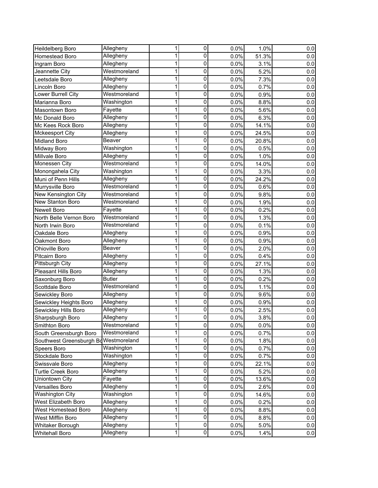| Heildelberg Boro         | Allegheny     | 1 | $\overline{0}$          | 0.0% | 1.0%  | 0.0 |
|--------------------------|---------------|---|-------------------------|------|-------|-----|
| Homestead Boro           | Allegheny     | 1 | 0                       | 0.0% | 51.3% | 0.0 |
| Ingram Boro              | Allegheny     | 1 | 0                       | 0.0% | 3.1%  | 0.0 |
| Jeannette City           | Westmoreland  | 1 | 0                       | 0.0% | 5.2%  | 0.0 |
| Leetsdale Boro           | Allegheny     | 1 | 0                       | 0.0% | 7.3%  | 0.0 |
| Lincoln Boro             | Allegheny     | 1 | 0                       | 0.0% | 0.7%  | 0.0 |
| Lower Burrell City       | Westmoreland  | 1 | 0                       | 0.0% | 0.9%  | 0.0 |
| Marianna Boro            | Washington    | 1 | 0                       | 0.0% | 8.8%  | 0.0 |
| Masontown Boro           | Fayette       | 1 | 0                       | 0.0% | 5.6%  | 0.0 |
| Mc Donald Boro           | Allegheny     | 1 | 0                       | 0.0% | 6.3%  | 0.0 |
| Mc Kees Rock Boro        | Allegheny     | 1 | $\mathbf 0$             | 0.0% | 14.1% | 0.0 |
| Mckeesport City          | Allegheny     | 1 | $\pmb{0}$               | 0.0% | 24.5% | 0.0 |
| Midland Boro             | Beaver        | 1 | $\overline{0}$          | 0.0% | 20.8% | 0.0 |
| Midway Boro              | Washington    | 1 | 0                       | 0.0% | 0.5%  | 0.0 |
| Millvale Boro            | Allegheny     | 1 | 0                       | 0.0% | 1.0%  | 0.0 |
| Monessen City            | Westmoreland  | 1 | 0                       | 0.0% | 14.0% | 0.0 |
| Monongahela City         | Washington    | 1 | 0                       | 0.0% | 3.3%  | 0.0 |
| Muni of Penn Hills       | Allegheny     | 1 | 0                       | 0.0% | 24.2% | 0.0 |
| Murrysville Boro         | Westmoreland  | 1 | 0                       | 0.0% | 0.6%  | 0.0 |
| New Kensington City      | Westmoreland  | 1 | 0                       | 0.0% | 9.8%  | 0.0 |
| New Stanton Boro         | Westmoreland  | 1 | 0                       | 0.0% | 1.9%  | 0.0 |
| <b>Newell Boro</b>       | Fayette       | 1 | 0                       | 0.0% | 0.2%  | 0.0 |
| North Belle Vernon Boro  | Westmoreland  | 1 | 0                       | 0.0% | 1.3%  | 0.0 |
| North Irwin Boro         | Westmoreland  | 1 | $\mathbf 0$             | 0.0% | 0.1%  | 0.0 |
| Oakdale Boro             | Allegheny     | 1 | $\mathbf 0$             | 0.0% | 0.9%  | 0.0 |
| Oakmont Boro             | Allegheny     | 1 | $\overline{0}$          | 0.0% | 0.9%  | 0.0 |
| Ohioville Boro           | Beaver        | 1 | 0                       | 0.0% | 2.0%  | 0.0 |
| Pitcairn Boro            | Allegheny     | 1 | 0                       | 0.0% | 0.4%  | 0.0 |
| Pittsburgh City          | Allegheny     | 1 | 0                       | 0.0% | 27.1% | 0.0 |
| Pleasant Hills Boro      | Allegheny     | 1 | 0                       | 0.0% | 1.3%  | 0.0 |
| Saxonburg Boro           | <b>Butler</b> | 1 | 0                       | 0.0% | 0.2%  | 0.0 |
| Scottdale Boro           | Westmoreland  | 1 | 0                       | 0.0% | 1.1%  | 0.0 |
| Sewickley Boro           | Allegheny     | 1 | 0                       | 0.0% | 9.6%  | 0.0 |
| Sewickley Heights Boro   | Allegheny     | 1 | 0                       | 0.0% | 0.9%  | 0.0 |
| Sewickley Hills Boro     | Allegheny     | 1 | 0                       | 0.0% | 2.5%  | 0.0 |
| Sharpsburgh Boro         | Allegheny     | 1 | $\mathbf 0$             | 0.0% | 3.8%  | 0.0 |
| Smithton Boro            | Westmoreland  | 1 | $\pmb{0}$               | 0.0% | 0.0%  | 0.0 |
| South Greensburgh Boro   | Westmoreland  | 1 | $\pmb{0}$               | 0.0% | 0.7%  | 0.0 |
| Southwest Greensburgh Bo | Westmoreland  | 1 | $\mathbf 0$             | 0.0% | 1.8%  | 0.0 |
| Speers Boro              | Washington    | 1 | $\pmb{0}$               | 0.0% | 0.7%  | 0.0 |
| Stockdale Boro           | Washington    | 1 | $\pmb{0}$               | 0.0% | 0.7%  | 0.0 |
| Swissvale Boro           | Allegheny     | 1 | $\overline{0}$          | 0.0% | 22.1% | 0.0 |
| Turtle Creek Boro        | Allegheny     | 1 | $\overline{\mathsf{o}}$ | 0.0% | 5.2%  | 0.0 |
| Uniontown City           | Fayette       | 1 | $\overline{0}$          | 0.0% | 13.6% | 0.0 |
| Versailles Boro          | Allegheny     | 1 | $\overline{0}$          | 0.0% | 2.6%  | 0.0 |
| <b>Washington City</b>   | Washington    | 1 | 0                       | 0.0% | 14.6% | 0.0 |
| West Elizabeth Boro      | Allegheny     | 1 | $\pmb{0}$               | 0.0% | 0.2%  | 0.0 |
| West Homestead Boro      | Allegheny     | 1 | $\overline{\mathsf{o}}$ | 0.0% | 8.8%  | 0.0 |
| West Mifflin Boro        | Allegheny     | 1 | $\overline{\mathsf{o}}$ | 0.0% | 8.8%  | 0.0 |
| Whitaker Borough         | Allegheny     | 1 | $\pmb{0}$               | 0.0% | 5.0%  | 0.0 |
| <b>Whitehall Boro</b>    | Allegheny     | 1 | $\overline{0}$          | 0.0% | 1.4%  | 0.0 |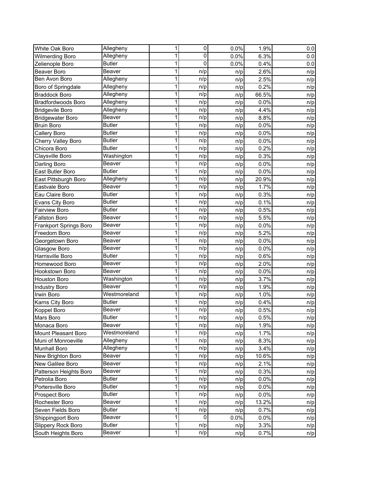| White Oak Boro                | Allegheny     | 1           | $\overline{0}$ |      | 1.9%  |     |
|-------------------------------|---------------|-------------|----------------|------|-------|-----|
|                               | Allegheny     | 1           | 0              | 0.0% |       | 0.0 |
| <b>Wilmerding Boro</b>        | <b>Butler</b> | 1           | 0              | 0.0% | 6.3%  | 0.0 |
| Zelienople Boro               | Beaver        | 1           |                | 0.0% | 0.4%  | 0.0 |
| Beaver Boro                   |               |             | n/p            | n/p  | 2.6%  | n/p |
| Ben Avon Boro                 | Allegheny     | 1           | n/p            | n/p  | 2.5%  | n/p |
| Boro of Springdale            | Allegheny     | 1           | n/p            | n/p  | 0.2%  | n/p |
| <b>Braddock Boro</b>          | Allegheny     | 1           | n/p            | n/p  | 66.5% | n/p |
| <b>Bradfordwoods Boro</b>     | Allegheny     | 1           | n/p            | n/p  | 0.0%  | n/p |
| <b>Bridgevile Boro</b>        | Allegheny     | 1           | n/p            | n/p  | 4.4%  | n/p |
| <b>Bridgewater Boro</b>       | Beaver        | 1           | n/p            | n/p  | 8.8%  | n/p |
| <b>Bruin Boro</b>             | <b>Butler</b> | 1           | n/p            | n/p  | 0.0%  | n/p |
| Callery Boro                  | <b>Butler</b> | 1           | n/p            | n/p  | 0.0%  | n/p |
| Cherry Valley Boro            | <b>Butler</b> | 1           | n/p            | n/p  | 0.0%  | n/p |
| Chicora Boro                  | <b>Butler</b> | 1           | n/p            | n/p  | 0.2%  | n/p |
| Claysville Boro               | Washington    | 1           | n/p            | n/p  | 0.3%  | n/p |
| Darling Boro                  | Beaver        | 1           | n/p            | n/p  | 0.0%  | n/p |
| East Butler Boro              | <b>Butler</b> | 1           | n/p            | n/p  | 0.0%  | n/p |
| East Pittsburgh Boro          | Allegheny     | 1           | n/p            | n/p  | 20.9% | n/p |
| Eastvale Boro                 | Beaver        | 1           | n/p            | n/p  | 1.7%  | n/p |
| Eau Claire Boro               | <b>Butler</b> | 1           | n/p            | n/p  | 0.3%  | n/p |
| Evans City Boro               | <b>Butler</b> | 1           | n/p            | n/p  | 0.1%  | n/p |
| <b>Fairview Boro</b>          | <b>Butler</b> | 1           | n/p            | n/p  | 0.5%  | n/p |
| Fallston Boro                 | Beaver        | 1           | n/p            | n/p  | 5.5%  | n/p |
| <b>Frankport Springs Boro</b> | Beaver        | 1           | n/p            | n/p  | 0.0%  | n/p |
| Freedom Boro                  | Beaver        | 1           | n/p            | n/p  | 5.2%  | n/p |
| Georgetown Boro               | Beaver        | 1           | n/p            | n/p  | 0.0%  | n/p |
| Glasgow Boro                  | Beaver        | 1           | n/p            | n/p  | 0.0%  | n/p |
| Harrisville Boro              | <b>Butler</b> | 1           | n/p            | n/p  | 0.6%  | n/p |
| Homewood Boro                 | Beaver        | 1           | n/p            | n/p  | 2.0%  | n/p |
| Hookstown Boro                | Beaver        | 1           | n/p            | n/p  | 0.0%  | n/p |
| <b>Houston Boro</b>           | Washington    | 1           | n/p            | n/p  | 3.7%  | n/p |
| <b>Industry Boro</b>          | Beaver        | 1           | n/p            |      | 1.9%  |     |
| Irwin Boro                    | Westmoreland  | 1           | n/p            | n/p  | 1.0%  | n/p |
|                               | <b>Butler</b> | 1           | n/p            | n/p  | 0.4%  | n/p |
| Karns City Boro               | Beaver        | 1           |                | n/p  | 0.5%  | n/p |
| Koppel Boro                   | <b>Butler</b> | 1           | n/p            | n/p  |       | n/p |
| Mars Boro                     | Beaver        | 1           | n/p            | n/p  | 0.5%  | n/p |
| Monaca Boro                   |               |             | n/p            | n/p  | 1.9%  | n/p |
| Mount Pleasant Boro           | Westmoreland  | 1           | n/p            | n/p  | 1.7%  | n/p |
| Muni of Monroeville           | Allegheny     | 1           | n/p            | n/p  | 8.3%  | n/p |
| Munhall Boro                  | Allegheny     | 1           | n/p            | n/p  | 3.4%  | n/p |
| New Brighton Boro             | Beaver        | 1           | n/p            | n/p  | 10.6% | n/p |
| New Galilee Boro              | Beaver        | 1           | n/p            | n/p  | 2.1%  | n/p |
| Patterson Heights Boro        | Beaver        | 1           | n/p            | n/p  | 0.3%  | n/p |
| Petrolia Boro                 | <b>Butler</b> | 1           | n/p            | n/p  | 0.0%  | n/p |
| Portersville Boro             | <b>Butler</b> | 1           | n/p            | n/p  | 0.0%  | n/p |
| Prospect Boro                 | <b>Butler</b> | 1           | n/p            | n/p  | 0.0%  | n/p |
| Rochester Boro                | Beaver        | 1           | n/p            | n/p  | 13.2% | n/p |
| Seven Fields Boro             | <b>Butler</b> | 1           | n/p            | n/p  | 0.7%  | n/p |
| Shippingport Boro             | Beaver        | 1           | $\pmb{0}$      | 0.0% | 0.0%  | n/p |
| Slippery Rock Boro            | <b>Butler</b> | 1           | n/p            | n/p  | 3.3%  | n/p |
| South Heights Boro            | Beaver        | $\mathbf 1$ | n/p            | n/p  | 0.7%  | n/p |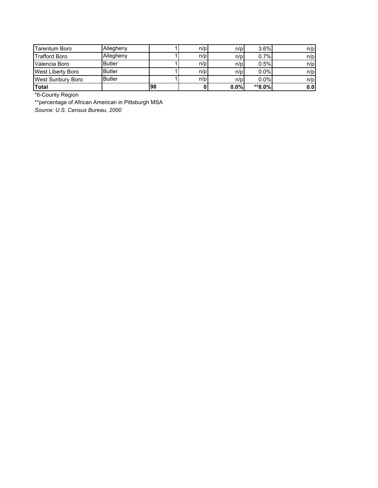| Tarentum Boro            | Allegheny     |    | n/p | n/p  | 3.6%    | n/p |
|--------------------------|---------------|----|-----|------|---------|-----|
| Trafford Boro            | Allegheny     |    | n/p | n/p  | 0.7%    | n/p |
| Valencia Boro            | <b>Butler</b> |    | n/p | n/p  | 0.5%    | n/p |
| <b>West Liberty Boro</b> | <b>Butler</b> |    | n/p | n/p  | 0.0%    | n/p |
| West Sunbury Boro        | <b>Butler</b> |    | n/p | n/p  | $0.0\%$ | n/p |
| <b>Total</b>             |               | 98 |     | 0.0% | **8.0%  | 0.0 |

\*6-County Region

\*\*percentage of African American in Pittsburgh MSA

*Source: U.S. Census Bureau, 2000*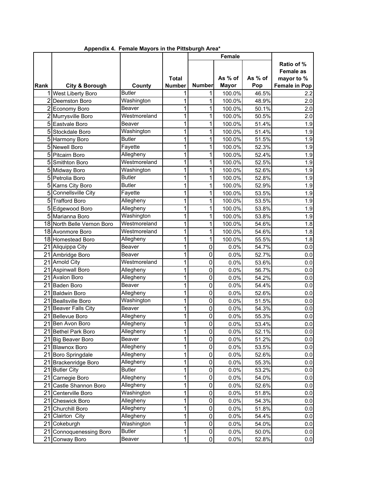|      |                            |               |               |                | Female       |         |                                       |
|------|----------------------------|---------------|---------------|----------------|--------------|---------|---------------------------------------|
|      |                            |               | <b>Total</b>  |                | As % of      | As % of | Ratio of %<br>Female as<br>mayor to % |
| Rank | <b>City &amp; Borough</b>  | County        | <b>Number</b> | <b>Number</b>  | <b>Mayor</b> | Pop     | <b>Female in Pop</b>                  |
|      | West Liberty Boro          | <b>Butler</b> | 1             | 1              | 100.0%       | 46.5%   | 2.2                                   |
|      | 2 Deemston Boro            | Washington    | 1             | 1              | 100.0%       | 48.9%   | 2.0                                   |
|      | 2 Economy Boro             | Beaver        | 1             | 1              | 100.0%       | 50.1%   | 2.0                                   |
|      | 2 Murrysville Boro         | Westmoreland  | 1             | 1              | 100.0%       | 50.5%   | 2.0                                   |
|      | 5 Eastvale Boro            | Beaver        | 1             | 1              | 100.0%       | 51.4%   | 1.9                                   |
|      | 5 Stockdale Boro           | Washington    | 1             | 1              | 100.0%       | 51.4%   | 1.9                                   |
|      | 5 Harmony Boro             | <b>Butler</b> | 1             | 1              | 100.0%       | 51.5%   | 1.9                                   |
|      | 5 Newell Boro              | Fayette       | 1             | 1              | 100.0%       | 52.3%   | 1.9                                   |
|      | 5 Pitcairn Boro            | Allegheny     | 1             | 1              | 100.0%       | 52.4%   | 1.9                                   |
|      | 5 Smithton Boro            | Westmoreland  | 1             | 1              | 100.0%       | 52.5%   | 1.9                                   |
|      | 5 Midway Boro              | Washington    | 1             | 1              | 100.0%       | 52.6%   | 1.9                                   |
|      | 5 Petrolia Boro            | <b>Butler</b> | 1             | 1              | 100.0%       | 52.8%   | 1.9                                   |
|      | 5 Karns City Boro          | <b>Butler</b> | 1             | 1              | 100.0%       | 52.9%   | 1.9                                   |
|      | 5 Connellsville City       | Fayette       | 1             | 1              | 100.0%       | 53.5%   | 1.9                                   |
|      | 5 Trafford Boro            | Allegheny     | 1             | 1              | 100.0%       | 53.5%   | 1.9                                   |
|      | 5 Edgewood Boro            | Allegheny     | 1             | 1              | 100.0%       | 53.8%   | 1.9                                   |
|      | 5 Marianna Boro            | Washington    | 1             | 1              | 100.0%       | 53.8%   | 1.9                                   |
|      | 18 North Belle Vernon Boro | Westmoreland  | 1             | 1              | 100.0%       | 54.6%   | 1.8                                   |
|      | 18 Avonmore Boro           | Westmoreland  | 1             | 1              | 100.0%       | 54.6%   | 1.8                                   |
|      | 18 Homestead Boro          | Allegheny     | 1             | 1              | 100.0%       | 55.5%   | 1.8                                   |
|      | 21 Aliquippa City          | Beaver        | 1             | $\mathbf 0$    | 0.0%         | 54.7%   | 0.0                                   |
|      | 21 Ambridge Boro           | Beaver        | 1             | $\mathbf 0$    | 0.0%         | 52.7%   | 0.0                                   |
|      | 21 Arnold City             | Westmoreland  | 1             | $\mathbf 0$    | 0.0%         | 53.6%   | $0.0\,$                               |
|      | 21 Aspinwall Boro          | Allegheny     | 1             | $\mathbf 0$    | 0.0%         | 56.7%   | 0.0                                   |
|      | 21 Avalon Boro             | Allegheny     | 1             | $\mathbf 0$    | 0.0%         | 54.2%   | 0.0                                   |
|      | 21 Baden Boro              | Beaver        | 1             | $\mathbf 0$    | 0.0%         | 54.4%   | 0.0                                   |
|      | 21 Baldwin Boro            | Allegheny     | 1             | $\mathbf 0$    | 0.0%         | 52.6%   | 0.0                                   |
| 21   | <b>Beallsville Boro</b>    | Washington    | 1             | $\mathbf 0$    | 0.0%         | 51.5%   | 0.0                                   |
| 21   | Beaver Falls City          | Beaver        | 1             | $\mathbf 0$    | 0.0%         | 54.3%   | 0.0                                   |
|      | 21 Bellevue Boro           | Allegheny     | 1             | $\mathbf 0$    | 0.0%         | 55.3%   | 0.0                                   |
|      | 21 Ben Avon Boro           | Allegheny     | 1             | $\mathbf 0$    | 0.0%         | 53.4%   | 0.0                                   |
|      | 21 Bethel Park Boro        | Allegheny     | 1             | $\overline{0}$ | 0.0%         | 52.1%   | $0.0\,$                               |
|      | 21 Big Beaver Boro         | Beaver        | 1             | $\mathbf 0$    | 0.0%         | 51.2%   | 0.0                                   |
|      | 21 Blawnox Boro            | Allegheny     | 1             | $\mathbf 0$    | 0.0%         | 53.5%   | 0.0                                   |
|      | 21 Boro Springdale         | Allegheny     | 1             | $\mathbf 0$    | 0.0%         | 52.6%   | 0.0                                   |
|      | 21 Brackenridge Boro       | Allegheny     | 1             | $\mathbf 0$    | 0.0%         | 55.3%   | 0.0                                   |
|      | 21 Butler City             | <b>Butler</b> | 1             | $\pmb{0}$      | 0.0%         | 53.2%   | 0.0                                   |
|      | 21 Carnegie Boro           | Allegheny     | 1             | $\pmb{0}$      | 0.0%         | 54.0%   | 0.0                                   |
| 21   | Castle Shannon Boro        | Allegheny     | 1             | $\mathbf 0$    | 0.0%         | 52.6%   | 0.0                                   |
| 21   | Centerville Boro           | Washington    | 1             | $\mathbf 0$    | 0.0%         | 51.8%   | 0.0                                   |
| 21   | <b>Cheswick Boro</b>       | Allegheny     | 1             | $\mathbf 0$    | 0.0%         | 54.3%   | 0.0                                   |
| 21   | Churchill Boro             | Allegheny     | 1             | $\mathbf 0$    | 0.0%         | 51.8%   | 0.0                                   |
|      | 21 Clairton City           | Allegheny     | 1             | $\mathbf 0$    | 0.0%         | 54.4%   | 0.0                                   |
|      | 21 Cokeburgh               | Washington    | 1             | $\pmb{0}$      | 0.0%         | 54.0%   | 0.0                                   |
|      | 21 Connoquenessing Boro    | <b>Butler</b> | 1             | $\pmb{0}$      | 0.0%         | 50.0%   |                                       |
| 21   |                            | Beaver        | 1             | $\pmb{0}$      | 0.0%         | 52.8%   | 0.0                                   |
|      | Conway Boro                |               |               |                |              |         | 0.0                                   |

 **Appendix 4. Female Mayors in the Pittsburgh Area\***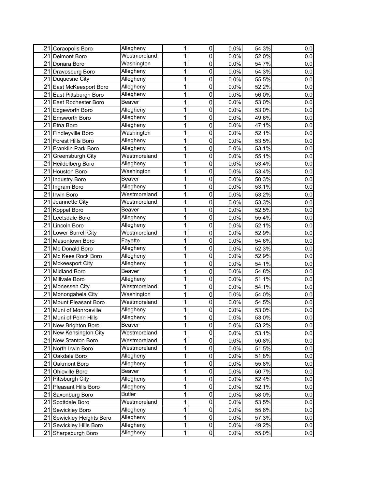| 21 Coraopolis Boro             | Allegheny                         | 1 | 0                             | 0.0% | 54.3% | 0.0 |
|--------------------------------|-----------------------------------|---|-------------------------------|------|-------|-----|
| 21 Delmont Boro                | Westmoreland                      |   |                               | 0.0% |       |     |
| 21 Donara Boro                 |                                   | 1 | 0                             | 0.0% | 52.0% | 0.0 |
|                                | Washington                        | 1 | 0                             |      | 54.7% | 0.0 |
| 21 Dravosburg Boro             | Allegheny                         | 1 | 0                             | 0.0% | 54.3% | 0.0 |
| 21 Duquesne City               | Allegheny                         | 1 | 0                             | 0.0% | 55.5% | 0.0 |
| 21 East McKeesport Boro        | Allegheny                         | 1 | 0                             | 0.0% | 52.2% | 0.0 |
| 21 East Pittsburgh Boro        | Allegheny                         | 1 | 0                             | 0.0% | 56.0% | 0.0 |
| 21 East Rochester Boro         | Beaver                            | 1 | 0                             | 0.0% | 53.0% | 0.0 |
| 21<br><b>Edgeworth Boro</b>    | Allegheny                         | 1 | 0                             | 0.0% | 53.0% | 0.0 |
| 21 Emsworth Boro               | Allegheny                         | 1 | 0                             | 0.0% | 49.6% | 0.0 |
| 21<br>Etna Boro                | Allegheny                         | 1 | 0                             | 0.0% | 47.1% | 0.0 |
| 21 Findleyville Boro           | Washington                        | 1 | 0                             | 0.0% | 52.1% | 0.0 |
| 21<br><b>Forest Hills Boro</b> | Allegheny                         | 1 | 0                             | 0.0% | 53.5% | 0.0 |
| 21<br>Franklin Park Boro       | Allegheny                         | 1 | 0                             | 0.0% | 53.1% | 0.0 |
| 21<br>Greensburgh City         | Westmoreland                      | 1 | 0                             | 0.0% | 55.1% | 0.0 |
| 21 Heildelberg Boro            | Allegheny                         | 1 | 0                             | 0.0% | 53.4% | 0.0 |
| 21 Houston Boro                | $\overline{\mathsf{W}}$ ashington | 1 | 0                             | 0.0% | 53.4% | 0.0 |
| 21 Industry Boro               | Beaver                            | 1 | 0                             | 0.0% | 50.3% | 0.0 |
| 21 Ingram Boro                 | Allegheny                         | 1 | 0                             | 0.0% | 53.1% | 0.0 |
| 21 Irwin Boro                  | Westmoreland                      | 1 | 0                             | 0.0% | 53.2% | 0.0 |
| 21 Jeannette City              | Westmoreland                      | 1 | 0                             | 0.0% | 53.3% | 0.0 |
| 21 Koppel Boro                 | Beaver                            | 1 | 0                             | 0.0% | 52.5% | 0.0 |
| 21 Leetsdale Boro              | Allegheny                         | 1 | 0                             | 0.0% | 55.4% | 0.0 |
| 21 Lincoln Boro                | Allegheny                         | 1 | 0                             | 0.0% | 52.1% | 0.0 |
| 21 Lower Burrell City          | Westmoreland                      | 1 | 0                             | 0.0% | 52.9% | 0.0 |
| 21 Masontown Boro              | Fayette                           | 1 | 0                             | 0.0% | 54.6% | 0.0 |
| 21 Mc Donald Boro              | Allegheny                         | 1 | 0                             | 0.0% | 52.3% | 0.0 |
| 21 Mc Kees Rock Boro           | Allegheny                         | 1 | 0                             | 0.0% | 52.9% | 0.0 |
| 21 Mckeesport City             | Allegheny                         | 1 | 0                             | 0.0% | 54.1% | 0.0 |
| 21 Midland Boro                | Beaver                            | 1 | 0                             | 0.0% | 54.8% | 0.0 |
| 21 Millvale Boro               | Allegheny                         | 1 | 0                             | 0.0% | 51.1% | 0.0 |
| 21 Monessen City               | Westmoreland                      | 1 | 0                             | 0.0% | 54.1% | 0.0 |
| 21 Monongahela City            | Washington                        | 1 | 0                             | 0.0% | 54.0% | 0.0 |
| 21 Mount Pleasant Boro         | Westmoreland                      | 1 | 0                             | 0.0% | 54.5% | 0.0 |
| 21 Muni of Monroeville         | Allegheny                         | 1 | 0                             | 0.0% | 53.0% | 0.0 |
| 21 Muni of Penn Hills          | Allegheny                         | 1 | 0                             | 0.0% | 53.0% | 0.0 |
| 21 New Brighton Boro           | Beaver                            | 1 | 0                             | 0.0% | 53.2% | 0.0 |
| 21 New Kensington City         | Westmoreland                      | 1 | 0                             | 0.0% | 53.1% | 0.0 |
| 21 New Stanton Boro            | Westmoreland                      | 1 | 0                             | 0.0% | 50.8% | 0.0 |
| 21 North Irwin Boro            | Westmoreland                      | 1 | 0                             | 0.0% | 51.5% | 0.0 |
| 21 Oakdale Boro                | Allegheny                         | 1 | 0                             | 0.0% | 51.8% | 0.0 |
| 21 Oakmont Boro                | Allegheny                         | 1 | 0                             | 0.0% | 55.8% | 0.0 |
| 21 Ohioville Boro              | Beaver                            | 1 | 0                             |      |       |     |
| 21 Pittsburgh City             | Allegheny                         |   |                               | 0.0% | 50.7% | 0.0 |
|                                |                                   | 1 | 0<br>0                        | 0.0% | 52.4% | 0.0 |
| 21 Pleasant Hills Boro         | Allegheny                         | 1 |                               | 0.0% | 52.1% | 0.0 |
| 21 Saxonburg Boro              | <b>Butler</b><br>Westmoreland     | 1 | 0<br>0                        | 0.0% | 58.0% | 0.0 |
| 21 Scottdale Boro              |                                   | 1 |                               | 0.0% | 53.5% | 0.0 |
| 21 Sewickley Boro              | Allegheny                         | 1 | 0                             | 0.0% | 55.6% | 0.0 |
| 21 Sewickley Heights Boro      | Allegheny                         | 1 | 0                             | 0.0% | 57.3% | 0.0 |
| 21 Sewickley Hills Boro        | Allegheny                         | 1 | $\mathbf 0$<br>$\overline{0}$ | 0.0% | 49.2% | 0.0 |
| 21 Sharpsburgh Boro            | Allegheny                         | 1 |                               | 0.0% | 55.0% | 0.0 |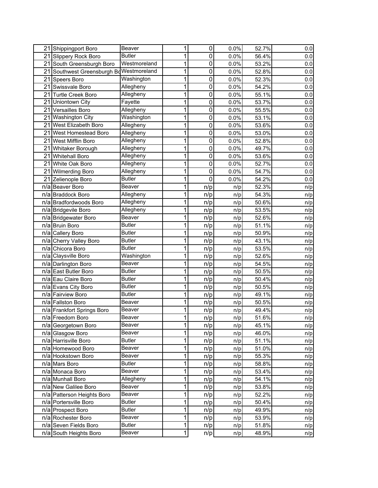|    | 21 Shippingport Boro                 | Beaver        | 1 | 0           | 0.0% | 52.7% | 0.0 |
|----|--------------------------------------|---------------|---|-------------|------|-------|-----|
|    | 21 Slippery Rock Boro                | <b>Butler</b> | 1 | 0           | 0.0% | 56.4% | 0.0 |
|    | 21 South Greensburgh Boro            | Westmoreland  | 1 | 0           | 0.0% | 53.2% | 0.0 |
| 21 | Southwest Greensburgh BdWestmoreland |               | 1 | 0           | 0.0% | 52.8% | 0.0 |
|    | 21 Speers Boro                       | Washington    | 1 | 0           | 0.0% | 52.3% | 0.0 |
|    | 21 Swissvale Boro                    | Allegheny     | 1 | 0           | 0.0% | 54.2% | 0.0 |
|    | 21 Turtle Creek Boro                 | Allegheny     | 1 | 0           | 0.0% | 55.1% | 0.0 |
|    | 21 Uniontown City                    | Fayette       | 1 | 0           | 0.0% | 53.7% | 0.0 |
| 21 | Versailles Boro                      | Allegheny     | 1 | 0           | 0.0% | 55.5% | 0.0 |
|    | 21 Washington City                   | Washington    | 1 | 0           | 0.0% | 53.1% | 0.0 |
|    | 21 West Elizabeth Boro               | Allegheny     | 1 | $\mathbf 0$ | 0.0% | 53.6% | 0.0 |
| 21 | <b>West Homestead Boro</b>           | Allegheny     | 1 | 0           | 0.0% | 53.0% | 0.0 |
|    | 21 West Mifflin Boro                 | Allegheny     | 1 | 0           | 0.0% | 52.8% | 0.0 |
| 21 | <b>Whitaker Borough</b>              | Allegheny     | 1 | 0           | 0.0% | 49.7% | 0.0 |
| 21 | <b>Whitehall Boro</b>                | Allegheny     | 1 | 0           | 0.0% | 53.6% | 0.0 |
|    | 21 White Oak Boro                    | Allegheny     | 1 | 0           | 0.0% | 52.7% | 0.0 |
|    | 21 Wilmerding Boro                   | Allegheny     | 1 | 0           | 0.0% | 54.7% | 0.0 |
|    | 21 Zelienople Boro                   | <b>Butler</b> | 1 | 0           | 0.0% | 54.2% | 0.0 |
|    | n/a Beaver Boro                      | Beaver        | 1 | n/p         | n/p  | 52.3% | n/p |
|    | n/a Braddock Boro                    | Allegheny     | 1 | n/p         | n/p  | 54.3% | n/p |
|    | n/a Bradfordwoods Boro               | Allegheny     | 1 | n/p         | n/p  | 50.6% | n/p |
|    | n/a Bridgevile Boro                  | Allegheny     | 1 | n/p         | n/p  | 53.5% | n/p |
|    | n/a Bridgewater Boro                 | Beaver        | 1 | n/p         | n/p  | 52.6% | n/p |
|    | n/a Bruin Boro                       | <b>Butler</b> | 1 | n/p         | n/p  | 51.1% | n/p |
|    | n/a Callery Boro                     | <b>Butler</b> | 1 | n/p         | n/p  | 50.9% | n/p |
|    | n/a Cherry Valley Boro               | <b>Butler</b> | 1 | n/p         | n/p  | 43.1% | n/p |
|    | n/a Chicora Boro                     | <b>Butler</b> | 1 | n/p         | n/p  | 53.5% | n/p |
|    | n/a Claysville Boro                  | Washington    | 1 | n/p         | n/p  | 52.6% | n/p |
|    | n/a Darlington Boro                  | Beaver        | 1 | n/p         | n/p  | 54.5% | n/p |
|    | n/a East Butler Boro                 | <b>Butler</b> | 1 | n/p         | n/p  | 50.5% | n/p |
|    | n/a Eau Claire Boro                  | <b>Butler</b> | 1 | n/p         | n/p  | 50.4% | n/p |
|    | n/a Evans City Boro                  | <b>Butler</b> | 1 | n/p         | n/p  | 50.5% | n/p |
|    | n/a Fairview Boro                    | <b>Butler</b> | 1 | n/p         | n/p  | 49.1% | n/p |
|    | n/a Fallston Boro                    | Beaver        | 1 | n/p         | n/p  | 50.5% | n/p |
|    | n/a Frankfort Springs Boro           | Beaver        | 1 | n/p         | n/p  | 49.4% | n/p |
|    | n/a Freedom Boro                     | Beaver        | 1 | n/p         | n/p  | 51.6% | n/p |
|    | n/a Georgetown Boro                  | Beaver        | 1 | n/p         | n/p  | 45.1% | n/p |
|    | n/a Glasgow Boro                     | Beaver        | 1 | n/p         | n/p  | 46.0% | n/p |
|    | n/a Harrisville Boro                 | <b>Butler</b> | 1 | n/p         | n/p  | 51.1% | n/p |
|    | n/a Homewood Boro                    | Beaver        | 1 | n/p         | n/p  | 51.0% | n/p |
|    | n/a Hookstown Boro                   | Beaver        | 1 | n/p         | n/p  | 55.3% | n/p |
|    | n/a Mars Boro                        | <b>Butler</b> | 1 | n/p         | n/p  | 58.8% | n/p |
|    | n/a Monaca Boro                      | Beaver        | 1 | n/p         | n/p  | 53.4% | n/p |
|    | n/a Munhall Boro                     | Allegheny     | 1 | n/p         | n/p  | 54.1% | n/p |
|    | n/a New Galilee Boro                 | Beaver        | 1 | n/p         | n/p  | 53.8% | n/p |
|    | n/a Patterson Heights Boro           | Beaver        | 1 | n/p         | n/p  | 52.2% | n/p |
|    | n/a Portersville Boro                | <b>Butler</b> | 1 | n/p         | n/p  | 50.4% | n/p |
|    | n/a Prospect Boro                    | <b>Butler</b> | 1 | n/p         | n/p  | 49.9% | n/p |
|    | n/a Rochester Boro                   | Beaver        | 1 | n/p         | n/p  | 53.9% | n/p |
|    | n/a Seven Fields Boro                | <b>Butler</b> | 1 | n/p         | n/p  | 51.8% | n/p |
|    | n/a South Heights Boro               | Beaver        | 1 | n/p         | n/p  | 48.9% | n/p |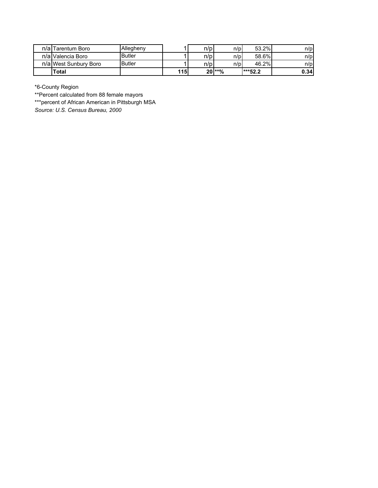| n/alTarentum Boro      | Allegheny     |            | n/p | n/p      | 53.2%     | n/p  |
|------------------------|---------------|------------|-----|----------|-----------|------|
| n/alValencia Boro      | <b>Butler</b> |            | n/p | n/pl     | 58.6%     | n/p  |
| n/al West Sunbury Boro | Butler        |            | n/p | n/pl     | 46.2%     | n/p  |
| Total                  |               | <b>115</b> |     | $20$ **% | $***52.2$ | 0.34 |

\*6-County Region

\*\*Percent calculated from 88 female mayors

\*\*\*percent of African American in Pittsburgh MSA

*Source: U.S. Census Bureau, 2000*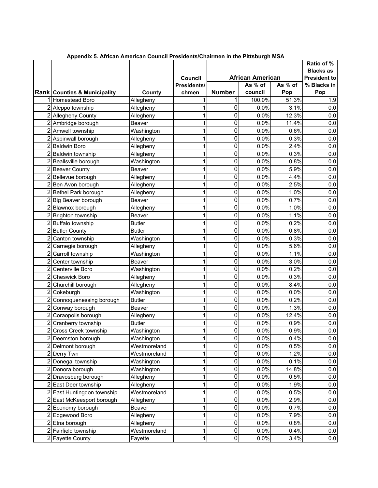|                |                                                         |                            |             |               |                                    |         | Ratio of %                              |
|----------------|---------------------------------------------------------|----------------------------|-------------|---------------|------------------------------------|---------|-----------------------------------------|
|                |                                                         |                            | Council     |               |                                    |         | <b>Blacks as</b><br><b>President to</b> |
|                |                                                         |                            | Presidents/ |               | <b>African American</b><br>As % of | As % of | % Blacks in                             |
|                | <b>Rank Counties &amp; Municipality</b>                 | County                     | chmen       | <b>Number</b> | council                            | Pop     | Pop                                     |
|                | 1 Homestead Boro                                        | Allegheny                  |             |               | 100.0%                             | 51.3%   | 1.9                                     |
|                | 2 Aleppo township                                       | Allegheny                  | 1           | 0             | 0.0%                               | 3.1%    | 0.0                                     |
|                | 2 Allegheny County                                      | Allegheny                  | 1           | 0             | 0.0%                               | 12.3%   | 0.0                                     |
|                | 2 Ambridge borough                                      | Beaver                     |             | 0             | 0.0%                               | 11.4%   | 0.0                                     |
|                | 2 Amwell township                                       | Washington                 | 1           | 0             | 0.0%                               | 0.6%    | 0.0                                     |
|                | 2 Aspinwall borough                                     | Allegheny                  | 1           | 0             | 0.0%                               | 0.3%    | 0.0                                     |
|                | 2 Baldwin Boro                                          | Allegheny                  | 1           | 0             | 0.0%                               | 2.4%    | 0.0                                     |
|                | 2 Baldwin township                                      | Allegheny                  | 1           | 0             | 0.0%                               | 0.3%    | 0.0                                     |
|                | 2 Beallsville borough                                   | Washington                 | 1           | 0             | 0.0%                               | 0.8%    | 0.0                                     |
|                | 2 Beaver County                                         | Beaver                     | 1           | 0             | 0.0%                               | 5.9%    | 0.0                                     |
|                | 2 Bellevue borough                                      | Allegheny                  | 1           | 0             | 0.0%                               | 4.4%    | 0.0                                     |
|                | 2 Ben Avon borough                                      | Allegheny                  | 1           | 0             | 0.0%                               | 2.5%    | 0.0                                     |
|                | 2 Bethel Park borough                                   | Allegheny                  | 1           | 0             | 0.0%                               | 1.0%    | 0.0                                     |
|                | 2 Big Beaver borough                                    | Beaver                     | 1           | 0             | 0.0%                               | 0.7%    | 0.0                                     |
|                | 2 Blawnox borough                                       | Allegheny                  | 1           | 0             | 0.0%                               | 1.0%    | 0.0                                     |
|                | 2 Brighton township                                     | Beaver                     | 1           | 0             | 0.0%                               | 1.1%    | 0.0                                     |
|                | 2 Buffalo township                                      | <b>Butler</b>              | 1           | 0             | 0.0%                               | 0.2%    | 0.0                                     |
|                | 2 Butler County                                         | <b>Butler</b>              | 1           | 0             | 0.0%                               | 0.8%    | 0.0                                     |
|                | 2 Canton township                                       | Washington                 | 1           | 0             | 0.0%                               | 0.3%    | 0.0                                     |
|                | 2 Carnegie borough                                      | Allegheny                  | 1           | 0             | 0.0%                               | 5.6%    | 0.0                                     |
|                | 2 Carroll township                                      | Washington                 | 1           | 0             | 0.0%                               | 1.1%    | 0.0                                     |
| $\overline{c}$ | Center township                                         | Beaver                     | 1           | 0             | 0.0%                               | 3.0%    | 0.0                                     |
| $\overline{2}$ | Centerville Boro                                        | Washington                 | 1           | 0             | 0.0%                               | 0.2%    | 0.0                                     |
| $\overline{2}$ | <b>Cheswick Boro</b>                                    | Allegheny                  | 1           | 0             | 0.0%                               | 0.3%    | 0.0                                     |
| $\overline{2}$ | Churchill borough                                       | Allegheny                  | 1           | 0             | 0.0%                               | 8.4%    | 0.0                                     |
| 2              | Cokeburgh                                               | Washington                 | 1           | 0             | 0.0%                               | 0.0%    | 0.0                                     |
| $\overline{2}$ | Connoquenessing borough                                 | <b>Butler</b>              | 1           | 0             | 0.0%                               | 0.2%    | 0.0                                     |
|                | 2 Conway borough                                        | <b>Beaver</b>              | 1           | 0             | 0.0%                               | 1.3%    | 0.0                                     |
|                | 2 Coraopolis borough                                    |                            | 1           | 0             | 0.0%                               | 12.4%   | 0.0                                     |
|                | 2 Cranberry township                                    | Allegheny<br><b>Butler</b> |             | 0             | 0.0%                               | 0.9%    | 0.0                                     |
| $\overline{2}$ | <b>Cross Creek township</b>                             |                            |             | 0             | 0.0%                               | 0.9%    | $0.0\,$                                 |
|                | 2 Deemston borough                                      | Washington                 | 1           | 0             | 0.0%                               | 0.4%    |                                         |
|                | 2 Delmont borough                                       | Washington<br>Westmoreland | 1           | 0             | 0.0%                               | 0.5%    | 0.0<br>0.0                              |
|                | 2 Derry Twn                                             | Westmoreland               | 1           | 0             | 0.0%                               | 1.2%    | $0.0\,$                                 |
|                | 2 Donegal township                                      | Washington                 | 1           | 0             | 0.0%                               | 0.1%    | 0.0                                     |
| 2              | Donora borough                                          | Washington                 | 1           | 0             | 0.0%                               | 14.8%   | 0.0                                     |
|                | 2 Dravosburg borough                                    | Allegheny                  | 1           | 0             | 0.0%                               | 0.5%    | 0.0                                     |
|                | 2 East Deer township                                    |                            | 1           | 0             | 0.0%                               | 1.9%    | 0.0                                     |
|                |                                                         | Allegheny                  | 1           | 0             | 0.0%                               | 0.5%    | 0.0                                     |
|                | 2 East Huntingdon township<br>2 East McKeesport borough | Westmoreland               |             | 0             | 0.0%                               | 2.9%    |                                         |
|                | 2 Economy borough                                       | Allegheny                  | 1<br>1      | 0             | 0.0%                               | 0.7%    | 0.0<br>0.0                              |
|                | 2 Edgewood Boro                                         | Beaver                     | 1           | 0             | 0.0%                               | 7.9%    | 0.0                                     |
|                | 2 Etna borough                                          | Allegheny                  | 1           | 0             | 0.0%                               | 0.8%    | 0.0                                     |
|                | 2 Fairfield township                                    | Allegheny<br>Westmoreland  | 1           | 0             | 0.0%                               | 0.4%    | 0.0                                     |
|                | 2 Fayette County                                        | Fayette                    | 1           | $\pmb{0}$     | 0.0%                               | 3.4%    | 0.0                                     |
|                |                                                         |                            |             |               |                                    |         |                                         |

 **Appendix 5. African American Council Presidents/Chairmen in the Pittsburgh MSA**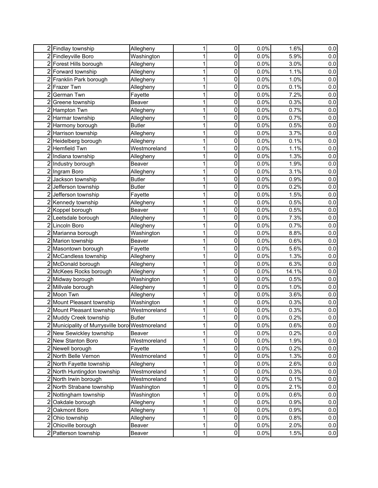|                | 2 Findlay township                            | Allegheny     | 1 | 0              | 0.0% | 1.6%  | 0.0     |
|----------------|-----------------------------------------------|---------------|---|----------------|------|-------|---------|
|                | 2 Findleyville Boro                           | Washington    | 1 | 0              | 0.0% | 5.9%  | 0.0     |
|                | 2 Forest Hills borough                        | Allegheny     | 1 | 0              | 0.0% | 3.0%  | 0.0     |
|                | 2 Forward township                            | Allegheny     | 1 | 0              | 0.0% | 1.1%  | 0.0     |
|                | 2 Franklin Park borough                       | Allegheny     | 1 | 0              | 0.0% | 1.0%  | 0.0     |
| 2              | Frazer Twn                                    | Allegheny     | 1 | 0              | 0.0% | 0.1%  | 0.0     |
| $\overline{2}$ | German Twn                                    | Fayette       | 1 | 0              | 0.0% | 7.2%  | 0.0     |
| $\overline{2}$ | Greene township                               | Beaver        | 1 | 0              | 0.0% | 0.3%  | 0.0     |
|                | 2 Hampton Twn                                 | Allegheny     | 1 | 0              | 0.0% | 0.7%  | 0.0     |
| 2              | Harmar township                               | Allegheny     | 1 | 0              | 0.0% | 0.7%  | 0.0     |
| $\overline{c}$ | Harmony borough                               | <b>Butler</b> |   | 0              | 0.0% | 0.5%  | 0.0     |
| 2              | Harrison township                             | Allegheny     | 1 | 0              | 0.0% | 3.7%  | 0.0     |
| 2              | Heidelberg borough                            | Allegheny     |   | 0              | 0.0% | 0.1%  | 0.0     |
| $\overline{2}$ | <b>Hemfield Twn</b>                           | Westmoreland  | 1 | 0              | 0.0% | 1.1%  | 0.0     |
| $\overline{2}$ | Indiana township                              | Allegheny     | 1 | 0              | 0.0% | 1.3%  | 0.0     |
|                | 2 Industry borough                            | Beaver        | 1 | 0              | 0.0% | 1.9%  | 0.0     |
|                | 2 Ingram Boro                                 | Allegheny     | 1 | 0              | 0.0% | 3.1%  | 0.0     |
| 2              | Jackson township                              | <b>Butler</b> | 1 | 0              | 0.0% | 0.9%  | 0.0     |
|                | 2 Jefferson township                          | <b>Butler</b> |   | 0              | 0.0% | 0.2%  | 0.0     |
|                | 2 Jefferson township                          | Fayette       |   | 0              | 0.0% | 1.5%  | 0.0     |
|                | 2 Kennedy township                            | Allegheny     | 1 | 0              | 0.0% | 0.5%  | 0.0     |
|                | 2 Koppel borough                              | Beaver        | 1 | 0              | 0.0% | 0.5%  | 0.0     |
| $\overline{2}$ | Leetsdale borough                             | Allegheny     | 1 | 0              | 0.0% | 7.3%  | 0.0     |
| $\overline{2}$ | Lincoln Boro                                  | Allegheny     | 1 | 0              | 0.0% | 0.7%  | 0.0     |
| 2              | Marianna borough                              | Washington    |   | 0              | 0.0% | 8.8%  | 0.0     |
| $\overline{2}$ | Marion township                               | Beaver        | 1 | 0              | 0.0% | 0.6%  | 0.0     |
|                | 2 Masontown borough                           | Fayette       | 1 | 0              | 0.0% | 5.6%  | 0.0     |
|                | 2 McCandless township                         | Allegheny     | 1 | 0              | 0.0% | 1.3%  | 0.0     |
|                | 2 McDonald borough                            | Allegheny     | 1 | 0              | 0.0% | 6.3%  | 0.0     |
|                | 2 McKees Rocks borough                        | Allegheny     | 1 | 0              | 0.0% | 14.1% | 0.0     |
|                | 2 Midway borough                              | Washington    | 1 | 0              | 0.0% | 0.5%  | 0.0     |
|                | 2 Millvale borough                            | Allegheny     |   | 0              | 0.0% | 1.0%  | 0.0     |
|                | $\overline{2}$ Moon Twn                       | Allegheny     | 1 | 0              | 0.0% | 3.6%  | 0.0     |
|                | 2 Mount Pleasant township                     | Washington    | 1 | 0              | 0.0% | 0.3%  | 0.0     |
|                | 2 Mount Pleasant township                     | Westmoreland  |   | 0              | 0.0% | 0.3%  | $0.0\,$ |
|                | 2 Muddy Creek township                        | <b>Butler</b> |   | 0              | 0.0% | 0.2%  | 0.0     |
| 2              | Municipality of Murrysville boro Westmoreland |               | 1 | 0              | 0.0% | 0.6%  | 0.0     |
|                | 2 New Sewickley township                      | Beaver        | 1 | 0              | 0.0% | 0.2%  | 0.0     |
|                | 2 New Stanton Boro                            | Westmoreland  | 1 | 0              | 0.0% | 1.9%  | 0.0     |
|                | 2 Newell borough                              | Fayette       | 1 | 0              | 0.0% | 0.2%  | 0.0     |
|                | 2 North Belle Vernon                          | Westmoreland  | 1 | 0              | 0.0% | 1.3%  | 0.0     |
|                | 2 North Fayette township                      | Allegheny     | 1 | 0              | 0.0% | 2.6%  | 0.0     |
|                | 2 North Huntingdon township                   | Westmoreland  | 1 | 0              | 0.0% | 0.3%  | 0.0     |
|                | 2 North Irwin borough                         | Westmoreland  | 1 | 0              | 0.0% | 0.1%  | 0.0     |
|                | 2 North Strabane township                     | Washington    | 1 | 0              | 0.0% | 2.1%  | 0.0     |
|                | 2 Nottingham township                         | Washington    | 1 | 0              | 0.0% | 0.6%  | 0.0     |
|                | 2 Oakdale borough                             | Allegheny     | 1 | 0              | 0.0% | 0.9%  | 0.0     |
| $\overline{2}$ | Oakmont Boro                                  | Allegheny     | 1 | 0              | 0.0% | 0.9%  | 0.0     |
| $\overline{2}$ | Ohio township                                 | Allegheny     | 1 | 0              | 0.0% | 0.8%  | 0.0     |
| $\overline{c}$ | Ohioville borough                             | Beaver        | 1 | 0              | 0.0% | 2.0%  | 0.0     |
|                | 2 Patterson township                          | Beaver        | 1 | $\overline{0}$ | 0.0% | 1.5%  | 0.0     |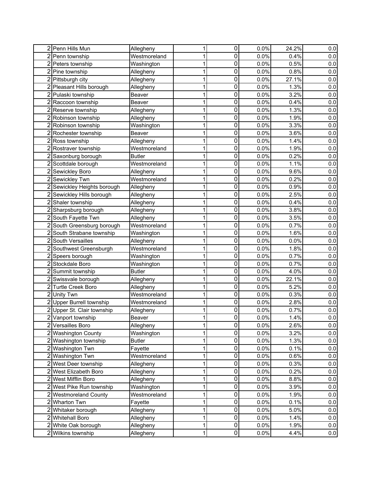|                | 2 Penn Hills Mun            | Allegheny     | 1 | 0              | 0.0%    | 24.2% | 0.0     |
|----------------|-----------------------------|---------------|---|----------------|---------|-------|---------|
|                | 2 Penn township             | Westmoreland  | 1 | 0              | 0.0%    | 0.4%  | 0.0     |
|                | 2 Peters township           | Washington    | 1 | 0              | 0.0%    | 0.5%  | 0.0     |
|                | 2 Pine township             | Allegheny     | 1 | 0              | 0.0%    | 0.8%  | 0.0     |
|                | 2 Pittsburgh city           | Allegheny     | 1 | 0              | 0.0%    | 27.1% | 0.0     |
|                | 2 Pleasant Hills borough    | Allegheny     | 1 | 0              | 0.0%    | 1.3%  | 0.0     |
|                | 2 Pulaski township          | Beaver        |   | 0              | 0.0%    | 3.2%  | 0.0     |
|                | 2 Raccoon township          | Beaver        | 1 | 0              | 0.0%    | 0.4%  | 0.0     |
|                | 2 Reserve township          | Allegheny     |   | 0              | 0.0%    | 1.3%  | 0.0     |
| $\overline{2}$ | Robinson township           | Allegheny     |   | 0              | 0.0%    | 1.9%  | 0.0     |
| 2              | Robinson township           | Washington    |   | 0              | 0.0%    | 3.3%  | 0.0     |
| 2              | Rochester township          | Beaver        |   | 0              | 0.0%    | 3.6%  | 0.0     |
| $\overline{c}$ | Ross township               | Allegheny     |   | 0              | 0.0%    | 1.4%  | $0.0\,$ |
|                | 2 Rostraver township        | Westmoreland  |   | 0              | 0.0%    | 1.9%  | 0.0     |
|                | 2 Saxonburg borough         | <b>Butler</b> |   | 0              | 0.0%    | 0.2%  | 0.0     |
|                | 2 Scottdale borough         | Westmoreland  |   | 0              | 0.0%    | 1.1%  | 0.0     |
|                | 2 Sewickley Boro            | Allegheny     |   | 0              | 0.0%    | 9.6%  | 0.0     |
|                | 2 Sewickley Twn             | Westmoreland  |   | 0              | 0.0%    | 0.2%  | 0.0     |
|                | 2 Sewickley Heights borough | Allegheny     |   | 0              | 0.0%    | 0.9%  | 0.0     |
|                | 2 Sewickley Hills borough   | Allegheny     | 1 | 0              | 0.0%    | 2.5%  | 0.0     |
|                | 2 Shaler township           | Allegheny     | 1 | 0              | 0.0%    | 0.4%  | 0.0     |
|                | 2 Sharpsburg borough        | Allegheny     | 1 | 0              | 0.0%    | 3.8%  | 0.0     |
|                | 2 South Fayette Twn         | Allegheny     | 1 | 0              | 0.0%    | 3.5%  | 0.0     |
|                | 2 South Greensburg borough  | Westmoreland  | 1 | 0              | 0.0%    | 0.7%  | 0.0     |
|                | 2 South Strabane township   | Washington    | 1 | 0              | 0.0%    | 1.6%  | 0.0     |
|                | 2 South Versailles          | Allegheny     | 1 | 0              | 0.0%    | 0.0%  | 0.0     |
|                | 2 Southwest Greensburgh     | Westmoreland  | 1 | 0              | 0.0%    | 1.8%  | 0.0     |
|                | 2 Speers borough            | Washington    | 1 | 0              | $0.0\%$ | 0.7%  | 0.0     |
|                | 2 Stockdale Boro            | Washington    | 1 | 0              | 0.0%    | 0.7%  | 0.0     |
|                | 2 Summit township           | <b>Butler</b> | 1 | 0              | 0.0%    | 4.0%  | 0.0     |
|                | 2 Swissvale borough         | Allegheny     | 1 | 0              | 0.0%    | 22.1% | 0.0     |
|                | 2 Turtle Creek Boro         | Allegheny     | 1 | 0              | 0.0%    | 5.2%  | 0.0     |
|                | 2 Unity Twn                 | Westmoreland  | 1 | 0              | 0.0%    | 0.3%  | 0.0     |
|                | 2 Upper Burrell township    | Westmoreland  | 1 | 0              | 0.0%    | 2.8%  | 0.0     |
|                | 2 Upper St. Clair township  | Allegheny     |   | 0              | 0.0%    | 0.7%  | $0.0\,$ |
|                | 2 Vanport township          | Beaver        |   | $\mathbf 0$    | 0.0%    | 1.4%  | 0.0     |
| 2              | <b>Versailles Boro</b>      | Allegheny     | 1 | $\pmb{0}$      | 0.0%    | 2.6%  | 0.0     |
|                | 2 Washington County         | Washington    | 1 | 0              | 0.0%    | 3.2%  | 0.0     |
|                | 2 Washington township       | <b>Butler</b> | 1 | 0              | 0.0%    | 1.3%  | 0.0     |
|                | 2 Washington Twn            | Fayette       | 1 | 0              | 0.0%    | 0.1%  | 0.0     |
|                | 2 Washington Twn            | Westmoreland  | 1 | 0              | 0.0%    | 0.6%  | 0.0     |
|                | 2 West Deer township        | Allegheny     | 1 | 0              | 0.0%    | 0.3%  | 0.0     |
|                | 2 West Elizabeth Boro       | Allegheny     | 1 | 0              | 0.0%    | 0.2%  | 0.0     |
|                | 2 West Mifflin Boro         | Allegheny     | 1 | 0              | 0.0%    | 8.8%  | 0.0     |
|                | 2 West Pike Run township    | Washington    | 1 | $\pmb{0}$      | 0.0%    | 3.9%  | 0.0     |
|                | 2 Westmoreland County       | Westmoreland  | 1 | 0              | 0.0%    | 1.9%  | 0.0     |
|                | 2 Wharton Twn               | Fayette       | 1 | 0              | 0.0%    | 0.1%  | 0.0     |
|                | 2 Whitaker borough          | Allegheny     | 1 | 0              | 0.0%    | 5.0%  | 0.0     |
|                | 2 Whitehall Boro            | Allegheny     | 1 | $\pmb{0}$      | 0.0%    | 1.4%  | 0.0     |
|                | 2 White Oak borough         | Allegheny     | 1 | 0              | 0.0%    | 1.9%  | 0.0     |
|                | 2 Wilkins township          | Allegheny     | 1 | $\overline{0}$ | 0.0%    | 4.4%  | 0.0     |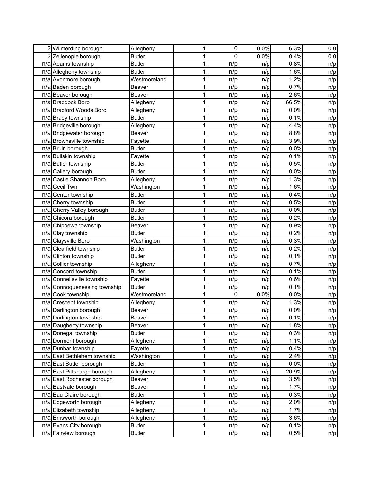|     | 2 Wilmerding borough         | Allegheny     | 1           | $\pmb{0}$ | 0.0% | 6.3%    | 0.0 |
|-----|------------------------------|---------------|-------------|-----------|------|---------|-----|
|     | 2 Zelienople borough         | <b>Butler</b> | 1           | 0         | 0.0% | 0.4%    | 0.0 |
|     | n/a Adams township           | <b>Butler</b> | 1           | n/p       | n/p  | 0.8%    | n/p |
|     | n/a Allegheny township       | <b>Butler</b> | 1           | n/p       | n/p  | 1.6%    | n/p |
|     | n/a Avonmore borough         | Westmoreland  | 1           | n/p       | n/p  | 1.2%    | n/p |
|     | n/a Baden borough            | <b>Beaver</b> | 1           | n/p       | n/p  | 0.7%    | n/p |
|     | n/a Beaver borough           | Beaver        | 1           | n/p       | n/p  | 2.6%    | n/p |
|     | n/a Braddock Boro            | Allegheny     | 1           | n/p       | n/p  | 66.5%   | n/p |
|     | n/a Bradford Woods Boro      | Allegheny     | 1           | n/p       | n/p  | 0.0%    | n/p |
|     | n/a Brady township           | <b>Butler</b> | 1           | n/p       | n/p  | 0.1%    | n/p |
|     | n/a Bridgeville borough      | Allegheny     | 1           | n/p       | n/p  | 4.4%    | n/p |
|     | n/a Bridgewater borough      | Beaver        | 1           | n/p       | n/p  | 8.8%    | n/p |
|     | n/a Brownsville township     | Fayette       | 1           | n/p       | n/p  | 3.9%    | n/p |
|     | n/a Bruin borough            | <b>Butler</b> | 1           | n/p       | n/p  | 0.0%    | n/p |
|     | n/a Bullskin township        | Fayette       | 1           | n/p       | n/p  | 0.1%    | n/p |
|     | n/a Butler township          | <b>Butler</b> | 1           | n/p       | n/p  | 0.5%    | n/p |
|     | n/a Callery borough          | <b>Butler</b> | 1           | n/p       | n/p  | $0.0\%$ | n/p |
| n/a | Castle Shannon Boro          | Allegheny     | 1           | n/p       | n/p  | 1.3%    | n/p |
| n/a | <b>Cecil Twn</b>             | Washington    | 1           | n/p       | n/p  | 1.6%    | n/p |
|     | n/a Center township          | <b>Butler</b> | 1           | n/p       | n/p  | 0.4%    | n/p |
|     | n/a Cherry township          | <b>Butler</b> | 1           | n/p       | n/p  | 0.5%    | n/p |
|     | n/a Cherry Valley borough    | <b>Butler</b> | 1           | n/p       | n/p  | 0.0%    | n/p |
|     | n/a Chicora borough          | <b>Butler</b> | 1           | n/p       | n/p  | 0.2%    | n/p |
|     | n/a Chippewa township        | Beaver        |             | n/p       | n/p  | 0.9%    | n/p |
|     | n/a Clay township            | <b>Butler</b> | 1           | n/p       | n/p  | 0.2%    | n/p |
|     | n/a Claysville Boro          | Washington    |             | n/p       | n/p  | 0.3%    | n/p |
|     | n/a Clearfield township      | <b>Butler</b> |             | n/p       | n/p  | 0.2%    | n/p |
|     | n/a Clinton township         | <b>Butler</b> | 1           | n/p       | n/p  | 0.1%    | n/p |
|     | n/a Collier township         | Allegheny     | 1           | n/p       | n/p  | 0.7%    | n/p |
|     | n/a Concord township         | <b>Butler</b> |             | n/p       | n/p  | 0.1%    | n/p |
|     | n/a Connellsville township   | Fayette       | 1           | n/p       | n/p  | 0.6%    | n/p |
|     | n/a Connoquenessing township | <b>Butler</b> |             | n/p       | n/p  | 0.1%    | n/p |
|     | n/a Cook township            | Westmoreland  |             | 0         | 0.0% | 0.0%    | n/p |
| n/a | Crescent township            | Allegheny     | 1           | n/p       | n/p  | 1.3%    | n/p |
|     | n/a Darlington borough       | Beaver        |             | n/p       | n/p  | 0.0%    | n/p |
|     | n/a Darlington township      | Beaver        |             | n/p       | n/p  | 0.1%    | n/p |
|     | n/a Daugherty township       | Beaver        | 1           | n/p       | n/p  | 1.8%    | n/p |
|     | n/a Donegal township         | <b>Butler</b> | 1           | n/p       | n/p  | 0.3%    | n/p |
|     | n/a Dormont borough          | Allegheny     | 1           | n/p       | n/p  | 1.1%    | n/p |
|     | n/a Dunbar township          | Fayette       | 1           | n/p       | n/p  | 0.4%    | n/p |
|     | n/a East Bethlehem township  | Washington    | 1           | n/p       | n/p  | 2.4%    | n/p |
|     | n/a East Butler borough      | <b>Butler</b> | 1           | n/p       | n/p  | 0.0%    | n/p |
|     | n/a East Pittsburgh borough  | Allegheny     | 1           | n/p       | n/p  | 20.9%   | n/p |
|     | n/a East Rochester borough   | Beaver        | 1           | n/p       | n/p  | 3.5%    | n/p |
|     | n/a Eastvale borough         | Beaver        | 1           | n/p       | n/p  | 1.7%    | n/p |
|     | n/a Eau Claire borough       | <b>Butler</b> | 1           | n/p       | n/p  | 0.3%    | n/p |
|     | n/a Edgeworth borough        | Allegheny     | 1           | n/p       | n/p  | 2.0%    | n/p |
|     | n/a Elizabeth township       | Allegheny     | 1           | n/p       | n/p  | 1.7%    | n/p |
|     | n/a Emsworth borough         | Allegheny     | 1           | n/p       | n/p  | 3.6%    | n/p |
|     | n/a Evans City borough       | <b>Butler</b> | 1           | n/p       | n/p  | 0.1%    | n/p |
|     | n/a Fairview borough         | <b>Butler</b> | $\mathbf 1$ | n/p       | n/p  | 0.5%    | n/p |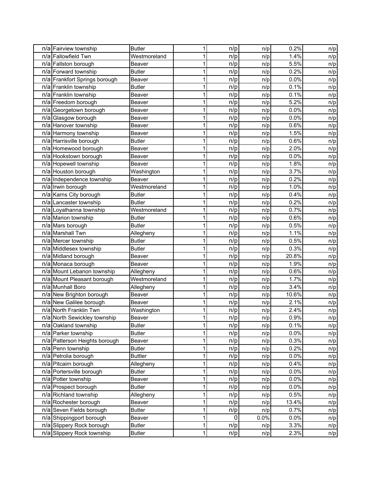| n/a Fairview township         | <b>Butler</b>  | 1           | n/p | n/p  | 0.2%  | n/p |
|-------------------------------|----------------|-------------|-----|------|-------|-----|
| n/al Fallowfield Twn          | Westmoreland   |             | n/p | n/p  | 1.4%  | n/p |
| n/a Fallston borough          | Beaver         | 1           | n/p | n/p  | 5.5%  | n/p |
| n/a Forward township          | <b>Butler</b>  | 1           | n/p | n/p  | 0.2%  | n/p |
| n/a Frankfort Springs borough | Beaver         | 1           | n/p | n/p  | 0.0%  | n/p |
| n/a Franklin township         | <b>Butler</b>  | 1           | n/p | n/p  | 0.1%  | n/p |
| n/a Franklin township         | Beaver         | 1           | n/p | n/p  | 0.1%  | n/p |
| n/a Freedom borough           | Beaver         | 1           | n/p | n/p  | 5.2%  | n/p |
| n/a Georgetown borough        | Beaver         | 1           | n/p | n/p  | 0.0%  | n/p |
| n/a Glasgow borough           | Beaver         | 1           | n/p | n/p  | 0.0%  | n/p |
| n/a Hanover township          | Beaver         | 1           | n/p | n/p  | 0.6%  | n/p |
| n/a Harmony township          | Beaver         | 1           | n/p | n/p  | 1.5%  | n/p |
| n/a Harrisville borough       | <b>Butler</b>  | 1           | n/p | n/p  | 0.6%  | n/p |
| n/a Homewood borough          | Beaver         | 1           | n/p | n/p  | 2.0%  | n/p |
| n/a Hookstown borough         | Beaver         | 1           | n/p | n/p  | 0.0%  | n/p |
| n/a Hopewell township         | <b>Beaver</b>  | 1           | n/p | n/p  | 1.8%  | n/p |
| n/a Houston borough           | Washington     | 1           | n/p | n/p  | 3.7%  | n/p |
| n/a Independence township     | Beaver         | 1           | n/p | n/p  | 0.2%  | n/p |
| n/a Irwin borough             | Westmoreland   | 1           | n/p | n/p  | 1.0%  | n/p |
| n/a Karns City borough        | <b>Butler</b>  | 1           | n/p | n/p  | 0.4%  | n/p |
| n/a Lancaster township        | <b>Butler</b>  | 1           | n/p | n/p  | 0.2%  | n/p |
| n/a Loyalhanna township       | Westmoreland   | 1           | n/p | n/p  | 0.7%  | n/p |
| n/a Marion township           | <b>Butler</b>  | 1           | n/p | n/p  | 0.6%  | n/p |
| n/a Mars borough              | <b>Butler</b>  |             | n/p | n/p  | 0.5%  | n/p |
| n/a Marshall Twn              | Allegheny      | 1           | n/p | n/p  | 1.1%  | n/p |
| n/a Mercer township           | <b>Butler</b>  |             | n/p | n/p  | 0.5%  | n/p |
| n/a Middlesex township        | <b>Butler</b>  |             | n/p | n/p  | 0.3%  | n/p |
| n/a Midland borough           | Beaver         | 1           | n/p | n/p  | 20.8% | n/p |
| n/a Monaca borough            | Beaver         | 1           | n/p | n/p  | 1.9%  | n/p |
| n/a Mount Lebanon township    | Allegheny      |             | n/p | n/p  | 0.6%  | n/p |
| n/a Mount Pleasant borough    | Westmoreland   | 1           | n/p | n/p  | 1.7%  | n/p |
| n/a Munhall Boro              | Allegheny      |             | n/p | n/p  | 3.4%  | n/p |
| n/a New Brighton borough      | Beaver         |             | n/p | n/p  | 10.6% | n/p |
| n/a New Galilee borough       | Beaver         | 1           | n/p | n/p  | 2.1%  | n/p |
| n/a North Franklin Twn        | Washington     |             | n/p | n/p  | 2.4%  | n/p |
| n/a North Sewickley township  | Beaver         |             | n/p | n/p  | 0.9%  | n/p |
| n/a Oakland township          | <b>Butler</b>  | 1           | n/p | n/p  | 0.1%  | n/p |
| n/a Parker township           | <b>Butler</b>  | 1           | n/p | n/p  | 0.0%  | n/p |
| n/a Patterson Heights borough | Beaver         | 1           | n/p | n/p  | 0.3%  | n/p |
| n/a Penn township             | <b>Butler</b>  | 1           | n/p | n/p  | 0.2%  | n/p |
| n/a Petrolia borough          | <b>Buttler</b> | 1           | n/p | n/p  | 0.0%  | n/p |
| n/a Pitcairn borough          | Allegheny      | 1           | n/p | n/p  | 0.4%  | n/p |
| n/a Portersville borough      | <b>Butler</b>  | 1           | n/p | n/p  | 0.0%  | n/p |
| n/a Potter township           | Beaver         | 1           | n/p | n/p  | 0.0%  | n/p |
| n/a Prospect borough          | <b>Butler</b>  | 1           | n/p | n/p  | 0.0%  | n/p |
| n/a Richland township         | Allegheny      | 1           | n/p | n/p  | 0.5%  | n/p |
| n/a Rochester borough         | Beaver         | 1           | n/p | n/p  | 13.4% | n/p |
| n/a Seven Fields borough      | <b>Butler</b>  | 1           | n/p | n/p  | 0.7%  | n/p |
| n/a Shippingport borough      | Beaver         | 1           | 0   | 0.0% | 0.0%  | n/p |
| n/a Slippery Rock borough     | <b>Butler</b>  | 1           | n/p | n/p  | 3.3%  | n/p |
| n/a Slippery Rock township    | <b>Butler</b>  | $\mathbf 1$ | n/p | n/p  | 2.3%  | n/p |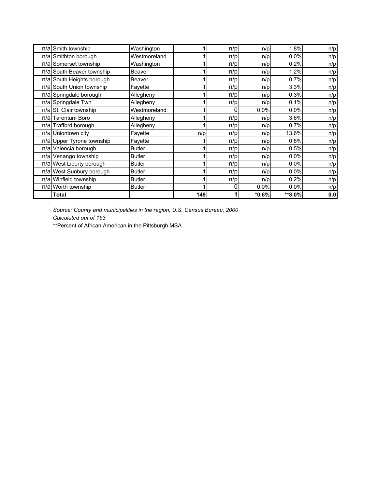| n/a Smith township        | Washington    |     | n/p | n/p     | 1.8%    | n/p |
|---------------------------|---------------|-----|-----|---------|---------|-----|
| n/a Smithton borough      | Westmoreland  |     | n/p | n/p     | 0.0%    | n/p |
| n/a Somerset township     | Washington    |     | n/p | n/p     | 0.2%    | n/p |
| n/a South Beaver township | Beaver        |     | n/p | n/p     | 1.2%    | n/p |
| n/a South Heights borough | Beaver        |     | n/p | n/p     | 0.7%    | n/p |
| n/a South Union township  | Fayette       |     | n/p | n/p     | 3.3%    | n/p |
| n/a Springdale borough    | Allegheny     |     | n/p | n/p     | 0.3%    | n/p |
| n/a Springdale Twn        | Allegheny     |     | n/p | n/p     | 0.1%    | n/p |
| n/a St. Clair township    | Westmoreland  |     | 0   | 0.0%    | $0.0\%$ | n/p |
| n/alTarentum Boro         | Allegheny     |     | n/p | n/p     | 3.6%    | n/p |
| n/a Trafford borough      | Allegheny     |     | n/p | n/p     | 0.7%    | n/p |
| n/a Uniontown city        | Fayette       | n/p | n/p | n/p     | 13.6%   | n/p |
| n/a Upper Tyrone township | Fayette       |     | n/p | n/p     | 0.8%    | n/p |
| n/a Valencia borough      | <b>Butler</b> |     | n/p | n/p     | 0.5%    | n/p |
| n/a Venango township      | <b>Butler</b> |     | n/p | n/p     | 0.0%    | n/p |
| n/a West Liberty borough  | <b>Butler</b> |     | n/p | n/p     | $0.0\%$ | n/p |
| n/a West Sunbury borough  | <b>Butler</b> |     | n/p | n/p     | 0.0%    | n/p |
| n/a Winfield township     | <b>Butler</b> |     | n/p | n/p     | 0.2%    | n/p |
| n/a Worth township        | <b>Butler</b> |     | 0   | 0.0%    | 0.0%    | n/p |
| <b>Total</b>              |               | 149 |     | $*0.6%$ | **8.0%  | 0.0 |

*Source: County and municipalities in the region; U.S. Census Bureau, 2000 Calculated out of 153*

\*\*Percent of African American in the Pittsburgh MSA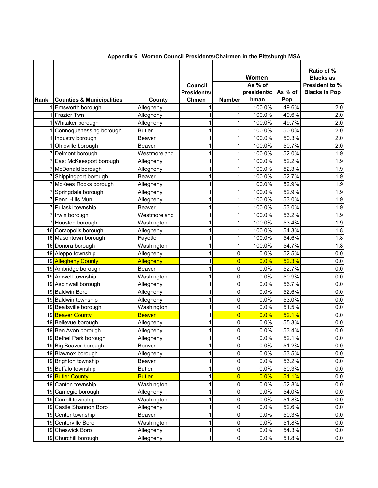| Rank | <b>Counties &amp; Municipalities</b> |                        | Council<br>Presidents/<br>Chmen | <b>Number</b>  | Women<br>As % of<br>president/c<br>hman | As % of<br>Pop | Ratio of %<br><b>Blacks as</b><br>President to %<br><b>Blacks in Pop</b> |
|------|--------------------------------------|------------------------|---------------------------------|----------------|-----------------------------------------|----------------|--------------------------------------------------------------------------|
|      | Emsworth borough                     | County<br>Allegheny    | 1                               | 1              | 100.0%                                  | 49.6%          | 2.0                                                                      |
|      | <b>Frazier Twn</b>                   |                        | 1                               | 1              | 100.0%                                  | 49.6%          | 2.0                                                                      |
|      | Whitaker borough                     | Allegheny<br>Allegheny | 1                               |                | 100.0%                                  | 49.7%          | 2.0                                                                      |
|      | Connoquenessing borough              | <b>Butler</b>          | 1                               |                | 100.0%                                  | 50.0%          | 2.0                                                                      |
|      | Industry borough                     | Beaver                 | 1                               |                | 100.0%                                  | 50.3%          | 2.0                                                                      |
|      | Ohioville borough                    | Beaver                 | 1                               |                | 100.0%                                  | 50.7%          | 2.0                                                                      |
|      | Delmont borough                      | Westmoreland           | 1                               | 1              | 100.0%                                  | 52.0%          | 1.9                                                                      |
|      | East McKeesport borough              | Allegheny              | 1                               |                | 100.0%                                  | 52.2%          | 1.9                                                                      |
|      | 7 McDonald borough                   | Allegheny              | 1                               |                | 100.0%                                  | 52.3%          | 1.9                                                                      |
|      | 7 Shippingport borough               | Beaver                 | 1                               | 1              | 100.0%                                  | 52.7%          | 1.9                                                                      |
|      | 7 McKees Rocks borough               | Allegheny              | 1                               | 1              | 100.0%                                  | 52.9%          | 1.9                                                                      |
|      | 7 Springdale borough                 | Allegheny              | 1                               | 1              | 100.0%                                  | 52.9%          | 1.9                                                                      |
|      | 7 Penn Hills Mun                     | Allegheny              | 1                               |                | 100.0%                                  | 53.0%          | 1.9                                                                      |
|      | 7 Pulaski township                   | Beaver                 | 1                               | 1              | 100.0%                                  | 53.0%          | 1.9                                                                      |
|      | 7 Irwin borough                      | Westmoreland           | 1                               | 1              | 100.0%                                  | 53.2%          | 1.9                                                                      |
|      | Houston borough                      | Washington             | 1                               |                | 100.0%                                  | 53.4%          | 1.9                                                                      |
|      | 16 Coraopolis borough                | Allegheny              | 1                               |                | 100.0%                                  | 54.3%          | 1.8                                                                      |
|      | 16 Masontown borough                 | Fayette                | 1                               |                | 100.0%                                  | 54.6%          | 1.8                                                                      |
|      | 16 Donora borough                    | Washington             | 1                               | 1              | 100.0%                                  | 54.7%          | 1.8                                                                      |
|      | 19 Aleppo township                   | Allegheny              | 1                               | 0              | 0.0%                                    | 52.5%          | 0.0                                                                      |
|      | 19 Allegheny County                  | Allegheny              | 1                               | 0              | 0.0%                                    | 52.3%          | $0.0\,$                                                                  |
|      | 19 Ambridge borough                  | Beaver                 | 1                               | 0              | 0.0%                                    | 52.7%          | 0.0                                                                      |
|      | 19 Amwell township                   | Washington             | 1                               | 0              | 0.0%                                    | 50.9%          | 0.0                                                                      |
|      | 19 Aspinwall borough                 | Allegheny              | 1                               | 0              | 0.0%                                    | 56.7%          | 0.0                                                                      |
|      | 19 Baldwin Boro                      | Allegheny              | 1                               | 0              | 0.0%                                    | 52.6%          | 0.0                                                                      |
|      | 19 Baldwin township                  | Allegheny              | 1                               | 0              | 0.0%                                    | 53.0%          | 0.0                                                                      |
|      | 19 Beallsville borough               | Washington             | 1                               | $\pmb{0}$      | 0.0%                                    | 51.5%          | 0.0                                                                      |
|      | 19 Beaver County                     | <b>Beaver</b>          | 1                               | $\overline{0}$ | 0.0%                                    | 52.1%          | 0.0                                                                      |
|      | 19 Bellevue borough                  | Allegheny              | 1                               | 0              | 0.0%                                    | 55.3%          | 0.0                                                                      |
|      | 19 Ben Avon borough                  | Allegheny              | 1                               | 0              | 0.0%                                    | 53.4%          | 0.0                                                                      |
|      | 19 Bethel Park borough               | Allegheny              | 1                               | $\overline{0}$ | 0.0%                                    | 52.1%          | 0.0                                                                      |
|      | 19 Big Beaver borough                | Beaver                 | 1                               | 0              | 0.0%                                    | 51.2%          | 0.0                                                                      |
|      | 19 Blawnox borough                   | Allegheny              | 1                               | 0              | 0.0%                                    | 53.5%          | 0.0                                                                      |
|      | 19 Brighton township                 | Beaver                 | 1                               | 0              | 0.0%                                    | 53.2%          | 0.0                                                                      |
|      | 19 Buffalo township                  | <b>Butler</b>          | 1                               | 0              | 0.0%                                    | 50.3%          | 0.0                                                                      |
|      | 19 Butler County                     | <b>Butler</b>          | $\mathbf 1$                     | $\overline{0}$ | 0.0%                                    | 51.1%          | 0.0                                                                      |
|      | 19 Canton township                   | Washington             | 1                               | 0              | 0.0%                                    | 52.8%          | 0.0                                                                      |
|      | 19 Carnegie borough                  | Allegheny              | 1                               | $\pmb{0}$      | 0.0%                                    | 54.0%          | 0.0                                                                      |
|      | 19 Carroll township                  | Washington             | $\mathbf{1}$                    | $\pmb{0}$      | 0.0%                                    | 51.8%          | 0.0                                                                      |
|      | 19 Castle Shannon Boro               | Allegheny              | 1                               | $\pmb{0}$      | 0.0%                                    | 52.6%          | 0.0                                                                      |
|      | 19 Center township                   | Beaver                 | 1                               | $\pmb{0}$      | 0.0%                                    | 50.3%          | 0.0                                                                      |
|      | 19 Centerville Boro                  | Washington             | 1                               | 0              | 0.0%                                    | 51.8%          | 0.0                                                                      |
|      | 19 Cheswick Boro                     | Allegheny              | $\mathbf{1}$                    | 0              | 0.0%                                    | 54.3%          | 0.0                                                                      |
|      | 19 Churchill borough                 | Allegheny              | 1                               | $\pmb{0}$      | 0.0%                                    | 51.8%          | $0.0\,$                                                                  |

 **Appendix 6. Women Council Presidents/Chairmen in the Pittsburgh MSA**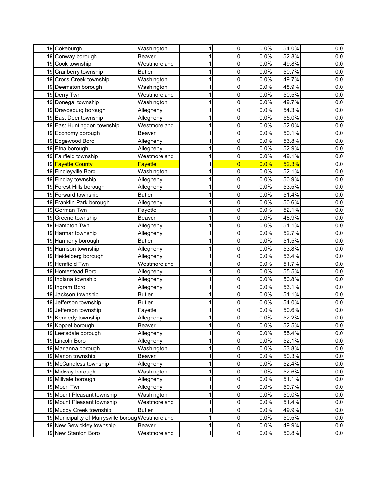| 19 Cokeburgh                                       | Washington                 | 1            | 0              | 0.0%         | 54.0%          | 0.0        |
|----------------------------------------------------|----------------------------|--------------|----------------|--------------|----------------|------------|
| 19 Conway borough                                  | Beaver                     | 1            | 0              | 0.0%         | 52.8%          | 0.0        |
| 19 Cook township                                   | Westmoreland               | 1            | 0              | 0.0%         | 49.8%          | 0.0        |
| 19 Cranberry township                              | <b>Butler</b>              | 1            | 0              | 0.0%         | 50.7%          | 0.0        |
| 19 Cross Creek township                            | Washington                 | 1            | 0              | 0.0%         | 49.7%          | 0.0        |
| 19 Deemston borough                                | Washington                 | 1            | 0              | 0.0%         | 48.9%          | 0.0        |
| 19 Derry Twn                                       | Westmoreland               | 1            | 0              | 0.0%         | 50.5%          | 0.0        |
| 19 Donegal township                                | Washington                 | 1            | 0              | 0.0%         | 49.7%          | 0.0        |
| 19 Dravosburg borough                              | Allegheny                  | 1            | 0              | 0.0%         | 54.3%          | 0.0        |
| 19 East Deer township                              | Allegheny                  | 1            | 0              | 0.0%         | 55.0%          | $0.0\,$    |
| 19 East Huntingdon township                        | Westmoreland               | 1            | 0              | 0.0%         | 52.0%          | $0.0\,$    |
| 19 Economy borough                                 | Beaver                     | 1            | $\pmb{0}$      | 0.0%         | 50.1%          | 0.0        |
| 19 Edgewood Boro                                   | Allegheny                  | 1            | 0              | 0.0%         | 53.8%          | 0.0        |
| 19 Etna borough                                    | Allegheny                  | 1            | 0              | 0.0%         | 52.9%          | 0.0        |
| 19 Fairfield township                              | Westmoreland               | 1            | 0              | 0.0%         | 49.1%          | 0.0        |
| 19 Fayette County                                  | <b>Fayette</b>             | 1            | $\overline{0}$ | 0.0%         | 52.3%          | 0.0        |
| 19 Findleyville Boro                               | Washington                 | 1            | 0              | 0.0%         | 52.1%          | 0.0        |
| 19 Findlay township                                | Allegheny                  | 1            | 0              | 0.0%         | 50.9%          | 0.0        |
| 19 Forest Hills borough                            | Allegheny                  | 1            | 0              | 0.0%         | 53.5%          | 0.0        |
| 19 Forward township                                | <b>Butler</b>              | 1            | 0              | 0.0%         | 51.4%          | 0.0        |
| 19 Franklin Park borough                           | Allegheny                  | 1            | 0              | 0.0%         | 50.6%          | 0.0        |
| 19 German Twn                                      |                            | 1            | 0              | 0.0%         | 52.1%          | $0.0\,$    |
| 19 Greene township                                 | Fayette<br>Beaver          | 1            | 0              | 0.0%         | 48.9%          | 0.0        |
| 19 Hampton Twn                                     |                            | 1            | 0              | 0.0%         | 51.1%          |            |
|                                                    | Allegheny                  |              |                |              | 52.7%          | 0.0        |
| 19 Harmar township                                 | Allegheny<br><b>Butler</b> | 1<br>1       | 0<br>0         | 0.0%<br>0.0% | 51.5%          | 0.0        |
| 19 Harmony borough                                 |                            | 1            | 0              | 0.0%         | 53.8%          | 0.0        |
| 19 Harrison township                               | Allegheny                  |              |                | 0.0%         |                | 0.0        |
| 19 Heidelberg borough                              | Allegheny<br>Westmoreland  | 1            | 0              |              | 53.4%<br>51.7% | 0.0        |
| 19 Hemfield Twn<br>19 Homestead Boro               |                            | 1<br>1       | 0<br>0         | 0.0%<br>0.0% | 55.5%          | 0.0        |
| 19 Indiana township                                | Allegheny                  | 1            | 0              | 0.0%         | 50.8%          | 0.0<br>0.0 |
|                                                    | Allegheny                  | 1            | 0              |              | 53.1%          |            |
| 19 Ingram Boro                                     | Allegheny                  |              |                | 0.0%         |                | 0.0        |
| 19 Jackson township                                | <b>Butler</b>              | 1            | 0              | 0.0%         | 51.1%          | 0.0        |
| 19 Jefferson township                              | <b>Butler</b>              | 1            | 0              | 0.0%         | 54.0%          | 0.0        |
| 19 Jefferson township                              | Fayette                    | 1            | 0              | 0.0%<br>0.0% | 50.6%          | 0.0        |
| 19 Kennedy township                                | Allegheny                  | 1            | 0              |              | 52.2%          | 0.0        |
| 19 Koppel borough                                  | Beaver                     | $\mathbf 1$  | $\pmb{0}$      | 0.0%         | 52.5%          | 0.0        |
| 19 Leetsdale borough                               | Allegheny                  | $\mathbf 1$  | 0              | 0.0%         | 55.4%          | 0.0        |
| 19 Lincoln Boro                                    | Allegheny                  | 1            | 0              | 0.0%         | 52.1%          | 0.0        |
| 19 Marianna borough                                | Washington                 | $\mathbf 1$  | 0              | 0.0%         | 53.8%          | 0.0        |
| 19 Marion township                                 | Beaver                     | $\mathbf{1}$ | 0              | 0.0%         | 50.3%          | 0.0        |
| 19 McCandless township                             | Allegheny                  | $\mathbf{1}$ | 0              | 0.0%         | 52.4%          | 0.0        |
| 19 Midway borough                                  | Washington                 | $\mathbf 1$  | $\pmb{0}$      | 0.0%         | 52.6%          | 0.0        |
| 19 Millvale borough                                | Allegheny                  | $\mathbf 1$  | $\pmb{0}$      | 0.0%         | 51.1%          | 0.0        |
| 19 Moon Twn                                        | Allegheny                  | 1            | 0              | 0.0%         | 50.7%          | 0.0        |
| 19 Mount Pleasant township                         | Washington                 | $\mathbf 1$  | 0              | 0.0%         | 50.0%          | 0.0        |
| 19 Mount Pleasant township                         | Westmoreland               | 1            | 0              | 0.0%         | 51.4%          | 0.0        |
| 19 Muddy Creek township                            | <b>Butler</b>              | 1            | 0              | 0.0%         | 49.9%          | 0.0        |
| 19 Municipality of Murrysville boroug Westmoreland |                            | 1            | 0              | 0.0%         | 50.5%          | 0.0        |
| 19 New Sewickley township                          | Beaver                     | $\mathbf{1}$ | $\mathbf 0$    | 0.0%         | 49.9%          | 0.0        |
| 19 New Stanton Boro                                | Westmoreland               | $\mathbf 1$  | $\mathbf 0$    | 0.0%         | 50.8%          | 0.0        |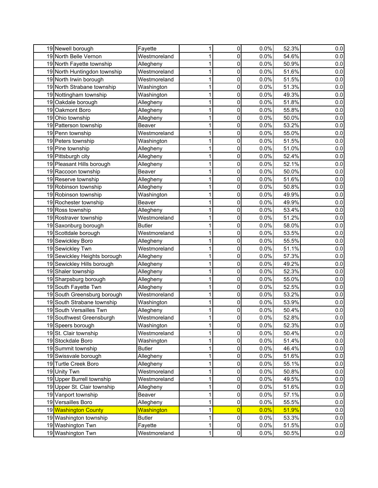| 19 Newell borough            | Fayette       | 1            | 0              | 0.0% | 52.3% | 0.0     |
|------------------------------|---------------|--------------|----------------|------|-------|---------|
| 19 North Belle Vernon        | Westmoreland  | 1            | 0              | 0.0% | 54.6% | 0.0     |
| 19 North Fayette township    | Allegheny     | 1            | 0              | 0.0% | 50.9% | 0.0     |
| 19 North Huntingdon township | Westmoreland  | $\mathbf{1}$ | 0              | 0.0% | 51.6% | 0.0     |
| 19 North Irwin borough       | Westmoreland  | 1            | 0              | 0.0% | 51.5% | 0.0     |
| 19 North Strabane township   | Washington    | 1            | 0              | 0.0% | 51.3% | 0.0     |
| 19 Nottingham township       | Washington    | 1            | 0              | 0.0% | 49.3% | 0.0     |
| 19 Oakdale borough           | Allegheny     | 1            | 0              | 0.0% | 51.8% | 0.0     |
| 19 Oakmont Boro              | Allegheny     | 1            | 0              | 0.0% | 55.8% | 0.0     |
| 19 Ohio township             | Allegheny     | 1            | 0              | 0.0% | 50.0% | 0.0     |
| 19 Patterson township        | <b>Beaver</b> | 1            | 0              | 0.0% | 53.2% | 0.0     |
| 19 Penn township             | Westmoreland  | 1            | 0              | 0.0% | 55.0% | 0.0     |
| 19 Peters township           | Washington    | 1            | 0              | 0.0% | 51.5% | 0.0     |
| 19 Pine township             | Allegheny     | 1            | 0              | 0.0% | 51.0% | 0.0     |
| 19 Pittsburgh city           | Allegheny     | 1            | 0              | 0.0% | 52.4% | 0.0     |
| 19 Pleasant Hills borough    | Allegheny     | 1            | 0              | 0.0% | 52.1% | 0.0     |
| 19 Raccoon township          | Beaver        | 1            | $\pmb{0}$      | 0.0% | 50.0% | 0.0     |
| 19 Reserve township          | Allegheny     | 1            | 0              | 0.0% | 51.6% | 0.0     |
| 19 Robinson township         | Allegheny     | 1            | 0              | 0.0% | 50.8% | 0.0     |
| 19 Robinson township         | Washington    | $\mathbf 1$  | $\mathbf 0$    | 0.0% | 49.9% | 0.0     |
| 19 Rochester township        | Beaver        | 1            | 0              | 0.0% | 49.9% | 0.0     |
| 19 Ross township             | Allegheny     | 1            | 0              | 0.0% | 53.4% | 0.0     |
| 19 Rostraver township        | Westmoreland  | $\mathbf 1$  | $\pmb{0}$      | 0.0% | 51.2% | 0.0     |
| 19 Saxonburg borough         | <b>Butler</b> | 1            | 0              | 0.0% | 58.0% | $0.0\,$ |
| 19 Scottdale borough         | Westmoreland  | 1            | 0              | 0.0% | 53.5% | 0.0     |
| 19 Sewickley Boro            | Allegheny     | $\mathbf 1$  | 0              | 0.0% | 55.5% | 0.0     |
| 19 Sewickley Twn             | Westmoreland  | 1            | 0              | 0.0% | 51.1% | 0.0     |
| 19 Sewickley Heights borough | Allegheny     | 1            | 0              | 0.0% | 57.3% | 0.0     |
| 19 Sewickley Hills borough   | Allegheny     | $\mathbf{1}$ | 0              | 0.0% | 49.2% | 0.0     |
| 19 Shaler township           | Allegheny     | 1            | 0              | 0.0% | 52.3% | 0.0     |
| 19 Sharpsburg borough        | Allegheny     | 1            | 0              | 0.0% | 55.0% | 0.0     |
| 19 South Fayette Twn         | Allegheny     | 1            | 0              | 0.0% | 52.5% | 0.0     |
| 19 South Greensburg borough  | Westmoreland  | 1            | 0              | 0.0% | 53.2% | 0.0     |
| 19 South Strabane township   | Washington    | 1            | 0              | 0.0% | 53.9% | 0.0     |
| 19 South Versailles Twn      | Allegheny     | 1            | 0              | 0.0% | 50.4% | $0.0\,$ |
| 19 Southwest Greensburgh     | Westmoreland  | 1            | $\Omega$       | 0.0% | 52.8% | 0.0     |
| 19 Speers borough            | Washington    | $\mathbf{1}$ | $\pmb{0}$      | 0.0% | 52.3% | 0.0     |
| 19 St. Clair township        | Westmoreland  | $\mathbf 1$  | $\pmb{0}$      | 0.0% | 50.4% | 0.0     |
| 19 Stockdale Boro            | Washington    | $\mathbf 1$  | $\pmb{0}$      | 0.0% | 51.4% | 0.0     |
| 19 Summit township           | <b>Butler</b> | $\mathbf 1$  | $\pmb{0}$      | 0.0% | 46.4% | 0.0     |
| 19 Swissvale borough         | Allegheny     | $\mathbf 1$  | $\pmb{0}$      | 0.0% | 51.6% | 0.0     |
| 19 Turtle Creek Boro         | Allegheny     | $\mathbf 1$  | $\pmb{0}$      | 0.0% | 55.1% | 0.0     |
| 19 Unity Twn                 | Westmoreland  | $\mathbf{1}$ | $\pmb{0}$      | 0.0% | 50.8% | 0.0     |
| 19 Upper Burrell township    | Westmoreland  | $\mathbf 1$  | 0              | 0.0% | 49.5% | 0.0     |
| 19 Upper St. Clair township  | Allegheny     | $\mathbf 1$  | $\pmb{0}$      | 0.0% | 51.6% | 0.0     |
| 19 Vanport township          | Beaver        | $\mathbf 1$  | $\pmb{0}$      | 0.0% | 57.1% | 0.0     |
| 19 Versailles Boro           | Allegheny     | $\mathbf 1$  | $\pmb{0}$      | 0.0% | 55.5% | 0.0     |
| 19 Washington County         | Washington    | $\mathbf 1$  | $\overline{0}$ | 0.0% | 51.9% | 0.0     |
| 19 Washington township       | <b>Butler</b> | $\mathbf 1$  | $\pmb{0}$      | 0.0% | 53.3% | 0.0     |
| 19 Washington Twn            | Fayette       | $\mathbf 1$  | $\pmb{0}$      | 0.0% | 51.5% | 0.0     |
| 19 Washington Twn            | Westmoreland  | $\mathbf 1$  | $\overline{0}$ | 0.0% | 50.5% | 0.0     |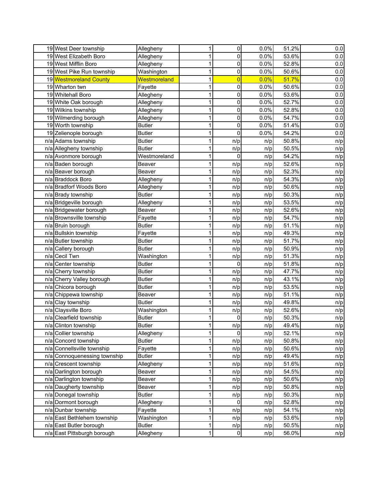| 19 West Deer township        | Allegheny     | 1           | 0              | 0.0% | 51.2% | 0.0 |
|------------------------------|---------------|-------------|----------------|------|-------|-----|
| 19 West Elizabeth Boro       | Allegheny     | 1           | 0              | 0.0% | 53.6% | 0.0 |
| 19 West Mifflin Boro         | Allegheny     | 1           | 0              | 0.0% | 52.8% | 0.0 |
| 19 West Pike Run township    | Washington    | 1           | 0              | 0.0% | 50.6% | 0.0 |
| 19 Westmoreland County       | Westmoreland  | 1           | $\overline{0}$ | 0.0% | 51.7% | 0.0 |
| 19 Wharton twn               | Fayette       | 1           | 0              | 0.0% | 50.6% | 0.0 |
| 19 Whitehall Boro            | Allegheny     | 1           | 0              | 0.0% | 53.6% | 0.0 |
| 19 White Oak borough         | Allegheny     | 1           | 0              | 0.0% | 52.7% | 0.0 |
| 19 Wilkins township          | Allegheny     | 1           | 0              | 0.0% | 52.8% | 0.0 |
| 19 Wilmerding borough        | Allegheny     | 1           | 0              | 0.0% | 54.7% | 0.0 |
| 19 Worth township            | <b>Butler</b> | 1           | 0              | 0.0% | 51.4% | 0.0 |
| 19 Zelienople borough        | <b>Butler</b> | 1           | 0              | 0.0% | 54.2% | 0.0 |
| n/a Adams township           | <b>Butler</b> | 1           | n/p            | n/p  | 50.8% | n/p |
| n/a Allegheny township       | <b>Butler</b> | 1           |                |      | 50.5% |     |
|                              | Westmoreland  | 1           | n/p<br>0       | n/p  | 54.2% | n/p |
| n/a Avonmore borough         |               |             |                | n/p  |       | n/p |
| n/a Baden borough            | Beaver        | 1           | n/p            | n/p  | 52.6% | n/p |
| n/a Beaver borough           | Beaver        | 1           | n/p            | n/p  | 52.3% | n/p |
| n/a Braddock Boro            | Allegheny     | 1           | n/p            | n/p  | 54.3% | n/p |
| n/a Bradforf Woods Boro      | Allegheny     | 1           | n/p            | n/p  | 50.6% | n/p |
| n/a Brady township           | <b>Butler</b> | 1           | n/p            | n/p  | 50.3% | n/p |
| n/a Bridgeville borough      | Allegheny     | 1           | n/p            | n/p  | 53.5% | n/p |
| n/a Bridgewater borough      | Beaver        | 1           | n/p            | n/p  | 52.6% | n/p |
| n/a Brownsville township     | Fayette       | 1           | n/p            | n/p  | 54.7% | n/p |
| n/a Bruin borough            | <b>Butler</b> | 1           | n/p            | n/p  | 51.1% | n/p |
| n/a Bullskin township        | Fayette       | 1           | n/p            | n/p  | 49.3% | n/p |
| n/a Butler township          | <b>Butler</b> | 1           | n/p            | n/p  | 51.7% | n/p |
| n/a Callery borough          | <b>Butler</b> | 1           | n/p            | n/p  | 50.9% | n/p |
| n/a Cecil Twn                | Washington    | 1           | n/p            | n/p  | 51.3% | n/p |
| n/a Center township          | <b>Butler</b> | 1           | 0              | n/p  | 51.8% | n/p |
| n/a Cherry township          | <b>Butler</b> | 1           | n/p            | n/p  | 47.7% | n/p |
| n/a Cherry Valley borough    | <b>Butler</b> | 1           | n/p            | n/p  | 43.1% | n/p |
| n/a Chicora borough          | <b>Butler</b> | 1           | n/p            | n/p  | 53.5% | n/p |
| n/a Chippewa township        | Beaver        | 1           | n/p            | n/p  | 51.1% | n/p |
| n/a Clay township            | <b>Butler</b> | 1           | n/p            | n/p  | 49.8% | n/p |
| n/a Claysville Boro          | Washington    | 1           | n/p            | n/p  | 52.6% | n/p |
| n/a Clearfield township      | <b>Butler</b> | 1           | 0              | n/p  | 50.3% | n/p |
| n/a Clinton township         | <b>Butler</b> | $\mathbf 1$ | n/p            | n/p  | 49.4% | n/p |
| n/a Collier township         | Allegheny     | 1           | 0              | n/p  | 52.1% | n/p |
| n/a Concord township         | <b>Butler</b> | $\mathbf 1$ | n/p            | n/p  | 50.8% | n/p |
| n/a Connellsville township   | Fayette       | $\mathbf 1$ | n/p            | n/p  | 50.6% | n/p |
| n/a Connoquenessing township | <b>Butler</b> | 1           | n/p            | n/p  | 49.4% | n/p |
| n/a Crescent township        | Allegheny     | 1           | n/p            | n/p  | 51.6% | n/p |
| n/a Darlington borough       | Beaver        | $\mathbf 1$ | n/p            | n/p  | 54.5% | n/p |
| n/a Darlington township      | Beaver        | 1           | n/p            | n/p  | 50.6% | n/p |
| n/a Daugherty township       | Beaver        | 1           | n/p            | n/p  | 50.8% | n/p |
| n/a Donegal township         | <b>Butler</b> | 1           | n/p            | n/p  | 50.3% | n/p |
| n/a Dormont borough          | Allegheny     | 1           | 0              | n/p  | 52.8% | n/p |
| n/a Dunbar township          | Fayette       | 1           | n/p            | n/p  | 54.1% | n/p |
| n/a East Bethlehem township  | Washington    | 1           | n/p            | n/p  | 53.6% | n/p |
| n/a East Butler borough      | <b>Butler</b> | $\mathbf 1$ | n/p            | n/p  | 50.5% | n/p |
| n/a East Pittsburgh borough  | Allegheny     | 1           | $\pmb{0}$      | n/p  | 56.0% | n/p |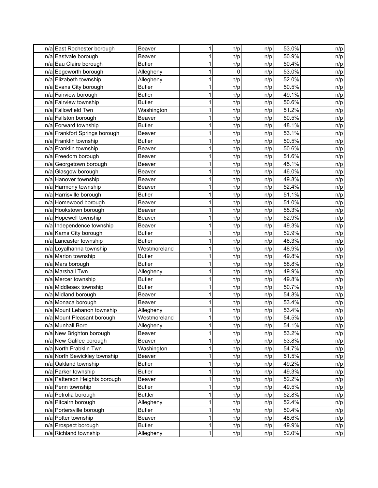| n/a East Rochester borough    | Beaver         | 1           | n/p | n/p | 53.0% | n/p |
|-------------------------------|----------------|-------------|-----|-----|-------|-----|
| n/a Eastvale borough          | Beaver         | 1           | n/p | n/p | 50.9% | n/p |
| n/a Eau Claire borough        | <b>Butler</b>  | 1           | n/p | n/p | 50.4% | n/p |
| n/a Edgeworth borough         | Allegheny      | 1           | 0   | n/p | 53.0% | n/p |
| n/a Elizabeth township        | Allegheny      | 1           | n/p | n/p | 52.0% | n/p |
| n/a Evans City borough        | <b>Butler</b>  | 1           | n/p | n/p | 50.5% | n/p |
| n/a Fairview borough          | <b>Butler</b>  | 1           | n/p | n/p | 49.1% | n/p |
| n/a Fairview township         | <b>Butler</b>  | 1           | n/p | n/p | 50.6% | n/p |
| n/a Fallowfield Twn           | Washington     | 1           | n/p | n/p | 51.2% | n/p |
| n/a Fallston borough          | Beaver         | 1           | n/p | n/p | 50.5% | n/p |
| n/a Forward township          | <b>Butler</b>  | 1           | n/p | n/p | 48.1% | n/p |
| n/a Frankfort Springs borough | Beaver         | 1           | n/p | n/p | 53.1% | n/p |
| n/a Franklin township         | <b>Butler</b>  | 1           | n/p | n/p | 50.5% | n/p |
| n/a Franklin township         | Beaver         | 1           | n/p | n/p | 50.6% | n/p |
| n/a Freedom borough           | Beaver         | 1           | n/p | n/p | 51.6% | n/p |
| n/a Georgetown borough        | Beaver         | 1           | n/p | n/p | 45.1% | n/p |
| n/a Glasgow borough           | Beaver         | 1           | n/p | n/p | 46.0% | n/p |
| n/a Hanover township          | Beaver         | 1           | n/p | n/p | 49.8% | n/p |
| n/a Harmony township          | Beaver         | 1           | n/p | n/p | 52.4% | n/p |
| n/a Harrisville borough       | <b>Butler</b>  | 1           | n/p | n/p | 51.1% | n/p |
| n/a Homewood borough          | Beaver         | 1           | n/p | n/p | 51.0% | n/p |
| n/a Hookstown borough         | Beaver         | 1           | n/p | n/p | 55.3% | n/p |
| n/a Hopewell township         | Beaver         | 1           | n/p | n/p | 52.9% | n/p |
| n/a Independence township     | Beaver         | 1           | n/p | n/p | 49.3% | n/p |
| n/a Karns City borough        | <b>Butler</b>  | 1           | n/p | n/p | 52.9% | n/p |
| n/a Lancaster township        | <b>Butler</b>  | 1           | n/p | n/p | 48.3% | n/p |
| n/a Loyalhanna township       | Westmoreland   | 1           | n/p | n/p | 48.9% | n/p |
| n/a Marion township           | <b>Butler</b>  | 1           | n/p | n/p | 49.8% | n/p |
| $\overline{n/a}$ Mars borough | <b>Butler</b>  | 1           | n/p | n/p | 58.8% | n/p |
| n/a Marshall Twn              | Allegheny      | 1           | n/p | n/p | 49.9% | n/p |
| n/a Mercer township           | <b>Butler</b>  | 1           | n/p | n/p | 49.8% | n/p |
| n/a Middlesex township        | <b>Butler</b>  | 1           | n/p | n/p | 50.7% | n/p |
| n/a Midland borough           | Beaver         | 1           | n/p | n/p | 54.8% | n/p |
| n/a Monaca borough            | Beaver         | 1           | n/p | n/p | 53.4% | n/p |
| n/a Mount Lebanon township    | Allegheny      | 1           | n/p | n/p | 53.4% | n/p |
| n/a Mount Pleasant borough    | Westmoreland   | 1           | n/p | n/p | 54.5% | n/p |
| n/a Munhall Boro              | Allegheny      | $\mathbf 1$ | n/p | n/p | 54.1% | n/p |
| n/a New Brighton borough      | Beaver         | 1           | n/p | n/p | 53.2% | n/p |
| n/a New Galilee borough       | Beaver         | 1           | n/p | n/p | 53.8% | n/p |
| n/a North Frabklin Twn        | Washington     | $\mathbf 1$ | n/p | n/p | 54.7% | n/p |
| n/a North Sewickley township  | Beaver         | 1           | n/p | n/p | 51.5% | n/p |
| n/a Oakland township          | <b>Butler</b>  | 1           | n/p | n/p | 49.2% | n/p |
| n/a Parker township           | <b>Butler</b>  | $\mathbf 1$ | n/p | n/p | 49.3% | n/p |
| n/a Patterson Heights borough | Beaver         | 1           | n/p | n/p | 52.2% | n/p |
| n/a Penn township             | <b>Butler</b>  | 1           | n/p | n/p | 49.5% | n/p |
| n/a Petrolia borough          | <b>Buttler</b> | 1           | n/p | n/p | 52.8% | n/p |
| n/a Pitcairn borough          | Allegheny      | 1           | n/p | n/p | 52.4% | n/p |
| n/a Portersville borough      | <b>Butler</b>  | 1           | n/p | n/p | 50.4% | n/p |
| n/a Potter township           | Beaver         | 1           | n/p | n/p | 48.6% | n/p |
| n/a Prospect borough          | <b>Butler</b>  | $\mathbf 1$ | n/p | n/p | 49.9% | n/p |
| n/a Richland township         | Allegheny      | 1           | n/p | n/p | 52.0% | n/p |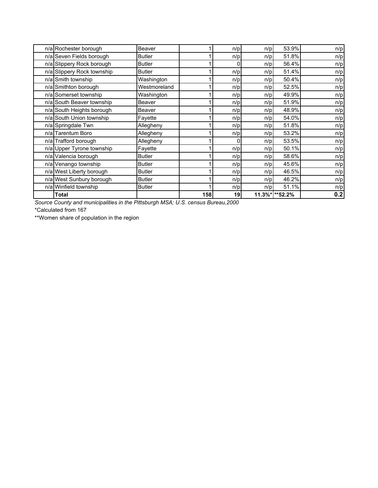| n/a Rochester borough      | Beaver        |     | n/p | n/p        | 53.9%   | n/p |
|----------------------------|---------------|-----|-----|------------|---------|-----|
| n/a Seven Fields borough   | <b>Butler</b> |     | n/p | n/p        | 51.8%   | n/p |
| n/a Slippery Rock borough  | <b>Butler</b> |     |     | n/p        | 56.4%   | n/p |
| n/a Slippery Rock township | <b>Butler</b> |     | n/p | n/p        | 51.4%   | n/p |
| n/a Smith township         | Washington    |     | n/p | n/p        | 50.4%   | n/p |
| n/a Smithton borough       | Westmoreland  |     | n/p | n/p        | 52.5%   | n/p |
| n/a Somerset township      | Washington    |     | n/p | n/p        | 49.9%   | n/p |
| n/a South Beaver township  | Beaver        |     | n/p | n/p        | 51.9%   | n/p |
| n/a South Heights borough  | Beaver        |     | n/p | n/p        | 48.9%   | n/p |
| n/a South Union township   | Fayette       |     | n/p | n/p        | 54.0%   | n/p |
| n/a Springdale Twn         | Allegheny     |     | n/p | n/p        | 51.8%   | n/p |
| n/a Tarentum Boro          | Allegheny     |     | n/p | n/p        | 53.2%   | n/p |
| n/a Trafford borough       | Allegheny     |     |     | n/p        | 53.5%   | n/p |
| n/a Upper Tyrone township  | Fayette       |     | n/p | n/p        | 50.1%   | n/p |
| n/a Valencia borough       | <b>Butler</b> |     | n/p | n/p        | 58.6%   | n/p |
| n/a Venango township       | <b>Butler</b> |     | n/p | n/p        | 45.6%   | n/p |
| n/a West Liberty borough   | <b>Butler</b> |     | n/p | n/p        | 46.5%   | n/p |
| n/a West Sunbury borough   | <b>Butler</b> |     | n/p | n/p        | 46.2%   | n/p |
| n/a Winfield township      | <b>Butler</b> |     | n/p | n/p        | 51.1%   | n/p |
| Total                      |               | 158 | 19  | $11.3\%$ * | **52.2% | 0.2 |

*Source County and municipalities in the Pittsburgh MSA; U.S. census Bureau,2000*

\*Calculated from 167

\*\*Women share of population in the region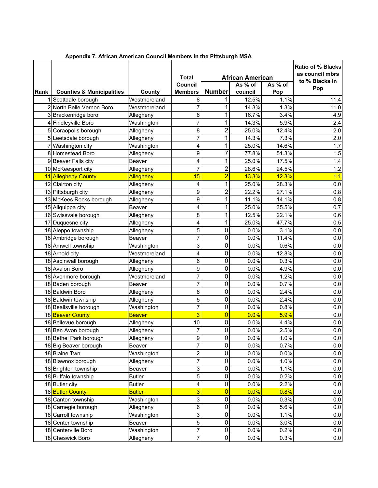|      |                                      |               | <b>Total</b><br>Council | <b>African American</b><br>As $%$ of<br>As % of |         |       | Ratio of % Blacks<br>as council mbrs<br>to % Blacks in |
|------|--------------------------------------|---------------|-------------------------|-------------------------------------------------|---------|-------|--------------------------------------------------------|
| Rank | <b>Counties &amp; Municipalities</b> | County        | <b>Members</b>          | <b>Number</b>                                   | council | Pop   | Pop                                                    |
|      | 1 Scottdale borough                  | Westmoreland  | 8                       | 1                                               | 12.5%   | 1.1%  | 11.4                                                   |
|      | 2 North Belle Vernon Boro            | Westmoreland  | 7                       | 1                                               | 14.3%   | 1.3%  | 11.0                                                   |
|      | 3 Brackenridge boro                  | Allegheny     | 6                       | 1                                               | 16.7%   | 3.4%  | 4.9                                                    |
|      | 4 Findleyville Boro                  | Washington    | 7                       | 1                                               | 14.3%   | 5.9%  | 2.4                                                    |
|      | 5 Coraopolis borough                 | Allegheny     | 8                       | $\overline{2}$                                  | 25.0%   | 12.4% | 2.0                                                    |
|      | 5 Leetsdale borough                  | Allegheny     | 7                       | 1                                               | 14.3%   | 7.3%  | 2.0                                                    |
|      | 7 Washington city                    | Washington    | 4                       | 1                                               | 25.0%   | 14.6% | 1.7                                                    |
|      | 8 Homestead Boro                     | Allegheny     | 9                       | 7                                               | 77.8%   | 51.3% | 1.5                                                    |
|      | 9 Beaver Falls city                  | Beaver        | 4                       | 1                                               | 25.0%   | 17.5% | 1.4                                                    |
|      | 10 McKeesport city                   | Allegheny     | 7                       | $\overline{2}$                                  | 28.6%   | 24.5% | 1.2                                                    |
|      | 11 Allegheny County                  | Allegheny     | 15                      | $\overline{2}$                                  | 13.3%   | 12.3% | 1.1                                                    |
|      | 12 Clairton city                     | Allegheny     | 4                       | 1                                               | 25.0%   | 28.3% | 0.0                                                    |
|      | 13 Pittsburgh city                   | Allegheny     | 9                       | $\overline{2}$                                  | 22.2%   | 27.1% | 0.8                                                    |
|      | 13 McKees Rocks borough              | Allegheny     | 9                       | 1                                               | 11.1%   | 14.1% | 0.8                                                    |
|      | 15 Aliquippa city                    | Beaver        | 4                       | 1                                               | 25.0%   | 35.5% | 0.7                                                    |
|      | 16 Swissvale borough                 | Allegheny     | 8                       | 1                                               | 12.5%   | 22.1% | 0.6                                                    |
|      | 17 Duquesne city                     | Allegheny     | 4                       | 1                                               | 25.0%   | 47.7% | 0.5                                                    |
|      | 18 Aleppo township                   | Allegheny     | 5                       | 0                                               | 0.0%    | 3.1%  | 0.0                                                    |
|      | 18 Ambridge borough                  | Beaver        | 7                       | 0                                               | 0.0%    | 11.4% | 0.0                                                    |
|      | 18 Amwell township                   | Washington    | 3                       | 0                                               | 0.0%    | 0.6%  | 0.0                                                    |
|      | 18 Arnold city                       | Westmoreland  | 4                       | 0                                               | 0.0%    | 12.8% | 0.0                                                    |
|      | 18 Aspinwall borough                 | Allegheny     | 6                       | 0                                               | 0.0%    | 0.3%  | 0.0                                                    |
|      | 18 Avalon Boro                       | Allegheny     | 9                       | 0                                               | 0.0%    | 4.9%  | 0.0                                                    |
|      | 18 Avonmore borough                  | Westmoreland  | 7                       | 0                                               | 0.0%    | 1.2%  | 0.0                                                    |
|      | 18 Baden borough                     | Beaver        | 7                       | 0                                               | 0.0%    | 0.7%  | 0.0                                                    |
|      | 18 Baldwin Boro                      | Allegheny     | 6                       | 0                                               | 0.0%    | 2.4%  | 0.0                                                    |
|      | 18 Baldwin township                  | Allegheny     | 5                       | $\mathbf 0$                                     | 0.0%    | 2.4%  | 0.0                                                    |
|      | 18 Beallsville borough               | Washington    | 7                       | 0                                               | 0.0%    | 0.8%  | 0.0                                                    |
|      | 18 Beaver County                     | <b>Beaver</b> | 3                       | 0                                               | 0.0%    | 5.9%  | 0.0                                                    |
|      | 18 Bellevue borough                  | Allegheny     | 10                      | 0                                               | 0.0%    | 4.4%  | 0.0                                                    |
|      | 18 Ben Avon borough                  | Allegheny     | 7                       | 0                                               | 0.0%    | 2.5%  | 0.0                                                    |
|      | 18 Bethel Park borough               | Allegheny     | $\boldsymbol{9}$        | $\overline{0}$                                  | 0.0%    | 1.0%  | 0.0                                                    |
|      | 18 Big Beaver borough                | Beaver        | $\overline{7}$          | 0                                               | 0.0%    | 0.7%  | 0.0                                                    |
|      | 18 Blaine Twn                        | Washington    | $\overline{2}$          | $\pmb{0}$                                       | 0.0%    | 0.0%  | 0.0                                                    |
|      | 18 Blawnox borough                   | Allegheny     | 7                       | $\pmb{0}$                                       | 0.0%    | 1.0%  | 0.0                                                    |
|      | 18 Brighton township                 | Beaver        | 3                       | $\pmb{0}$                                       | 0.0%    | 1.1%  | 0.0                                                    |
|      | 18 Buffalo township                  | <b>Butler</b> | 5                       | 0                                               | 0.0%    | 0.2%  | 0.0                                                    |
|      | 18 Butler city                       | <b>Butler</b> | 4                       | $\pmb{0}$                                       | 0.0%    | 2.2%  | $0.0\,$                                                |
|      | 18 Butler County                     | <b>Butler</b> | 3                       | $\overline{0}$                                  | 0.0%    | 0.8%  | 0.0                                                    |
|      | 18 Canton township                   | Washington    | $\mathsf 3$             | $\pmb{0}$                                       | 0.0%    | 0.3%  | 0.0                                                    |
|      | 18 Carnegie borough                  | Allegheny     | $\,6$                   | $\pmb{0}$                                       | 0.0%    | 5.6%  | $0.0\,$                                                |
|      | 18 Carroll township                  | Washington    | 3                       | 0                                               | 0.0%    | 1.1%  | 0.0                                                    |
|      | 18 Center township                   | Beaver        | 5                       | 0                                               | 0.0%    | 3.0%  | 0.0                                                    |
|      | 18 Centerville Boro                  | Washington    | 7                       | $\pmb{0}$                                       | 0.0%    | 0.2%  | $0.0\,$                                                |
|      | 18 Cheswick Boro                     | Allegheny     | $\overline{7}$          | $\overline{0}$                                  | 0.0%    | 0.3%  | 0.0                                                    |

 **Appendix 7. African American Council Members in the Pittsburgh MSA**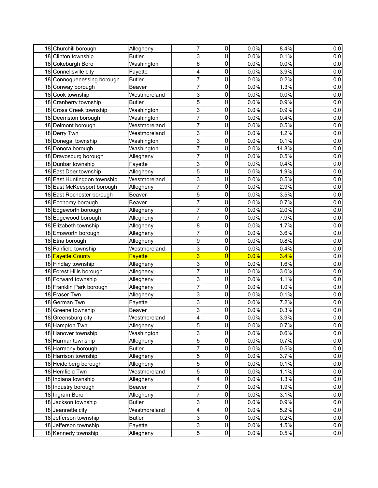| 18 Churchill borough        | Allegheny     | 7                         | $\pmb{0}$      | 0.0% | 8.4%  | 0.0     |
|-----------------------------|---------------|---------------------------|----------------|------|-------|---------|
| 18 Clinton township         | <b>Butler</b> | 3                         | 0              | 0.0% | 0.1%  | $0.0\,$ |
| 18 Cokeburgh Boro           | Washington    | 6                         | 0              | 0.0% | 0.0%  | 0.0     |
| 18 Connellsville city       | Fayette       | 4                         | 0              | 0.0% | 3.9%  | $0.0\,$ |
| 18 Connoquenessing borough  | <b>Butler</b> | 7                         | 0              | 0.0% | 0.2%  | $0.0\,$ |
| 18 Conway borough           | Beaver        | 7                         | 0              | 0.0% | 1.3%  | $0.0\,$ |
| 18 Cook township            | Westmoreland  | 3                         | 0              | 0.0% | 0.0%  | 0.0     |
| 18 Cranberry township       | <b>Butler</b> | 5                         | 0              | 0.0% | 0.9%  | 0.0     |
| 18 Cross Creek township     | Washington    | 3                         | 0              | 0.0% | 0.9%  | 0.0     |
| 18 Deemston borough         | Washington    | 7                         | 0              | 0.0% | 0.4%  | 0.0     |
| 18 Delmont borough          | Westmoreland  | 7                         | 0              | 0.0% | 0.5%  | 0.0     |
| 18 Derry Twn                | Westmoreland  | 3                         | 0              | 0.0% | 1.2%  | 0.0     |
| 18 Donegal township         | Washington    | 3                         | 0              | 0.0% | 0.1%  | $0.0\,$ |
| 18 Donora borough           | Washington    | 7                         | 0              | 0.0% | 14.8% | 0.0     |
| 18 Dravosburg borough       | Allegheny     | 7                         | 0              | 0.0% | 0.5%  | 0.0     |
| 18 Dunbar township          | Fayette       | 3                         | 0              | 0.0% | 0.4%  | 0.0     |
| 18 East Deer township       | Allegheny     | 5                         | 0              | 0.0% | 1.9%  | 0.0     |
| 18 East Huntingdon township | Westmoreland  | 3                         | 0              | 0.0% | 0.5%  | $0.0\,$ |
| 18 East McKeesport borough  | Allegheny     | 7                         | 0              | 0.0% | 2.9%  | 0.0     |
| 18 East Rochester borough   | Beaver        | 5                         | 0              | 0.0% | 3.5%  | 0.0     |
| 18 Economy borough          | Beaver        | 7                         | 0              | 0.0% | 0.7%  | 0.0     |
| 18 Edgeworth borough        | Allegheny     | 7                         | 0              | 0.0% | 2.0%  | 0.0     |
| 18 Edgewood borough         | Allegheny     | 7                         | 0              | 0.0% | 7.9%  | 0.0     |
| 18 Elizabeth township       | Allegheny     | 8                         | 0              | 0.0% | 1.7%  | 0.0     |
| 18 Emsworth borough         | Allegheny     | 7                         | 0              | 0.0% | 3.6%  | 0.0     |
| 18 Etna borough             | Allegheny     | 9                         | 0              | 0.0% | 0.8%  | $0.0\,$ |
| 18 Fairfield township       | Westmoreland  | 3                         | 0              | 0.0% | 0.4%  | $0.0\,$ |
| 18 Fayette County           | Fayette       | 3                         | 0              | 0.0% | 3.4%  | 0.0     |
| 18 Findlay township         | Allegheny     | 3                         | 0              | 0.0% | 1.6%  | 0.0     |
| 18 Forest Hills borough     | Allegheny     | 7                         | 0              | 0.0% | 3.0%  | 0.0     |
| 18 Forward township         | Allegheny     | 3                         | 0              | 0.0% | 1.1%  | 0.0     |
| 18 Franklin Park borough    | Allegheny     | 7                         | 0              | 0.0% | 1.0%  | 0.0     |
| 18 Fraser Twn               | Allegheny     | 3                         | 0              | 0.0% | 0.1%  | 0.0     |
| 18 German Twn               | Fayette       | 3                         | 0              | 0.0% | 7.2%  | 0.0     |
| 18 Greene township          | Beaver        | 3                         | 0              | 0.0% | 0.3%  | $0.0\,$ |
| 18 Greensburg city          | Westmoreland  | 4                         | 0              | 0.0% | 3.9%  | 0.0     |
| 18 Hampton Twn              | Allegheny     | $\sqrt{5}$                | $\pmb{0}$      | 0.0% | 0.7%  | 0.0     |
| 18 Hanover township         | Washington    | 3                         | $\mathbf 0$    | 0.0% | 0.6%  | 0.0     |
| 18 Harmar township          | Allegheny     | $\mathbf 5$               | $\pmb{0}$      | 0.0% | 0.7%  | $0.0\,$ |
| 18 Harmony borough          | <b>Butler</b> | $\overline{7}$            | 0              | 0.0% | 0.5%  | 0.0     |
| 18 Harrison township        | Allegheny     | 5                         | 0              | 0.0% | 3.7%  | 0.0     |
| 18 Heidelberg borough       | Allegheny     | $\sqrt{5}$                | 0              | 0.0% | 0.1%  | 0.0     |
| 18 Hemfield Twn             | Westmoreland  | 5                         | 0              | 0.0% | 1.1%  | 0.0     |
| 18 Indiana township         | Allegheny     | 4                         | $\mathbf 0$    | 0.0% | 1.3%  | 0.0     |
| 18 Industry borough         | Beaver        | 7                         | $\pmb{0}$      | 0.0% | 1.9%  | 0.0     |
| 18 Ingram Boro              | Allegheny     | 7                         | 0              | 0.0% | 3.1%  | 0.0     |
| 18 Jackson township         | <b>Butler</b> | 3                         | $\mathbf 0$    | 0.0% | 0.9%  | 0.0     |
| 18 Jeannette city           | Westmoreland  | 4                         | 0              | 0.0% | 5.2%  | 0.0     |
| 18 Jefferson township       | <b>Butler</b> | 3                         | 0              | 0.0% | 0.2%  | $0.0\,$ |
| 18 Jefferson township       | Fayette       | $\ensuremath{\mathsf{3}}$ | $\mathbf 0$    | 0.0% | 1.5%  | 0.0     |
| 18 Kennedy township         | Allegheny     | $\overline{5}$            | $\overline{0}$ | 0.0% | 0.5%  | 0.0     |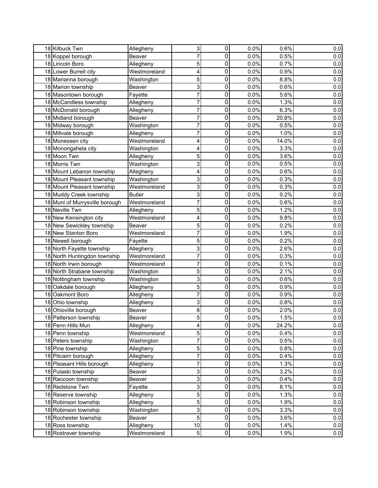| 18 Kilbuck Twn                               | Allegheny     | 3                       | 0              | 0.0% | 0.6%  | $0.0\,$ |
|----------------------------------------------|---------------|-------------------------|----------------|------|-------|---------|
| 18 Koppel borough                            | Beaver        | 7                       | 0              | 0.0% | 0.5%  | $0.0\,$ |
| 18 Lincoln Boro                              | Allegheny     | 5                       | 0              | 0.0% | 0.7%  | $0.0\,$ |
|                                              |               | 4                       | 0              | 0.0% | 0.9%  | $0.0\,$ |
| 18 Lower Burrell city<br>18 Marianna borough | Westmoreland  | 5                       | 0              | 0.0% | 8.8%  | $0.0\,$ |
| 18 Marion township                           | Washington    |                         | 0              | 0.0% | 0.6%  |         |
|                                              | Beaver        | 3                       |                |      |       | 0.0     |
| 18 Masontown borough                         | Fayette       | 7                       | 0              | 0.0% | 5.6%  | 0.0     |
| 18 McCandless township                       | Allegheny     | 7                       | 0              | 0.0% | 1.3%  | 0.0     |
| 18 McDonald borough                          | Allegheny     | 7                       | 0              | 0.0% | 6.3%  | 0.0     |
| 18 Midland borough                           | Beaver        | 7                       | 0              | 0.0% | 20.8% | 0.0     |
| 18 Midway borough                            | Washington    | 7                       | 0              | 0.0% | 0.5%  | $0.0\,$ |
| 18 Millvale borough                          | Allegheny     | 7                       | $\mathbf 0$    | 0.0% | 1.0%  | 0.0     |
| 18 Monessen city                             | Westmoreland  | 4                       | 0              | 0.0% | 14.0% | 0.0     |
| 18 Monongahela city                          | Washington    | 4                       | 0              | 0.0% | 3.3%  | 0.0     |
| 18 Moon Twn                                  | Allegheny     | 5                       | 0              | 0.0% | 3.6%  | 0.0     |
| 18 Morris Twn                                | Washington    | 3                       | 0              | 0.0% | 0.5%  | $0.0\,$ |
| 18 Mount Lebanon township                    | Allegheny     | 4                       | 0              | 0.0% | 0.6%  | $0.0\,$ |
| 18 Mount Pleasant township                   | Washington    | 3                       | $\mathbf 0$    | 0.0% | 0.3%  | 0.0     |
| 18 Mount Pleasant township                   | Westmoreland  | 3                       | 0              | 0.0% | 0.3%  | 0.0     |
| 18 Muddy Creek township                      | <b>Butler</b> | 3                       | 0              | 0.0% | 0.2%  | 0.0     |
| 18 Muni of Murrysville borough               | Westmoreland  | 7                       | 0              | 0.0% | 0.6%  | 0.0     |
| 18 Neville Twn                               | Allegheny     | 5                       | 0              | 0.0% | 1.2%  | 0.0     |
| 18 New Kensington city                       | Westmoreland  | 4                       | 0              | 0.0% | 9.8%  | $0.0\,$ |
| 18 New Sewickley township                    | Beaver        | 5                       | 0              | 0.0% | 0.2%  | 0.0     |
| 18 New Stanton Boro                          | Westmoreland  | 7                       | 0              | 0.0% | 1.9%  | 0.0     |
| 18 Newell borough                            | Fayette       | 5                       | 0              | 0.0% | 0.2%  | $0.0\,$ |
| 18 North Fayette township                    | Allegheny     | 3                       | 0              | 0.0% | 2.6%  | 0.0     |
| 18 North Huntingdon township                 | Westmoreland  | 7                       | 0              | 0.0% | 0.3%  | 0.0     |
| 18 North Irwin borough                       | Westmoreland  | 7                       | 0              | 0.0% | 0.1%  | $0.0\,$ |
| 18 North Strabane township                   | Washington    | 5                       | 0              | 0.0% | 2.1%  | $0.0\,$ |
| 18 Nottingham township                       | Washington    | 3                       | $\mathbf 0$    | 0.0% | 0.6%  | 0.0     |
| 18 Oakdale borough                           | Allegheny     | 5                       | 0              | 0.0% | 0.9%  | 0.0     |
| 18 Oakmont Boro                              | Allegheny     | 7                       | 0              | 0.0% | 0.9%  | 0.0     |
| 18 Ohio township                             | Allegheny     | 3                       | 0              | 0.0% | 0.8%  | $0.0\,$ |
| 18 Ohioville borough                         | Beaver        | 8                       | 0              | 0.0% | 2.0%  | $0.0\,$ |
| 18 Patterson township                        | Beaver        | 5                       | 0              | 0.0% | 1.5%  | 0.0     |
| 18 Penn Hills Mun                            | Allegheny     | $\overline{\mathbf{4}}$ | $\pmb{0}$      | 0.0% | 24.2% | 0.0     |
| 18 Penn township                             | Westmoreland  | 5                       | 0              | 0.0% | 0.4%  | 0.0     |
| 18 Peters township                           | Washington    | $\overline{7}$          | 0              | 0.0% | 0.5%  | $0.0\,$ |
| 18 Pine township                             | Allegheny     | 5                       | 0              | 0.0% | 0.8%  | 0.0     |
| 18 Pitcairn borough                          | Allegheny     | 7                       | 0              | 0.0% | 0.4%  | 0.0     |
| 18 Pleasant Hills borough                    | Allegheny     | 7                       | 0              | 0.0% | 1.3%  | $0.0\,$ |
| 18 Pulaski township                          | Beaver        | 3                       | $\pmb{0}$      | 0.0% | 3.2%  | 0.0     |
| 18 Raccoon township                          | Beaver        | 3                       | 0              | 0.0% | 0.4%  | 0.0     |
| 18 Redstone Twn                              | Fayette       | 3                       | $\pmb{0}$      | 0.0% | 8.1%  | 0.0     |
| 18 Reserve township                          |               | 5                       | 0              | 0.0% | 1.3%  |         |
|                                              | Allegheny     |                         |                |      |       | 0.0     |
| 18 Robinson township                         | Allegheny     | $\sqrt{5}$              | 0              | 0.0% | 1.9%  | 0.0     |
| 18 Robinson township                         | Washington    | 3                       | 0              | 0.0% | 3.3%  | $0.0\,$ |
| 18 Rochester township                        | Beaver        | 5                       | $\pmb{0}$      | 0.0% | 3.6%  | 0.0     |
| 18 Ross township                             | Allegheny     | 10                      | $\pmb{0}$      | 0.0% | 1.4%  | 0.0     |
| 18 Rostraver township                        | Westmoreland  | $5\overline{)}$         | $\overline{0}$ | 0.0% | 1.9%  | 0.0     |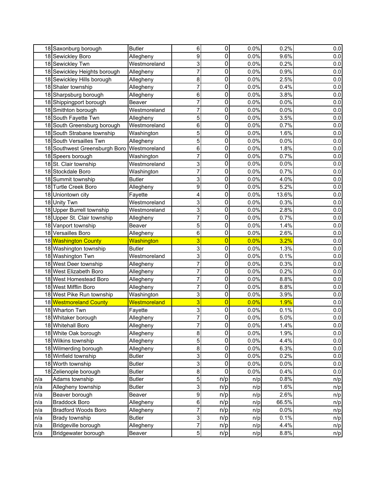|     | 18 Saxonburg borough                  | <b>Butler</b>              | 6                         | $\pmb{0}$      | 0.0%       | 0.2%  | 0.0     |
|-----|---------------------------------------|----------------------------|---------------------------|----------------|------------|-------|---------|
|     | 18 Sewickley Boro                     | Allegheny                  | 9                         | 0              | 0.0%       | 9.6%  | $0.0\,$ |
|     | 18 Sewickley Twn                      | Westmoreland               | 3                         | 0              | 0.0%       | 0.2%  | 0.0     |
|     | 18 Sewickley Heights borough          | Allegheny                  | 7                         | 0              | 0.0%       | 0.9%  | 0.0     |
|     | 18 Sewickley Hills borough            | Allegheny                  | 8                         | 0              | 0.0%       | 2.5%  | $0.0\,$ |
|     | 18 Shaler township                    | Allegheny                  | 7                         | 0              | 0.0%       | 0.4%  | $0.0\,$ |
|     | 18 Sharpsburg borough                 | Allegheny                  | 6                         | 0              | 0.0%       | 3.8%  | 0.0     |
|     | 18 Shippingport borough               | Beaver                     | 7                         | 0              | 0.0%       | 0.0%  | 0.0     |
|     | 18 Smithton borough                   | Westmoreland               | 7                         | 0              | 0.0%       | 0.0%  | 0.0     |
|     | 18 South Fayette Twn                  | Allegheny                  | 5                         | 0              | 0.0%       | 3.5%  | 0.0     |
|     | 18 South Greensburg borough           | Westmoreland               | 6                         | 0              | 0.0%       | 0.7%  | 0.0     |
|     | 18 South Strabane township            | Washington                 | 5                         | 0              | 0.0%       | 1.6%  | 0.0     |
|     | 18 South Versailles Twn               | Allegheny                  | 5                         | 0              | 0.0%       | 0.0%  | 0.0     |
|     | 18 Southwest Greensburgh Boro         | Westmoreland               | 6                         | 0              | 0.0%       | 1.8%  | 0.0     |
|     | 18 Speers borough                     | Washington                 | 7                         | 0              | 0.0%       | 0.7%  | 0.0     |
|     | 18 St. Clair township                 | Westmoreland               | 3                         | 0              | 0.0%       | 0.0%  | 0.0     |
|     | 18 Stockdale Boro                     | Washington                 | 7                         | 0              | 0.0%       | 0.7%  | 0.0     |
|     | 18 Summit township                    | <b>Butler</b>              | 3                         | 0              | 0.0%       | 4.0%  | $0.0\,$ |
|     | 18 Turtle Creek Boro                  | Allegheny                  | 9                         | 0              | 0.0%       | 5.2%  | 0.0     |
|     | 18 Uniontown city                     | Fayette                    | 4                         | 0              | 0.0%       | 13.6% | 0.0     |
|     | 18 Unity Twn                          | Westmoreland               | 3                         | 0              | 0.0%       | 0.3%  | 0.0     |
|     | 18 Upper Burrell township             | Westmoreland               | 3                         | 0              | 0.0%       | 2.8%  | 0.0     |
|     | 18 Upper St. Clair township           | Allegheny                  | 7                         | 0              | 0.0%       | 0.7%  | 0.0     |
|     | 18 Vanport township                   | Beaver                     | 5                         | 0              | 0.0%       | 1.4%  | 0.0     |
|     | 18 Versailles Boro                    | Allegheny                  | 6                         | 0              | 0.0%       | 2.6%  | 0.0     |
|     | 18 Washington County                  | <b>Washington</b>          | 3                         | $\overline{0}$ | 0.0%       | 3.2%  | 0.0     |
|     | 18 Washington township                | <b>Butler</b>              | 3                         | 0              | 0.0%       | 1.3%  | $0.0\,$ |
|     | 18 Washington Twn                     | Westmoreland               | 3                         | 0              | 0.0%       | 0.1%  | 0.0     |
|     | 18 West Deer township                 | Allegheny                  | 7                         | 0              | 0.0%       | 0.3%  | 0.0     |
|     | 18 West Elizabeth Boro                | Allegheny                  | 7                         | 0              | 0.0%       | 0.2%  | 0.0     |
|     | 18 West Homestead Boro                | Allegheny                  | 7                         | 0              | 0.0%       | 8.8%  | 0.0     |
|     | 18 West Mifflin Boro                  | Allegheny                  | 7                         | 0              | 0.0%       | 8.8%  | 0.0     |
|     | 18 West Pike Run township             | Washington                 | 3                         | 0              | 0.0%       | 3.9%  | 0.0     |
|     | 18 Westmoreland County                | <b>Westmoreland</b>        | 3                         | $\overline{0}$ | 0.0%       | 1.9%  | 0.0     |
|     | 18 Wharton Twn                        | Fayette                    | 3                         | 0              | 0.0%       | 0.1%  | $0.0\,$ |
|     | 18 Whitaker borough                   | Allegheny                  | 7                         | 0              | 0.0%       | 5.0%  | 0.0     |
|     | 18 Whitehall Boro                     | Allegheny                  | 7                         | $\pmb{0}$      | 0.0%       | 1.4%  | 0.0     |
|     | 18 White Oak borough                  | Allegheny                  | $\bf 8$                   | $\mathbf 0$    | 0.0%       | 1.9%  | 0.0     |
|     | 18 Wilkins township                   | Allegheny                  | $\mathbf 5$               | $\pmb{0}$      | 0.0%       | 4.4%  | $0.0\,$ |
|     | 18 Wilmerding borough                 | Allegheny                  | $\bf 8$                   | 0              | 0.0%       | 6.3%  | 0.0     |
|     | 18 Winfield township                  | <b>Butler</b>              | $\ensuremath{\mathsf{3}}$ | 0              | 0.0%       | 0.2%  | 0.0     |
|     | 18 Worth township                     | <b>Butler</b>              | 3                         | 0              | 0.0%       | 0.0%  | 0.0     |
|     | 18 Zelienople borough                 | <b>Butler</b>              | $\bf 8$                   | 0              | 0.0%       | 0.4%  | 0.0     |
| n/a | Adams township                        | <b>Butler</b>              | 5                         | n/p            | n/p        | 0.8%  | n/p     |
| n/a | Allegheny township                    | <b>Butler</b>              | 3                         | n/p            | n/p        | 1.6%  | n/p     |
| n/a | Beaver borough                        | Beaver                     | $\boldsymbol{9}$          | n/p            | n/p        | 2.6%  | n/p     |
| n/a | <b>Braddock Boro</b>                  | Allegheny                  | $\,6$                     | n/p            | n/p        | 66.5% | n/p     |
| n/a | <b>Bradford Woods Boro</b>            | Allegheny                  | 7                         | n/p            | n/p        | 0.0%  | n/p     |
| n/a |                                       |                            |                           |                |            | 0.1%  | n/p     |
|     |                                       |                            | 3                         |                |            |       |         |
| n/a | Brady township<br>Bridgeville borough | <b>Butler</b><br>Allegheny | 7                         | n/p<br>n/p     | n/p<br>n/p | 4.4%  | n/p     |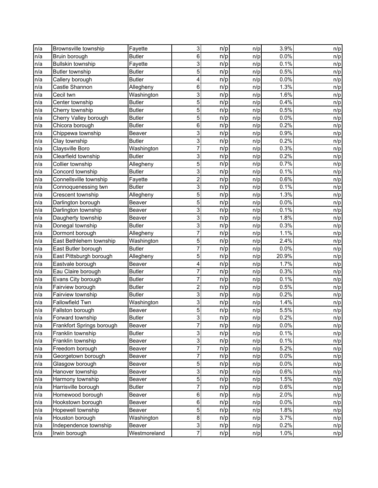| n/a | Brownsville township      | Fayette       | 3       | n/p | n/p | 3.9%  | n/p |
|-----|---------------------------|---------------|---------|-----|-----|-------|-----|
| n/a | Bruin borough             | <b>Butler</b> | 6       | n/p | n/p | 0.0%  | n/p |
| n/a | <b>Bullskin township</b>  | Fayette       | 3       | n/p | n/p | 0.1%  | n/p |
| n/a | <b>Butler township</b>    | <b>Butler</b> | 5       | n/p | n/p | 0.5%  | n/p |
| n/a | Callery borough           | <b>Butler</b> | 4       | n/p | n/p | 0.0%  | n/p |
| n/a | Castle Shannon            | Allegheny     | $\,6\,$ | n/p | n/p | 1.3%  | n/p |
| n/a | Cecil twn                 | Washington    | 3       | n/p | n/p | 1.6%  | n/p |
| n/a | Center township           | <b>Butler</b> | 5       | n/p | n/p | 0.4%  | n/p |
| n/a | Cherry township           | <b>Butler</b> | 5       | n/p | n/p | 0.5%  | n/p |
| n/a | Cherry Valley borough     | <b>Butler</b> | 5       | n/p | n/p | 0.0%  | n/p |
| n/a | Chicora borough           | <b>Butler</b> | 6       | n/p | n/p | 0.2%  | n/p |
| n/a | Chippewa township         | Beaver        | 3       | n/p | n/p | 0.9%  | n/p |
| n/a | Clay township             | <b>Butler</b> | 3       | n/p | n/p | 0.2%  | n/p |
| n/a | Claysville Boro           | Washington    | 7       | n/p | n/p | 0.3%  | n/p |
| n/a | Clearfield township       | <b>Butler</b> | 3       | n/p | n/p | 0.2%  | n/p |
| n/a | Collier township          | Allegheny     | 5       | n/p | n/p | 0.7%  | n/p |
| n/a | Concord township          | <b>Butler</b> | 3       | n/p | n/p | 0.1%  | n/p |
| n/a | Connellsville township    | Fayette       | 2       | n/p | n/p | 0.6%  | n/p |
| n/a | Connoquenessing twn       | <b>Butler</b> | 3       | n/p | n/p | 0.1%  | n/p |
| n/a | Crescent township         | Allegheny     | 5       | n/p | n/p | 1.3%  | n/p |
| n/a | Darlington borough        | Beaver        | 5       | n/p | n/p | 0.0%  | n/p |
| n/a | Darlington township       | Beaver        | 3       | n/p | n/p | 0.1%  | n/p |
| n/a | Daugherty township        | Beaver        | 3       | n/p | n/p | 1.8%  | n/p |
| n/a | Donegal township          | <b>Butler</b> | 3       | n/p | n/p | 0.3%  | n/p |
| n/a | Dormont borough           | Allegheny     | 7       | n/p | n/p | 1.1%  | n/p |
| n/a | East Bethlehem township   | Washington    | 5       | n/p | n/p | 2.4%  | n/p |
| n/a | East Butler borough       | <b>Butler</b> | 7       | n/p | n/p | 0.0%  | n/p |
| n/a | East Pittsburgh borough   | Allegheny     | 5       | n/p | n/p | 20.9% | n/p |
| n/a | Eastvale borough          | Beaver        | 4       | n/p | n/p | 1.7%  | n/p |
| n/a | Eau Claire borough        | <b>Butler</b> | 7       | n/p | n/p | 0.3%  | n/p |
| n/a | Evans City borough        | <b>Butler</b> | 7       | n/p | n/p | 0.1%  | n/p |
| n/a | Fairview borough          | <b>Butler</b> | 2       | n/p | n/p | 0.5%  | n/p |
| n/a | Fairview township         | <b>Butler</b> | 3       | n/p | n/p | 0.2%  | n/p |
| n/a | <b>Fallowfield Twn</b>    | Washington    | 3       | n/p | n/p | 1.4%  | n/p |
| n/a | Fallston borough          | Beaver        | 5       | n/p | n/p | 5.5%  | n/p |
| n/a | Forward township          | <b>Butler</b> | 3       | n/p | n/p | 0.2%  | n/p |
| n/a | Frankfort Springs borough | Beaver        | 7       | n/p | n/p | 0.0%  | n/p |
| n/a | Franklin township         | <b>Butler</b> | 3       | n/p | n/p | 0.1%  | n/p |
| n/a | Franklin township         | Beaver        | 3       | n/p | n/p | 0.1%  | n/p |
| n/a | Freedom borough           | Beaver        | 7       | n/p | n/p | 5.2%  | n/p |
| n/a | Georgetown borough        | Beaver        | 7       | n/p | n/p | 0.0%  | n/p |
| n/a | Glasgow borough           | Beaver        | 5       | n/p | n/p | 0.0%  | n/p |
| n/a | Hanover township          | Beaver        | 3       | n/p | n/p | 0.6%  | n/p |
| n/a | Harmony township          | Beaver        | 5       | n/p | n/p | 1.5%  | n/p |
| n/a | Harrisville borough       | <b>Butler</b> | 7       | n/p | n/p | 0.6%  | n/p |
| n/a | Homewood borough          | Beaver        | 6       | n/p | n/p | 2.0%  | n/p |
| n/a | Hookstown borough         | Beaver        | 6       | n/p | n/p | 0.0%  | n/p |
| n/a | Hopewell township         | Beaver        | 5       | n/p | n/p | 1.8%  | n/p |
| n/a | Houston borough           | Washington    | $\bf 8$ | n/p | n/p | 3.7%  | n/p |
| n/a | Independence township     | Beaver        | 3       | n/p | n/p | 0.2%  | n/p |
| n/a | Irwin borough             | Westmoreland  | 7       | n/p | n/p | 1.0%  | n/p |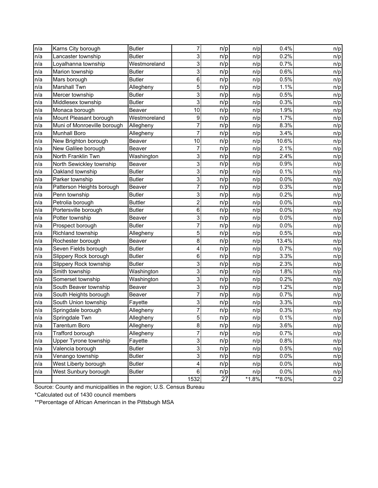| n/a | Karns City borough          | <b>Butler</b>  | 7              | n/p | n/p     | 0.4%   | n/p |
|-----|-----------------------------|----------------|----------------|-----|---------|--------|-----|
| n/a | Lancaster township          | <b>Butler</b>  | 3              | n/p | n/p     | 0.2%   | n/p |
| n/a | Loyalhanna township         | Westmoreland   | 3              | n/p | n/p     | 0.7%   | n/p |
| n/a | Marion township             | <b>Butler</b>  | 3              | n/p | n/p     | 0.6%   | n/p |
| n/a | Mars borough                | <b>Butler</b>  | $\,6$          | n/p | n/p     | 0.5%   | n/p |
| n/a | Marshall Twn                | Allegheny      | 5              | n/p | n/p     | 1.1%   | n/p |
| n/a | Mercer township             | <b>Butler</b>  | 3              | n/p | n/p     | 0.5%   | n/p |
| n/a | Middlesex township          | <b>Butler</b>  | 3              | n/p | n/p     | 0.3%   | n/p |
| n/a | Monaca borough              | Beaver         | 10             | n/p | n/p     | 1.9%   | n/p |
| n/a | Mount Pleasant borough      | Westmoreland   | 9              | n/p | n/p     | 1.7%   | n/p |
| n/a | Muni of Monroeville borough | Allegheny      | 7              | n/p | n/p     | 8.3%   | n/p |
| n/a | <b>Munhall Boro</b>         | Allegheny      | 7              | n/p | n/p     | 3.4%   | n/p |
| n/a | New Brighton borough        | Beaver         | 10             | n/p | n/p     | 10.6%  | n/p |
| n/a | New Galilee borough         | Beaver         | 7              | n/p | n/p     | 2.1%   | n/p |
| n/a | North Franklin Twn          | Washington     | 3              | n/p | n/p     | 2.4%   | n/p |
| n/a | North Sewickley township    | Beaver         | 3              | n/p | n/p     | 0.9%   | n/p |
| n/a | Oakland township            | <b>Butler</b>  | 3              | n/p | n/p     | 0.1%   | n/p |
| n/a | Parker township             | <b>Butler</b>  | 3              | n/p | n/p     | 0.0%   | n/p |
| n/a | Patterson Heights borough   | Beaver         | 7              | n/p | n/p     | 0.3%   | n/p |
| n/a | Penn township               | <b>Butler</b>  | 3              | n/p | n/p     | 0.2%   | n/p |
| n/a | Petrolia borough            | <b>Buttler</b> | $\overline{c}$ | n/p | n/p     | 0.0%   | n/p |
| n/a | Portersville borough        | <b>Butler</b>  | 6              | n/p | n/p     | 0.0%   | n/p |
| n/a | Potter township             | Beaver         | 3              | n/p | n/p     | 0.0%   | n/p |
| n/a | Prospect borough            | <b>Butler</b>  | 7              | n/p | n/p     | 0.0%   | n/p |
| n/a | Richland township           | Allegheny      | 5              | n/p | n/p     | 0.5%   | n/p |
| n/a | Rochester borough           | Beaver         | 8              | n/p | n/p     | 13.4%  | n/p |
| n/a | Seven Fields borough        | <b>Butler</b>  | 4              | n/p | n/p     | 0.7%   | n/p |
| n/a | Slippery Rock borough       | <b>Butler</b>  | 6              | n/p | n/p     | 3.3%   | n/p |
| n/a | Slippery Rock township      | <b>Butler</b>  | 3              | n/p | n/p     | 2.3%   | n/p |
| n/a | Smith township              | Washington     | 3              | n/p | n/p     | 1.8%   | n/p |
| n/a | Somerset township           | Washington     | 3              | n/p | n/p     | 0.2%   | n/p |
| n/a | South Beaver township       | Beaver         | 3              | n/p | n/p     | 1.2%   | n/p |
| n/a | South Heights borough       | Beaver         | 7              | n/p | n/p     | 0.7%   | n/p |
| n/a | South Union township        | Fayette        | 3              | n/p | n/p     | 3.3%   | n/p |
| n/a | Springdale borough          | Allegheny      | 7              | n/p | n/p     | 0.3%   | n/p |
| n/a | Springdale Twn              | Allegheny      | 5              | n/p | n/p     | 0.1%   | n/p |
| n/a | Tarentum Boro               | Allegheny      | $\bf8$         | n/p | n/p     | 3.6%   | n/p |
| n/a | Trafford borough            | Allegheny      | 7              | n/p | n/p     | 0.7%   | n/p |
| n/a | Upper Tyrone township       | Fayette        | 3              | n/p | n/p     | 0.8%   | n/p |
| n/a | Valencia borough            | <b>Butler</b>  | 3              | n/p | n/p     | 0.5%   | n/p |
| n/a | Venango township            | <b>Butler</b>  | 3              | n/p | n/p     | 0.0%   | n/p |
| n/a | West Liberty borough        | <b>Butler</b>  | 4              | n/p | n/p     | 0.0%   | n/p |
| n/a | West Sunbury borough        | <b>Butler</b>  | $\,6\,$        | n/p | n/p     | 0.0%   | n/p |
|     |                             |                | 1532           | 27  | $*1.8%$ | **8.0% | 0.2 |

Source: County and municipalities in the region; U.S. Census Bureau

\*Calculated out of 1430 council members

\*\*Percentage of African Amerincan in the Pittsbugh MSA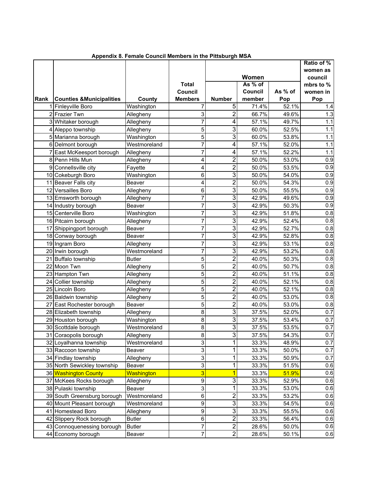|             |                                     |               |                |                  |         |         | Ratio of % |
|-------------|-------------------------------------|---------------|----------------|------------------|---------|---------|------------|
|             |                                     |               |                |                  |         |         | women as   |
|             |                                     |               |                |                  | Women   |         | council    |
|             |                                     |               | <b>Total</b>   |                  | As % of |         | mbrs to %  |
|             |                                     |               | <b>Council</b> |                  | Council | As % of | women in   |
| <b>Rank</b> | <b>Counties &amp;Municipalities</b> | County        | <b>Members</b> | <b>Number</b>    | member  | Pop     | Pop        |
|             | 1 Finleyville Boro                  | Washington    |                | 5                | 71.4%   | 52.1%   | 1.4        |
|             | 2 Frazier Twn                       | Allegheny     | 3              | $\overline{2}$   | 66.7%   | 49.6%   | 1.3        |
|             | 3 Whitaker borough                  | Allegheny     | 7              | 4                | 57.1%   | 49.7%   | 1.1        |
|             | 4 Aleppo township                   | Allegheny     | 5              | 3                | 60.0%   | 52.5%   | 1.1        |
|             | 5 Marianna borough                  | Washington    | 5              | 3                | 60.0%   | 53.8%   | 1.1        |
|             | 6 Delmont borough                   | Westmoreland  | 7              | $\overline{4}$   | 57.1%   | 52.0%   | 1.1        |
|             | 7 East McKeesport borough           | Allegheny     | 7              | 4                | 57.1%   | 52.2%   | 1.1        |
|             | 8 Penn Hills Mun                    | Allegheny     | 4              | $\overline{2}$   | 50.0%   | 53.0%   | 0.9        |
|             | 9 Connellsville city                | Fayette       | 4              | $\overline{2}$   | 50.0%   | 53.5%   | 0.9        |
|             | 10 Cokeburgh Boro                   | Washington    | 6              | 3                | 50.0%   | 54.0%   | 0.9        |
|             | 11 Beaver Falls city                | Beaver        | 4              | $\overline{2}$   | 50.0%   | 54.3%   | 0.9        |
|             | 12 Versailles Boro                  | Allegheny     | 6              | 3                | 50.0%   | 55.5%   | 0.9        |
|             | 13 Emsworth borough                 | Allegheny     | 7              | 3                | 42.9%   | 49.6%   | 0.9        |
|             | 14 Industry borough                 | Beaver        | 7              | $\overline{3}$   | 42.9%   | 50.3%   | 0.9        |
|             | 15 Centerville Boro                 | Washington    | 7              | 3                | 42.9%   | 51.8%   | 0.8        |
|             | 16 Pitcairn borough                 | Allegheny     | 7              | 3                | 42.9%   | 52.4%   | 0.8        |
|             | 17 Shippingport borough             | Beaver        | 7              | 3                | 42.9%   | 52.7%   | 0.8        |
|             | 18 Conway borough                   | Beaver        | 7              | 3                | 42.9%   | 52.8%   | 0.8        |
|             | 19 Ingram Boro                      | Allegheny     | 7              | 3                | 42.9%   | 53.1%   | 0.8        |
|             | 20 Irwin borough                    | Westmoreland  | 7              | 3                | 42.9%   | 53.2%   | 0.8        |
|             | 21 Buffalo township                 | <b>Butler</b> | 5              | $\overline{2}$   | 40.0%   | 50.3%   | 0.8        |
|             | 22 Moon Twn                         | Allegheny     | 5              | $\overline{2}$   | 40.0%   | 50.7%   | 0.8        |
|             | 23 Hampton Twn                      | Allegheny     | 5              | $\overline{2}$   | 40.0%   | 51.1%   | 0.8        |
|             | 24 Collier township                 | Allegheny     | 5              | $\overline{2}$   | 40.0%   | 52.1%   | 0.8        |
|             | 25 Lincoln Boro                     | Allegheny     | 5              | 2                | 40.0%   | 52.1%   | 0.8        |
|             | 26 Baldwin township                 | Allegheny     | 5              | 2                | 40.0%   | 53.0%   | 0.8        |
|             | 27 East Rochester borough           | Beaver        | 5              | $\overline{2}$   | 40.0%   | 53.0%   | 0.8        |
|             | 28 Elizabeth township               | Allegheny     | 8              | 3                | 37.5%   | 52.0%   | 0.7        |
|             | 29 Houston borough                  | Washington    | 8              | 3                | 37.5%   | 53.4%   | 0.7        |
|             | 30 Scottdale borough                | Westmoreland  | 8              | 3                | 37.5%   | 53.5%   | 0.7        |
|             | 31 Coraopolis borough               | Allegheny     | 8              | $\overline{3}$   | 37.5%   | 54.3%   | 0.7        |
|             | 32 Loyalhanna township              | Westmoreland  | 3              | 1                | 33.3%   | 48.9%   | 0.7        |
|             | 33 Raccoon township                 | Beaver        | 3              | 1                | 33.3%   | 50.0%   | 0.7        |
|             | 34 Findlay township                 | Allegheny     | 3              | 1                | 33.3%   | 50.9%   | 0.7        |
|             | 35 North Sewickley township         | Beaver        | 3              | 1                | 33.3%   | 51.5%   | 0.6        |
|             | 36 Washington County                | Washington    | 3              | 1                | 33.3%   | 51.9%   | 0.6        |
|             | 37 McKees Rocks borough             | Allegheny     | 9              | 3                | 33.3%   | 52.9%   | 0.6        |
|             | 38 Pulaski township                 | Beaver        | 3              | 1                | 33.3%   | 53.0%   | 0.6        |
|             | 39 South Greensburg borough         | Westmoreland  | 6              | $\overline{2}$   | 33.3%   | 53.2%   | 0.6        |
|             | 40 Mount Pleasant borough           | Westmoreland  | 9              | 3                | 33.3%   | 54.5%   | 0.6        |
|             | 41 Homestead Boro                   | Allegheny     | $\overline{9}$ | 3                | 33.3%   | 55.5%   | 0.6        |
|             | 42 Slippery Rock borough            | <b>Butler</b> | $\overline{6}$ | $\overline{2}$   | 33.3%   | 56.4%   | 0.6        |
|             | 43 Connoquenessing borough          | <b>Butler</b> | 7              | $\boldsymbol{2}$ | 28.6%   | 50.0%   | 0.6        |
|             | 44 Economy borough                  | Beaver        | 7              | $\overline{2}$   | 28.6%   | 50.1%   | 0.6        |

 **Appendix 8. Female Council Members in the Pittsburgh MSA**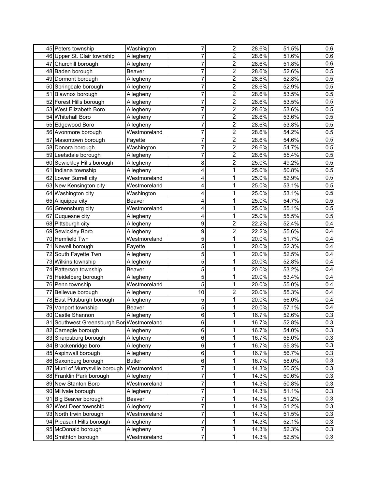|                                           |               |                |                |       |       | 0.6 |
|-------------------------------------------|---------------|----------------|----------------|-------|-------|-----|
| 45 Peters township                        | Washington    | 7              | $\overline{2}$ | 28.6% | 51.5% |     |
| 46 Upper St. Clair township               | Allegheny     | 7              | $\overline{c}$ | 28.6% | 51.6% | 0.6 |
| 47 Churchill borough                      | Allegheny     | 7              | 2              | 28.6% | 51.8% | 0.6 |
| 48 Baden borough                          | Beaver        | 7              | 2              | 28.6% | 52.6% | 0.5 |
| 49 Dormont borough                        | Allegheny     | 7              | $\overline{2}$ | 28.6% | 52.8% | 0.5 |
| 50 Springdale borough                     | Allegheny     | 7              | $\overline{c}$ | 28.6% | 52.9% | 0.5 |
| 51 Blawnox borough                        | Allegheny     | 7              | $\overline{c}$ | 28.6% | 53.5% | 0.5 |
| 52 Forest Hills borough                   | Allegheny     | 7              | $\overline{2}$ | 28.6% | 53.5% | 0.5 |
| 53 West Elizabeth Boro                    | Allegheny     | 7              | $\overline{2}$ | 28.6% | 53.6% | 0.5 |
| 54 Whitehall Boro                         | Allegheny     | 7              | $\overline{2}$ | 28.6% | 53.6% | 0.5 |
| 55 Edgewood Boro                          | Allegheny     | 7              | $\overline{2}$ | 28.6% | 53.8% | 0.5 |
| 56 Avonmore borough                       | Westmoreland  | 7              | $\overline{2}$ | 28.6% | 54.2% | 0.5 |
| 57 Masontown borough                      | Fayette       | 7              | 2              | 28.6% | 54.6% | 0.5 |
| 58 Donora borough                         | Washington    | 7              | $\overline{c}$ | 28.6% | 54.7% | 0.5 |
| 59 Leetsdale borough                      | Allegheny     | 7              | $\overline{2}$ | 28.6% | 55.4% | 0.5 |
| 60 Sewickley Hills borough                | Allegheny     | 8              | $\overline{2}$ | 25.0% | 49.2% | 0.5 |
| 61 Indiana township                       | Allegheny     | 4              | 1              | 25.0% | 50.8% | 0.5 |
| 62 Lower Burrell city                     | Westmoreland  | 4              | 1              | 25.0% | 52.9% | 0.5 |
| 63 New Kensington city                    | Westmoreland  | 4              | 1              | 25.0% | 53.1% | 0.5 |
| 64 Washington city                        | Washington    | 4              | 1              | 25.0% | 53.1% | 0.5 |
| 65 Aliquippa city                         | Beaver        | 4              | 1              | 25.0% | 54.7% | 0.5 |
| 66 Greensburg city                        | Westmoreland  | 4              | 1              | 25.0% | 55.1% | 0.5 |
| 67 Duquesne city                          | Allegheny     | 4              | 1              | 25.0% | 55.5% | 0.5 |
| 68 Pittsburgh city                        | Allegheny     | 9              | $\overline{2}$ | 22.2% | 52.4% | 0.4 |
| 69 Sewickley Boro                         | Allegheny     | 9              | $\overline{2}$ | 22.2% | 55.6% | 0.4 |
| 70 Hemfield Twn                           | Westmoreland  | 5              | 1              | 20.0% | 51.7% | 0.4 |
| 71 Newell borough                         | Fayette       | 5              | 1              | 20.0% | 52.3% | 0.4 |
| 72 South Fayette Twn                      | Allegheny     | 5              | 1              | 20.0% | 52.5% | 0.4 |
| 73 Wilkins township                       | Allegheny     | 5              | 1              | 20.0% | 52.8% | 0.4 |
| 74 Patterson township                     | Beaver        | 5              | 1              | 20.0% | 53.2% | 0.4 |
| 75 Heidelberg borough                     | Allegheny     | 5              | 1              | 20.0% | 53.4% | 0.4 |
| 76 Penn township                          | Westmoreland  | 5              | 1              | 20.0% | 55.0% | 0.4 |
| 77 Bellevue borough                       | Allegheny     | 10             | $\overline{2}$ | 20.0% | 55.3% | 0.4 |
| 78 East Pittsburgh borough                | Allegheny     | $\mathbf 5$    | 1              | 20.0% | 56.0% | 0.4 |
| 79 Vanport township                       | <b>Beaver</b> | $\overline{5}$ | 1              | 20.0% | 57.1% | 0.4 |
| 80 Castle Shannon                         | Allegheny     | $\overline{6}$ | 1              | 16.7% | 52.6% | 0.3 |
| 81 Southwest Greensburgh Bor Westmoreland |               | 6              | 1              | 16.7% | 52.8% | 0.3 |
| 82 Carnegie borough                       | Allegheny     | $\sigma$       | 1              | 16.7% | 54.0% | 0.3 |
| 83 Sharpsburg borough                     | Allegheny     | $\,6\,$        | 1              | 16.7% | 55.0% | 0.3 |
| 84 Brackenridge boro                      | Allegheny     | $\,6\,$        | 1              | 16.7% | 55.3% | 0.3 |
| 85 Aspinwall borough                      | Allegheny     | $\,6\,$        | 1              | 16.7% | 56.7% | 0.3 |
| 86 Saxonburg borough                      | <b>Butler</b> | $\,6$          | 1              | 16.7% | 58.0% | 0.3 |
| 87 Muni of Murrysville borough            | Westmoreland  | $\overline{7}$ | 1              | 14.3% | 50.5% | 0.3 |
| 88 Franklin Park borough                  | Allegheny     | 7              | 1              | 14.3% | 50.6% | 0.3 |
| 89 New Stanton Boro                       | Westmoreland  | 7              | 1              | 14.3% | 50.8% | 0.3 |
| 90 Millvale borough                       | Allegheny     | 7              | 1              | 14.3% | 51.1% | 0.3 |
| 91 Big Beaver borough                     | Beaver        | 7              | 1              | 14.3% | 51.2% | 0.3 |
| 92 West Deer township                     | Allegheny     | 7              | 1              | 14.3% | 51.2% | 0.3 |
| 93 North Irwin borough                    | Westmoreland  | 7              | 1              | 14.3% | 51.5% | 0.3 |
| 94 Pleasant Hills borough                 | Allegheny     | 7              | 1              | 14.3% | 52.1% | 0.3 |
| 95 McDonald borough                       | Allegheny     | 7              | 1              | 14.3% | 52.3% | 0.3 |
| 96 Smithton borough                       | Westmoreland  | $\overline{7}$ | 1              | 14.3% | 52.5% | 0.3 |
|                                           |               |                |                |       |       |     |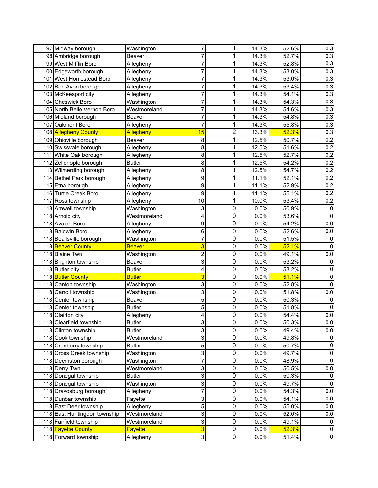| 97 Midway borough            | Washington     | 7                       | 1                | 14.3% | 52.6% | 0.3            |
|------------------------------|----------------|-------------------------|------------------|-------|-------|----------------|
| 98 Ambridge borough          | Beaver         | 7                       | 1                | 14.3% | 52.7% | 0.3            |
| 99 West Mifflin Boro         | Allegheny      | 7                       | 1                | 14.3% | 52.8% | 0.3            |
| 100 Edgeworth borough        | Allegheny      | 7                       | 1                | 14.3% | 53.0% | 0.3            |
| 101 West Homestead Boro      | Allegheny      | 7                       | 1                | 14.3% | 53.0% | 0.3            |
| 102 Ben Avon borough         | Allegheny      | 7                       | 1                | 14.3% | 53.4% | 0.3            |
| 103 McKeesport city          | Allegheny      | 7                       | 1                | 14.3% | 54.1% | 0.3            |
| 104 Cheswick Boro            | Washington     | 7                       | 1                | 14.3% | 54.3% | 0.3            |
| 105 North Belle Vernon Boro  | Westmoreland   | 7                       | 1                | 14.3% | 54.6% | 0.3            |
| 106 Midland borough          | Beaver         | 7                       | 1                | 14.3% | 54.8% | 0.3            |
| 107 Oakmont Boro             | Allegheny      | 7                       | 1                | 14.3% | 55.8% | 0.3            |
| 108 Allegheny County         | Allegheny      | 15                      | $\overline{c}$   | 13.3% | 52.3% | 0.3            |
| 109 Ohioville borough        | Beaver         | 8                       | 1                | 12.5% | 50.7% | 0.2            |
| 110 Swissvale borough        | Allegheny      | 8                       | 1                | 12.5% | 51.6% | 0.2            |
| 111 White Oak borough        | Allegheny      | 8                       | 1                | 12.5% | 52.7% | 0.2            |
| 112 Zelienople borough       | <b>Butler</b>  | 8                       | 1                | 12.5% | 54.2% | 0.2            |
| 113 Wilmerding borough       | Allegheny      | 8                       | 1                | 12.5% | 54.7% | 0.2            |
| 114 Bethel Park borough      | Allegheny      | 9                       | 1                | 11.1% | 52.1% | 0.2            |
| 115 Etna borough             | Allegheny      | 9                       | 1                | 11.1% | 52.9% | 0.2            |
| 116 Turtle Creek Boro        | Allegheny      | 9                       | 1                | 11.1% | 55.1% | 0.2            |
| 117 Ross township            | Allegheny      | 10                      | 1                | 10.0% | 53.4% | 0.2            |
| 118 Amwell township          | Washington     | 3                       | $\mathbf 0$      | 0.0%  | 50.9% | 0              |
| 118 Arnold city              | Westmoreland   | 4                       | $\mathbf 0$      | 0.0%  | 53.6% | $\mathbf 0$    |
| 118 Avalon Boro              | Allegheny      | 9                       | $\mathbf 0$      | 0.0%  | 54.2% | 0.0            |
| 118 Baldwin Boro             | Allegheny      | 6                       | $\mathbf 0$      | 0.0%  | 52.6% | 0.0            |
| 118 Beallsville borough      | Washington     | 7                       | $\mathbf 0$      | 0.0%  | 51.5% | 0              |
| 118 Beaver County            | <b>Beaver</b>  | 3                       | $\overline{0}$   | 0.0%  | 52.1% | 0              |
| 118 Blaine Twn               | Washington     | $\overline{\mathbf{c}}$ | $\overline{0}$   | 0.0%  | 49.1% | 0.0            |
| 118 Brighton township        | Beaver         | 3                       | $\overline{0}$   | 0.0%  | 53.2% | 0              |
| 118 Butler city              | <b>Butler</b>  | 4                       | $\overline{0}$   | 0.0%  | 53.2% | 0              |
| 118 Butler County            | <b>Butler</b>  | 3                       | $\overline{0}$   | 0.0%  | 51.1% | 0              |
| 118 Canton township          | Washington     | 3                       | $\overline{0}$   | 0.0%  | 52.8% | $\mathbf 0$    |
| 118 Carroll township         | Washington     | 3                       | $\mathbf 0$      | 0.0%  | 51.8% | 0.0            |
| 118 Center township          | Beaver         | 5                       | $\mathbf 0$      | 0.0%  | 50.3% | 0              |
| 118 Center township          | <b>Butler</b>  | 5                       | $\mathbf 0$      | 0.0%  | 51.8% | 0              |
| 118 Clairton city            | Allegheny      | 4                       | $\mathbf 0$      | 0.0%  | 54.4% | 0.0            |
| 118 Clearfield township      | <b>Butler</b>  | 3                       | 0                | 0.0%  | 50.3% | 0.0            |
| 118 Clinton township         | <b>Butler</b>  | 3                       | $\mathbf 0$      | 0.0%  | 49.4% | 0.0            |
| 118 Cook township            | Westmoreland   | 3                       | $\boldsymbol{0}$ | 0.0%  | 49.8% | 0              |
| 118 Cranberry township       | <b>Butler</b>  | 5                       | $\mathbf 0$      | 0.0%  | 50.7% | 0              |
| 118 Cross Creek township     | Washington     | 3                       | $\mathbf 0$      | 0.0%  | 49.7% | 0              |
| 118 Deemston borough         | Washington     | $\overline{7}$          | $\mathbf 0$      | 0.0%  | 48.9% | 0              |
| 118 Derry Twn                | Westmoreland   | 3                       | $\boldsymbol{0}$ | 0.0%  | 50.5% | 0.0            |
| 118 Donegal township         | <b>Butler</b>  | 3                       | $\mathbf 0$      | 0.0%  | 50.3% | 0              |
| 118 Donegal township         | Washington     | 3                       | $\mathbf 0$      | 0.0%  | 49.7% | 0              |
| 118 Dravosburg borough       | Allegheny      | $\overline{7}$          | $\boldsymbol{0}$ | 0.0%  | 54.3% | 0.0            |
| 118 Dunbar township          | Fayette        | 3                       | $\pmb{0}$        | 0.0%  | 54.1% | 0.0            |
| 118 East Deer township       | Allegheny      | 5                       | $\pmb{0}$        | 0.0%  | 55.0% | 0.0            |
| 118 East Huntingdon township | Westmoreland   | 3                       | $\pmb{0}$        | 0.0%  | 52.0% | 0.0            |
| 118 Fairfield township       | Westmoreland   | 3                       | $\pmb{0}$        | 0.0%  | 49.1% | $\mathbf 0$    |
| 118 Fayette County           | <b>Fayette</b> | 3                       | $\pmb{0}$        | 0.0%  | 52.3% | $\pmb{0}$      |
| 118 Forward township         | Allegheny      | $\overline{\omega}$     | $\overline{0}$   | 0.0%  | 51.4% | $\overline{0}$ |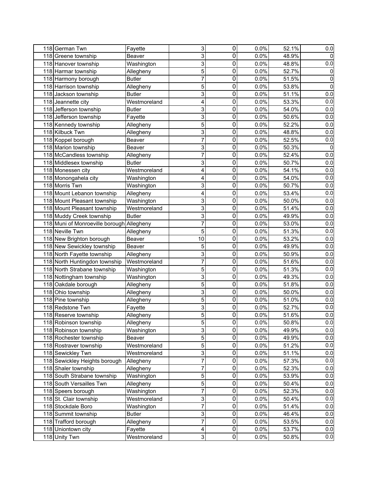| 118 German Twn                            | Fayette       | 3              | $\mathbf 0$             | 0.0%    | 52.1% | 0.0         |
|-------------------------------------------|---------------|----------------|-------------------------|---------|-------|-------------|
| 118 Greene township                       | Beaver        | 3              | $\mathbf 0$             | 0.0%    | 48.9% | $\mathbf 0$ |
| 118 Hanover township                      | Washington    | 3              | $\boldsymbol{0}$        | 0.0%    | 48.8% | 0.0         |
| 118 Harmar township                       | Allegheny     | 5              | $\boldsymbol{0}$        | 0.0%    | 52.7% | $\pmb{0}$   |
| 118 Harmony borough                       | <b>Butler</b> | $\overline{7}$ | $\boldsymbol{0}$        | 0.0%    | 51.5% | 0           |
| 118 Harrison township                     | Allegheny     | 5              | $\boldsymbol{0}$        | 0.0%    | 53.8% | 0           |
| 118 Jackson township                      | <b>Butler</b> | 3              | $\boldsymbol{0}$        | 0.0%    | 51.1% | 0.0         |
| 118 Jeannette city                        | Westmoreland  | 4              | $\mathbf 0$             | 0.0%    | 53.3% | 0.0         |
| 118 Jefferson township                    | <b>Butler</b> | 3              | $\mathbf 0$             | 0.0%    | 54.0% | 0.0         |
| 118 Jefferson township                    | Fayette       | 3              | $\mathbf 0$             | 0.0%    | 50.6% | 0.0         |
| 118 Kennedy township                      | Allegheny     | 5              | 0                       | 0.0%    | 52.2% | 0.0         |
| 118 Kilbuck Twn                           | Allegheny     | 3              | $\mathbf 0$             | 0.0%    | 48.8% | 0.0         |
| 118 Koppel borough                        | Beaver        | 7              | $\boldsymbol{0}$        | 0.0%    | 52.5% | 0.0         |
| 118 Marion township                       | Beaver        | 3              | $\mathbf 0$             | 0.0%    | 50.3% | 0           |
| 118 McCandless township                   | Allegheny     | $\overline{7}$ | $\mathbf 0$             | 0.0%    | 52.4% | 0.0         |
| 118 Middlesex township                    | <b>Butler</b> | 3              | $\pmb{0}$               | 0.0%    | 50.7% | 0.0         |
| 118 Monessen city                         | Westmoreland  | 4              | $\mathbf 0$             | 0.0%    | 54.1% | 0.0         |
| 118 Monongahela city                      | Washington    | 4              | $\mathbf 0$             | 0.0%    | 54.0% | 0.0         |
| 118 Morris Twn                            | Washington    | 3              | $\mathbf 0$             | 0.0%    | 50.7% | 0.0         |
| 118 Mount Lebanon township                | Allegheny     | 4              | $\boldsymbol{0}$        | 0.0%    | 53.4% | 0.0         |
| 118 Mount Pleasant township               | Washington    | 3              | $\boldsymbol{0}$        | 0.0%    | 50.0% | 0.0         |
| 118 Mount Pleasant township               | Westmoreland  | 3              | $\boldsymbol{0}$        | 0.0%    | 51.4% | 0.0         |
| 118 Muddy Creek township                  | <b>Butler</b> | $\overline{3}$ | $\mathbf 0$             | 0.0%    | 49.9% | 0.0         |
| 118 Muni of Monroeville borough Allegheny |               | 7              | $\boldsymbol{0}$        | 0.0%    | 53.0% | 0.0         |
| 118 Neville Twn                           | Allegheny     | 5              | $\mathbf 0$             | 0.0%    | 51.3% | 0.0         |
| 118 New Brighton borough                  | Beaver        | 10             | $\boldsymbol{0}$        | 0.0%    | 53.2% | 0.0         |
| 118 New Sewickley township                | Beaver        | 5              | 0                       | 0.0%    | 49.9% | 0.0         |
| 118 North Fayette township                | Allegheny     | 3              | 0                       | 0.0%    | 50.9% | 0.0         |
| 118 North Huntingdon township             | Westmoreland  | 7              | $\boldsymbol{0}$        | 0.0%    | 51.6% | 0.0         |
| 118 North Strabane township               | Washington    | 5              | $\boldsymbol{0}$        | 0.0%    | 51.3% | 0.0         |
| 118 Nottingham township                   | Washington    | 3              | $\overline{0}$          | 0.0%    | 49.3% | 0.0         |
| 118 Oakdale borough                       | Allegheny     | 5              | $\boldsymbol{0}$        | 0.0%    | 51.8% | 0.0         |
| 118 Ohio township                         | Allegheny     | 3              | $\pmb{0}$               | 0.0%    | 50.0% | 0.0         |
| 118 Pine township                         | Allegheny     | 5              | $\pmb{0}$               | 0.0%    | 51.0% | 0.0         |
| 118 Redstone Twn                          | Fayette       | 3              | $\boldsymbol{0}$        | 0.0%    | 52.7% | 0.0         |
| 118 Reserve township                      | Allegheny     | $\overline{5}$ | $\mathbf 0$             | 0.0%    | 51.6% | 0.0         |
| 118 Robinson township                     | Allegheny     | 5              | 0                       | $0.0\%$ | 50.8% | 0.0         |
| 118 Robinson township                     | Washington    | 3              | $\mathbf 0$             | 0.0%    | 49.9% | 0.0         |
| 118 Rochester township                    | Beaver        | 5              | $\pmb{0}$               | 0.0%    | 49.9% | 0.0         |
| 118 Rostraver township                    | Westmoreland  | $\overline{5}$ | $\pmb{0}$               | 0.0%    | 51.2% | 0.0         |
| 118 Sewickley Twn                         | Westmoreland  | 3              | $\pmb{0}$               | 0.0%    | 51.1% | 0.0         |
| 118 Sewickley Heights borough             | Allegheny     | $\overline{7}$ | $\pmb{0}$               | 0.0%    | 57.3% | 0.0         |
| 118 Shaler township                       | Allegheny     | 7              | $\pmb{0}$               | 0.0%    | 52.3% | 0.0         |
| 118 South Strabane township               | Washington    | 5              | $\pmb{0}$               | 0.0%    | 53.9% | 0.0         |
| 118 South Versailles Twn                  | Allegheny     | 5              | $\pmb{0}$               | 0.0%    | 50.4% | 0.0         |
| 118 Speers borough                        | Washington    | $\overline{7}$ | $\pmb{0}$               | 0.0%    | 52.3% | 0.0         |
| 118 St. Clair township                    | Westmoreland  | 3              | $\pmb{0}$               | 0.0%    | 50.4% | 0.0         |
| 118 Stockdale Boro                        | Washington    | $\overline{7}$ | $\pmb{0}$               | 0.0%    | 51.4% | 0.0         |
| 118 Summit township                       | <b>Butler</b> | 3              | $\pmb{0}$               | 0.0%    | 46.4% | 0.0         |
| 118 Trafford borough                      | Allegheny     | $\overline{7}$ | $\pmb{0}$               | 0.0%    | 53.5% | 0.0         |
| 118 Uniontown city                        | Fayette       | 4              | $\pmb{0}$               | 0.0%    | 53.7% | 0.0         |
| 118 Unity Twn                             | Westmoreland  | ვ              | $\overline{\mathsf{o}}$ | 0.0%    | 50.8% | 0.0         |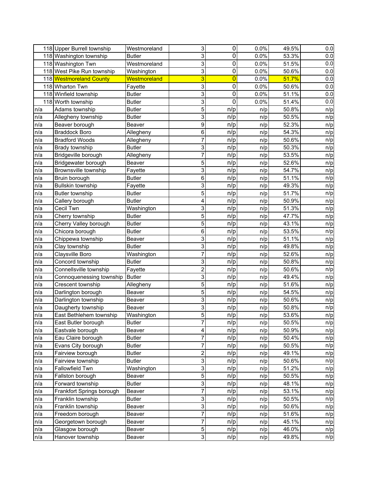|     | 118 Upper Burrell township | Westmoreland  | 3                         | $\mathbf 0$      | 0.0% | 49.5% | 0.0 |
|-----|----------------------------|---------------|---------------------------|------------------|------|-------|-----|
|     | 118 Washington township    | Butler        | 3                         | $\mathbf 0$      | 0.0% | 53.3% | 0.0 |
|     | 118 Washington Twn         | Westmoreland  | 3                         | $\overline{0}$   | 0.0% | 51.5% | 0.0 |
|     | 118 West Pike Run township | Washington    | 3                         | $\overline{0}$   | 0.0% | 50.6% | 0.0 |
|     | 118 Westmoreland County    | Westmoreland  | 3                         | $\overline{0}$   | 0.0% | 51.7% | 0.0 |
|     | 118 Wharton Twn            | Fayette       | 3                         | $\boldsymbol{0}$ | 0.0% | 50.6% | 0.0 |
|     | 118 Winfield township      | <b>Butler</b> | $\overline{3}$            | $\mathbf 0$      | 0.0% | 51.1% | 0.0 |
|     | 118 Worth township         | <b>Butler</b> | $\overline{3}$            | $\mathbf 0$      | 0.0% | 51.4% | 0.0 |
| n/a | Adams township             | <b>Butler</b> | 5                         | n/p              | n/p  | 50.8% | n/p |
| n/a | Allegheny township         | <b>Butler</b> | 3                         | n/p              | n/p  | 50.5% | n/p |
| n/a | Beaver borough             | Beaver        | $\boldsymbol{9}$          | n/p              | n/p  | 52.3% | n/p |
| n/a | <b>Braddock Boro</b>       | Allegheny     | 6                         | n/p              | n/p  | 54.3% | n/p |
| n/a | <b>Bradford Woods</b>      | Allegheny     | 7                         | n/p              | n/p  | 50.6% | n/p |
| n/a | Brady township             | <b>Butler</b> | 3                         | n/p              | n/p  | 50.3% | n/p |
| n/a | Bridgeville borough        | Allegheny     | 7                         | n/p              | n/p  | 53.5% | n/p |
| n/a | Bridgewater borough        | Beaver        | 5                         | n/p              | n/p  | 52.6% | n/p |
| n/a | Brownsville township       | Fayette       | 3                         | n/p              | n/p  | 54.7% | n/p |
| n/a | Bruin borough              | <b>Butler</b> | $\,6$                     | n/p              | n/p  | 51.1% | n/p |
| n/a | <b>Bullskin township</b>   | Fayette       | 3                         | n/p              | n/p  | 49.3% | n/p |
| n/a | <b>Butler township</b>     | <b>Butler</b> | 5                         | n/p              | n/p  | 51.7% | n/p |
| n/a | Callery borough            | <b>Butler</b> | 4                         | n/p              | n/p  | 50.9% | n/p |
| n/a | Cecil Twn                  | Washington    | 3                         | n/p              | n/p  | 51.3% | n/p |
| n/a | Cherry township            | <b>Butler</b> | 5                         | n/p              | n/p  | 47.7% | n/p |
| n/a | Cherry Valley borough      | <b>Butler</b> | 5                         | n/p              | n/p  | 43.1% | n/p |
| n/a | Chicora borough            | <b>Butler</b> | $\,6$                     | n/p              | n/p  | 53.5% | n/p |
| n/a | Chippewa township          | Beaver        | 3                         | n/p              | n/p  | 51.1% | n/p |
| n/a | Clay township              | <b>Butler</b> | 3                         | n/p              | n/p  | 49.8% | n/p |
| n/a | Claysville Boro            | Washington    | $\overline{7}$            | n/p              | n/p  | 52.6% | n/p |
| n/a | Concord township           | <b>Butler</b> | 3                         | n/p              | n/p  | 50.8% | n/p |
| n/a | Connellsville township     | Fayette       | $\overline{2}$            | n/p              | n/p  | 50.6% | n/p |
| n/a | Connoquenessing township   | <b>Butler</b> | 3                         | n/p              | n/p  | 49.4% | n/p |
| n/a | Crescent township          | Allegheny     | 5                         | n/p              | n/p  | 51.6% | n/p |
| n/a | Darlington borough         | Beaver        | 5                         | n/p              | n/p  | 54.5% | n/p |
| n/a | Darlington township        | Beaver        | 3                         | n/p              | n/p  | 50.6% | n/p |
| n/a | Daugherty township         | Beaver        | 3                         | n/p              | n/p  | 50.8% | n/p |
| n/a | East Bethlehem township    | Washington    | 5                         | n/p              | n/p  | 53.6% | n/p |
| n/a | East Butler borough        | <b>Butler</b> | ſ                         | n/p              | n/p  | 50.5% | n/p |
| n/a | Eastvale borough           | Beaver        | 4                         | n/p              | n/p  | 50.9% | n/p |
| n/a | Eau Claire borough         | <b>Butler</b> | 7                         | n/p              | n/p  | 50.4% | n/p |
| n/a | Evans City borough         | <b>Butler</b> | $\overline{7}$            | n/p              | n/p  | 50.5% | n/p |
| n/a | Fairview borough           | <b>Butler</b> | $\overline{\mathbf{c}}$   | n/p              | n/p  | 49.1% | n/p |
| n/a | Fairview township          | <b>Butler</b> | $\mathsf 3$               | n/p              | n/p  | 50.6% | n/p |
| n/a | Fallowfield Twn            | Washington    | $\ensuremath{\mathsf{3}}$ | n/p              | n/p  | 51.2% | n/p |
| n/a | Fallston borough           | Beaver        | 5                         | n/p              | n/p  | 50.5% | n/p |
| n/a | Forward township           | <b>Butler</b> | $\ensuremath{\mathsf{3}}$ | n/p              | n/p  | 48.1% | n/p |
| n/a | Frankfort Springs borough  | Beaver        | $\overline{7}$            | n/p              | n/p  | 53.1% | n/p |
| n/a | Franklin township          | <b>Butler</b> | $\mathsf 3$               | n/p              | n/p  | 50.5% | n/p |
| n/a | Franklin township          | Beaver        | ვ                         | n/p              | n/p  | 50.6% | n/p |
| n/a | Freedom borough            | Beaver        | $\overline{7}$            | n/p              | n/p  | 51.6% | n/p |
| n/a | Georgetown borough         | Beaver        | $\overline{7}$            | n/p              | n/p  | 45.1% | n/p |
| n/a | Glasgow borough            | Beaver        | $\mathbf 5$               | n/p              | n/p  | 46.0% | n/p |
| n/a | Hanover township           | Beaver        | $\overline{3}$            | n/p              | n/p  | 49.8% | n/p |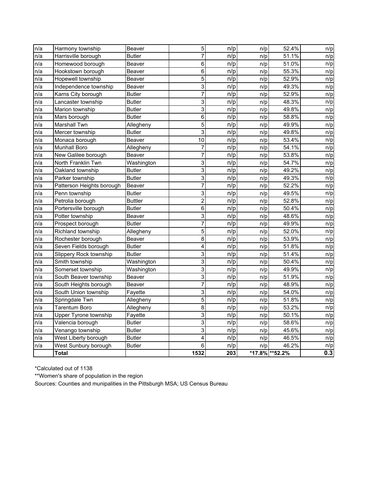| n/a | Harmony township          | Beaver         | 5              | n/p | n/p | 52.4%           | n/p |
|-----|---------------------------|----------------|----------------|-----|-----|-----------------|-----|
| n/a | Harrisville borough       | <b>Butler</b>  | $\overline{7}$ | n/p | n/p | 51.1%           | n/p |
| n/a | Homewood borough          | Beaver         | 6              | n/p | n/p | 51.0%           | n/p |
| n/a | Hookstown borough         | Beaver         | 6              | n/p | n/p | 55.3%           | n/p |
| n/a | Hopewell township         | Beaver         | $\overline{5}$ | n/p | n/p | 52.9%           | n/p |
| n/a | Independence township     | <b>Beaver</b>  | 3              | n/p | n/p | 49.3%           | n/p |
| n/a | Karns City borough        | <b>Butler</b>  | $\overline{7}$ | n/p | n/p | 52.9%           | n/p |
| n/a | Lancaster township        | <b>Butler</b>  | 3              | n/p | n/p | 48.3%           | n/p |
| n/a | Marion township           | <b>Butler</b>  | 3              | n/p | n/p | 49.8%           | n/p |
| n/a | Mars borough              | <b>Butler</b>  | 6              | n/p | n/p | 58.8%           | n/p |
| n/a | <b>Marshall Twn</b>       | Allegheny      | 5              | n/p | n/p | 49.9%           | n/p |
| n/a | Mercer township           | <b>Butler</b>  | 3              | n/p | n/p | 49.8%           | n/p |
| n/a | Monaca borough            | Beaver         | 10             | n/p | n/p | 53.4%           | n/p |
| n/a | <b>Munhall Boro</b>       | Allegheny      | $\overline{7}$ | n/p | n/p | 54.1%           | n/p |
| n/a | New Galilee borough       | Beaver         | 7              | n/p | n/p | 53.8%           | n/p |
| n/a | North Franklin Twn        | Washington     | 3              | n/p | n/p | 54.7%           | n/p |
| n/a | Oakland township          | <b>Butler</b>  | 3              | n/p | n/p | 49.2%           | n/p |
| n/a | Parker township           | <b>Butler</b>  | 3              | n/p | n/p | 49.3%           | n/p |
| n/a | Patterson Heights borough | <b>Beaver</b>  | $\overline{7}$ | n/p | n/p | 52.2%           | n/p |
| n/a | Penn township             | <b>Butler</b>  | $\overline{3}$ | n/p | n/p | 49.5%           | n/p |
| n/a | Petrolia borough          | <b>Buttler</b> | $\overline{c}$ | n/p | n/p | 52.8%           | n/p |
| n/a | Portersville borough      | <b>Butler</b>  | 6              | n/p | n/p | 50.4%           | n/p |
| n/a | Potter township           | Beaver         | 3              | n/p | n/p | 48.6%           | n/p |
| n/a | Prospect borough          | <b>Butler</b>  | $\overline{7}$ | n/p | n/p | 49.9%           | n/p |
| n/a | Richland township         | Allegheny      | $\overline{5}$ | n/p | n/p | 52.0%           | n/p |
| n/a | Rochester borough         | <b>Beaver</b>  | 8              | n/p | n/p | 53.9%           | n/p |
| n/a | Seven Fields borough      | <b>Butler</b>  | 4              | n/p | n/p | 51.8%           | n/p |
| n/a | Slippery Rock township    | <b>Butler</b>  | 3              | n/p | n/p | 51.4%           | n/p |
| n/a | Smith township            | Washington     | 3              | n/p | n/p | 50.4%           | n/p |
| n/a | Somerset township         | Washington     | 3              | n/p | n/p | 49.9%           | n/p |
| n/a | South Beaver township     | <b>Beaver</b>  | 3              | n/p | n/p | 51.9%           | n/p |
| n/a | South Heights borough     | Beaver         | $\overline{7}$ | n/p | n/p | 48.9%           | n/p |
| n/a | South Union township      | Fayette        | 3              | n/p | n/p | 54.0%           | n/p |
| n/a | Springdale Twn            | Allegheny      | 5              | n/p | n/p | 51.8%           | n/p |
| n/a | Tarentum Boro             | Allegheny      | $\overline{8}$ | n/p | n/p | 53.2%           | n/p |
| n/a | Upper Tyrone township     | Fayette        | 3              | n/p | n/p | 50.1%           | n/p |
| n/a | Valencia borough          | <b>Butler</b>  | 3              | n/p | n/p | 58.6%           | n/p |
| n/a | Venango township          | <b>Butler</b>  | 3              | n/p | n/p | 45.6%           | n/p |
| n/a | West Liberty borough      | <b>Butler</b>  | 4              | n/p | n/p | 46.5%           | n/p |
| n/a | West Sunbury borough      | <b>Butler</b>  | 6              | n/p | n/p | 46.2%           | n/p |
|     | <b>Total</b>              |                | 1532           | 203 |     | *17.8% ** 52.2% | 0.3 |

\*Calculated out of 1138

\*\*Women's share of population in the region

Sources: Counties and munipalities in the Pittsburgh MSA; US Census Bureau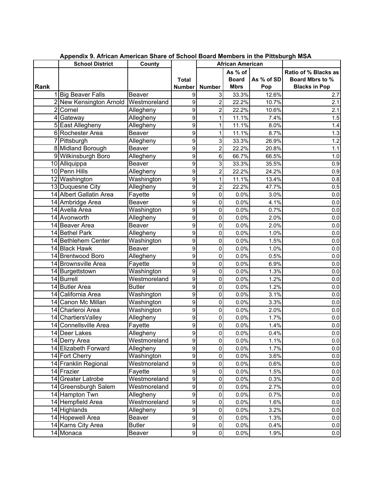|      | <b>School District</b>       | County               |                |                     | <b>African American</b> |              |                        |
|------|------------------------------|----------------------|----------------|---------------------|-------------------------|--------------|------------------------|
|      |                              |                      |                |                     | As % of                 |              | Ratio of % Blacks as   |
|      |                              |                      | <b>Total</b>   |                     | <b>Board</b>            | As % of SD   | <b>Board Mbrs to %</b> |
| Rank |                              |                      | <b>Number</b>  | <b>Number</b>       | <b>Mbrs</b>             | Pop          | <b>Blacks in Pop</b>   |
|      | <b>Big Beaver Falls</b>      | <b>Beaver</b>        | 9              | 3                   | 33.3%                   | 12.6%        | 2.7                    |
|      | 2 New Kensington Arnold      | Westmoreland         | 9              | $\overline{c}$      | 22.2%                   | 10.7%        | 2.1                    |
|      | 2Cornel                      | Allegheny            | 9              | 2                   | 22.2%                   | 10.6%        | 2.1                    |
|      | 4 Gateway                    | Allegheny            | 9              | 1                   | 11.1%                   | 7.4%         | 1.5                    |
|      | 5 East Allegheny             | Allegheny            | 9              | 1                   | 11.1%                   | 8.0%         | 1.4                    |
|      | 6 Rochester Area             | Beaver               | 9              | 1                   | 11.1%                   | 8.7%         | 1.3                    |
|      | 7 Pittsburgh                 | Allegheny            | 9              | 3                   | 33.3%                   | 26.9%        | 1.2                    |
|      | 8 Midland Borough            | Beaver               | 9              | $\overline{c}$      | 22.2%                   | 20.8%        | 1.1                    |
|      | 9 Wilkinsburgh Boro          | Allegheny            | 9              | 6                   | 66.7%                   | 66.5%        | 1.0                    |
|      | 10 Alliquippa                | Beaver               | 9              | 3                   | 33.3%                   | 35.5%        | 0.9                    |
|      | 10 Penn Hills                | Allegheny            | 9              | $\overline{c}$      | 22.2%                   | 24.2%        | 0.9                    |
|      | 12 Washington                | Washington           | 9              | 1                   | 11.1%                   | 13.4%        | 0.8                    |
|      | 13 Duquesne City             | Allegheny            | 9              | $\overline{c}$      | 22.2%                   | 47.7%        | 0.5                    |
|      | 14 Albert Gallatin Area      | Fayette              | 9              | 0                   | 0.0%                    | 3.0%         | 0.0                    |
|      | 14 Ambridge Area             | Beaver               | 9              | 0                   | 0.0%                    | 4.1%         | 0.0                    |
|      | 14 Avella Area               | Washington           | 9              | 0                   | 0.0%                    | 0.7%         | 0.0                    |
|      | 14 Avonworth                 | Allegheny            | 9              | 0                   | 0.0%                    | 2.0%         | 0.0                    |
|      | 14 Beaver Area               | Beaver               | 9              | 0                   | 0.0%                    | 2.0%         | 0.0                    |
|      | 14 Bethel Park               | Allegheny            | 9              | 0                   | 0.0%                    | 1.0%         | 0.0                    |
|      | 14 Bethlehem Center          | Washington           | 9              | 0                   | 0.0%                    | 1.5%         | 0.0                    |
|      | 14 Black Hawk                | Beaver               | 9              | 0                   | 0.0%                    | 1.0%         | 0.0                    |
|      | 14 Brentwood Boro            | Allegheny            | 9              | 0                   | 0.0%                    | 0.5%         | 0.0                    |
|      | 14 Brownsville Area          | Fayette              | 9              | 0                   | 0.0%                    | 6.9%         | 0.0                    |
|      | 14 Burgettstown              | Washington           | 9              | 0                   | 0.0%                    | 1.3%         | 0.0                    |
|      | 14 Burrell<br>14 Butler Area | Westmoreland         | 9              | 0                   | 0.0%                    | 1.2%         | 0.0                    |
|      | 14 California Area           | <b>Butler</b>        | 9<br>9         | 0                   | 0.0%                    | 1.2%<br>3.1% | 0.0                    |
|      | 14 Canon Mc Millan           | Washington           | 9              | 0<br>0              | 0.0%                    | 3.3%         | 0.0                    |
|      | 14 Charleroi Area            | Washington           | 9              | 0                   | 0.0%<br>0.0%            | 2.0%         | 0.0                    |
|      | 14 Chartiers Valley          | Washington           | 9              |                     |                         |              | 0.0                    |
|      | 14 Connellsville Area        | Allegheny<br>Fayette | 9              | 0<br>0              | 0.0%<br>0.0%            | 1.7%<br>1.4% | 0.0<br>0.0             |
|      | 14 Deer Lakes                | Allegheny            | $\overline{9}$ | 0                   | 0.0%                    | 0.4%         | 0.0                    |
|      | 14 Derry Area                | Westmoreland         | 9              | $\pmb{0}$           | 0.0%                    | 1.1%         | 0.0                    |
|      | 14 Elizabeth Forward         | Allegheny            | 9              | 0                   | 0.0%                    | 1.7%         | 0.0                    |
|      | 14 Fort Cherry               | Washington           | 9              | 0                   | 0.0%                    | 3.6%         | 0.0                    |
|      | 14 Franklin Regional         | Westmoreland         | 9              | $\pmb{0}$           | 0.0%                    | 0.6%         | 0.0                    |
|      | 14 Frazier                   | Fayette              | 9              | 0                   | 0.0%                    | 1.5%         | 0.0                    |
|      | 14 Greater Latrobe           | Westmoreland         | 9              | 0                   | 0.0%                    | 0.3%         | 0.0                    |
|      | 14 Greensburgh Salem         | Westmoreland         | 9              | 0                   | 0.0%                    | 2.7%         | 0.0                    |
|      | 14 Hampton Twn               | Allegheny            | 9              | 0                   | 0.0%                    | 0.7%         | 0.0                    |
|      | 14 Hempfield Area            | Westmoreland         | 9              | 0                   | 0.0%                    | 1.6%         | 0.0                    |
|      | 14 Highlands                 | Allegheny            | 9              | $\mathsf{O}\xspace$ | 0.0%                    | 3.2%         | 0.0                    |
|      | 14 Hopewell Area             | <b>Beaver</b>        | 9              | $\pmb{0}$           | 0.0%                    | 1.3%         | 0.0                    |
|      | 14 Karns City Area           | <b>Butler</b>        | $\overline{9}$ | $\pmb{0}$           | 0.0%                    | 0.4%         | 0.0                    |
|      | 14 Monaca                    | Beaver               | $\overline{9}$ | $\pmb{0}$           | 0.0%                    | 1.9%         | 0.0                    |

**Appendix 9. African American Share of School Board Members in the Pittsburgh MSA**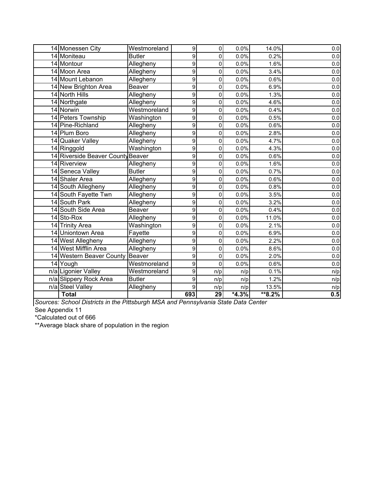| 14 Monessen City                  | Westmoreland  | 9   | 0               | 0.0%    | 14.0%   | 0.0     |
|-----------------------------------|---------------|-----|-----------------|---------|---------|---------|
| 14 Moniteau                       | <b>Butler</b> | 9   | 0               | 0.0%    | 0.2%    | 0.0     |
| 14 Montour                        | Allegheny     | 9   | 0               | 0.0%    | 1.6%    | $0.0\,$ |
| 14 Moon Area                      | Allegheny     | 9   | 0               | 0.0%    | 3.4%    | $0.0\,$ |
| 14 Mount Lebanon                  | Allegheny     | 9   | 0               | 0.0%    | 0.6%    | $0.0\,$ |
| 14 New Brighton Area              | Beaver        | 9   | $\mathbf 0$     | 0.0%    | 6.9%    | 0.0     |
| 14 North Hills                    | Allegheny     | 9   | 0               | 0.0%    | 1.3%    | $0.0\,$ |
| 14 Northgate                      | Allegheny     | 9   | 0               | 0.0%    | 4.6%    | $0.0\,$ |
| 14 Norwin                         | Westmoreland  | 9   | 0               | 0.0%    | 0.4%    | $0.0\,$ |
| 14 Peters Township                | Washington    | 9   | 0               | 0.0%    | 0.5%    | $0.0\,$ |
| 14 Pine-Richland                  | Allegheny     | 9   | 0               | 0.0%    | 0.6%    | $0.0\,$ |
| 14 Plum Boro                      | Allegheny     | 9   | 0               | 0.0%    | 2.8%    | $0.0\,$ |
| 14 Quaker Valley                  | Allegheny     | 9   | 0               | 0.0%    | 4.7%    | $0.0\,$ |
| 14 Ringgold                       | Washington    | 9   | 0               | 0.0%    | 4.3%    | $0.0\,$ |
| 14 Riverside Beaver County Beaver |               | 9   | 0               | 0.0%    | 0.6%    | $0.0\,$ |
| 14 Riverview                      | Allegheny     | 9   | 0               | 0.0%    | 1.6%    | 0.0     |
| 14 Seneca Valley                  | <b>Butler</b> | 9   | $\mathbf 0$     | 0.0%    | 0.7%    | $0.0\,$ |
| 14 Shaler Area                    | Allegheny     | 9   | 0               | 0.0%    | 0.6%    | $0.0\,$ |
| 14 South Allegheny                | Allegheny     | 9   | 0               | 0.0%    | 0.8%    | $0.0\,$ |
| 14 South Fayette Twn              | Allegheny     | 9   | 0               | 0.0%    | 3.5%    | 0.0     |
| 14 South Park                     | Allegheny     | 9   | 0               | 0.0%    | 3.2%    | $0.0\,$ |
| 14 South Side Area                | Beaver        | 9   | 0               | 0.0%    | 0.4%    | $0.0\,$ |
| 14 Sto-Rox                        | Allegheny     | 9   | 0               | 0.0%    | 11.0%   | $0.0\,$ |
| 14 Trinity Area                   | Washington    | 9   | 0               | 0.0%    | 2.1%    | $0.0\,$ |
| 14 Uniontown Area                 | Fayette       | 9   | 0               | 0.0%    | 6.9%    | $0.0\,$ |
| 14 West Allegheny                 | Allegheny     | 9   | 0               | 0.0%    | 2.2%    | $0.0\,$ |
| 14 West Mifflin Area              | Allegheny     | 9   | 0               | 0.0%    | 8.6%    | $0.0\,$ |
| 14 Western Beaver County          | Beaver        | 9   | 0               | 0.0%    | 2.0%    | $0.0\,$ |
| 14 Yough                          | Westmoreland  | 9   | 0               | 0.0%    | 0.6%    | 0.0     |
| n/a Ligonier Valley               | Westmoreland  | 9   | n/p             | n/p     | 0.1%    | n/p     |
| n/a Slippery Rock Area            | <b>Butler</b> | 9   | n/p             | n/p     | 1.2%    | n/p     |
| n/a Steel Valley                  | Allegheny     | 9   | n/p             | n/p     | 13.5%   | n/p     |
| <b>Total</b>                      |               | 693 | $\overline{29}$ | $*4.3%$ | $*8.2%$ | 0.5     |

*Sources: School Districts in the Pittsburgh MSA and Pennsylvania State Data Center*

See Appendix 11

\*Calculated out of 666

\*\*Average black share of population in the region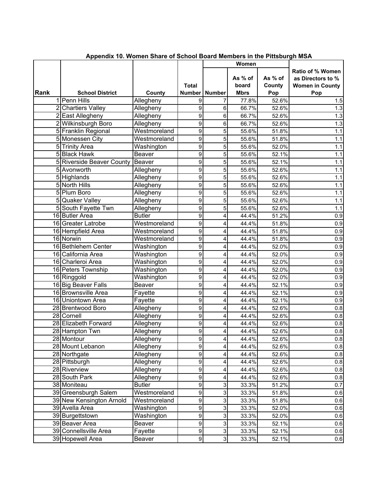|      |                           |               |                        |                     | Women                           |                          |                                                                        |
|------|---------------------------|---------------|------------------------|---------------------|---------------------------------|--------------------------|------------------------------------------------------------------------|
| Rank | <b>School District</b>    | County        | <b>Total</b><br>Number | <b>Number</b>       | As % of<br>board<br><b>Mbrs</b> | As % of<br>County<br>Pop | Ratio of % Women<br>as Directors to %<br><b>Women in County</b><br>Pop |
|      | 1 Penn Hills              | Allegheny     | 9                      | 7                   | 77.8%                           | 52.6%                    | 1.5                                                                    |
|      | 2 Chartiers Valley        | Allegheny     | 9                      | 6                   | 66.7%                           | 52.6%                    | 1.3                                                                    |
|      | 2 East Allegheny          | Allegheny     | 9                      | 6                   | 66.7%                           | 52.6%                    | 1.3                                                                    |
|      | 2 Wilkinsburgh Boro       | Allegheny     | 9                      | 6                   | 66.7%                           | 52.6%                    | $1.3$                                                                  |
|      | 5 Franklin Regional       | Westmoreland  | 9                      | 5                   | 55.6%                           | 51.8%                    | 1.1                                                                    |
|      | 5 Monessen City           | Westmoreland  | 9                      | 5                   | 55.6%                           | 51.8%                    | 1.1                                                                    |
|      | 5 Trinity Area            | Washington    | 9                      | 5                   | 55.6%                           | 52.0%                    | 1.1                                                                    |
|      | 5 Black Hawk              | <b>Beaver</b> | 9                      | 5                   | 55.6%                           | 52.1%                    | 1.1                                                                    |
|      | 5 Riverside Beaver County | Beaver        | 9                      | 5                   | 55.6%                           | 52.1%                    | 1.1                                                                    |
|      | 5 Avonworth               | Allegheny     | 9                      | 5                   | 55.6%                           | 52.6%                    | 1.1                                                                    |
|      | 5 Highlands               | Allegheny     | 9                      | 5                   | 55.6%                           | 52.6%                    | 1.1                                                                    |
|      | 5 North Hills             | Allegheny     | 9                      | 5                   | 55.6%                           | 52.6%                    | 1.1                                                                    |
|      | 5 Plum Boro               | Allegheny     | 9                      | 5                   | 55.6%                           | 52.6%                    | 1.1                                                                    |
|      | 5 Quaker Valley           | Allegheny     | 9                      | 5                   | 55.6%                           | 52.6%                    | 1.1                                                                    |
|      | 5 South Fayette Twn       | Allegheny     | 9                      | 5                   | 55.6%                           | 52.6%                    | 1.1                                                                    |
|      | 16 Butler Area            | <b>Butler</b> | 9                      | 4                   | 44.4%                           | 51.2%                    | 0.9                                                                    |
|      | 16 Greater Latrobe        | Westmoreland  | 9                      | 4                   | 44.4%                           | 51.8%                    | 0.9                                                                    |
|      | 16 Hempfield Area         | Westmoreland  | 9                      | 4                   | 44.4%                           | 51.8%                    | 0.9                                                                    |
|      | 16 Norwin                 | Westmoreland  | 9                      | 4                   | 44.4%                           | 51.8%                    | 0.9                                                                    |
|      | 16 Bethlehem Center       | Washington    | 9                      | 4                   | 44.4%                           | 52.0%                    | 0.9                                                                    |
|      | 16 California Area        | Washington    | 9                      | 4                   | 44.4%                           | 52.0%                    | 0.9                                                                    |
|      | 16 Charleroi Area         | Washington    | 9                      | 4                   | 44.4%                           | 52.0%                    | 0.9                                                                    |
|      | 16 Peters Township        | Washington    | 9                      | 4                   | 44.4%                           | 52.0%                    | 0.9                                                                    |
|      | 16 Ringgold               | Washington    | 9                      | 4                   | 44.4%                           | 52.0%                    | 0.9                                                                    |
|      | 16 Big Beaver Falls       | <b>Beaver</b> | 9                      | 4                   | 44.4%                           | 52.1%                    | 0.9                                                                    |
|      | 16 Brownsville Area       | Fayette       | 9                      | 4                   | 44.4%                           | 52.1%                    | 0.9                                                                    |
|      | 16 Uniontown Area         | Fayette       | $\overline{9}$         | 4                   | 44.4%                           | 52.1%                    | 0.9                                                                    |
|      | 28 Brentwood Boro         | Allegheny     | 9                      | 4                   | 44.4%                           | 52.6%                    | $0.8\,$                                                                |
|      | 28 Cornell                | Allegheny     | 9                      | 4                   | 44.4%                           | 52.6%                    | $0.8\,$                                                                |
|      | 28 Elizabeth Forward      | Allegheny     | 9                      | 4                   | 44.4%                           | 52.6%                    | $0.8\,$                                                                |
|      | 28 Hampton Twn            | Allegheny     | 9                      | 4                   | 44.4%                           | 52.6%                    | $0.8\,$                                                                |
|      | 28 Montour                | Allegheny     | $\overline{9}$         | 4                   | 44.4%                           | 52.6%                    | $0.8\,$                                                                |
|      | 28 Mount Lebanon          | Allegheny     | $\overline{9}$         | 4                   | 44.4%                           | 52.6%                    | 0.8                                                                    |
|      | 28 Northgate              | Allegheny     | 9                      | 4                   | 44.4%                           | 52.6%                    | $0.8\,$                                                                |
|      | 28 Pittsburgh             | Allegheny     | 9                      | 4                   | 44.4%                           | 52.6%                    | $0.8\,$                                                                |
|      | 28 Riverview              | Allegheny     | 9                      | 4                   | 44.4%                           | 52.6%                    | 0.8                                                                    |
|      | 28 South Park             | Allegheny     | 9                      | 4                   | 44.4%                           | 52.6%                    | $0.8\,$                                                                |
|      | 38 Moniteau               | <b>Butler</b> | $\mathsf{g}$           | 3                   | 33.3%                           | 51.2%                    | 0.7                                                                    |
|      | 39 Greensburgh Salem      | Westmoreland  | 9                      | 3                   | 33.3%                           | 51.8%                    | 0.6                                                                    |
|      | 39 New Kensington Arnold  | Westmoreland  | 9                      | 3                   | 33.3%                           | 51.8%                    | 0.6                                                                    |
|      | 39 Avella Area            | Washington    | 9                      | 3                   | 33.3%                           | 52.0%                    | 0.6                                                                    |
|      | 39 Burgettstown           | Washington    | $\overline{9}$         | $\overline{\omega}$ | 33.3%                           | 52.0%                    | 0.6                                                                    |
|      | 39 Beaver Area            | Beaver        | $\overline{9}$         | $\overline{3}$      | 33.3%                           | 52.1%                    | 0.6                                                                    |
|      | 39 Connellsville Area     | Fayette       | $\overline{9}$         | $\overline{3}$      | 33.3%                           | 52.1%                    | 0.6                                                                    |
|      | 39 Hopewell Area          | Beaver        | $\overline{9}$         | 3                   | 33.3%                           | 52.1%                    | 0.6                                                                    |

| Appendix 10. Women Share of School Board Members in the Pittsburgh MSA |  |  |  |  |
|------------------------------------------------------------------------|--|--|--|--|
|                                                                        |  |  |  |  |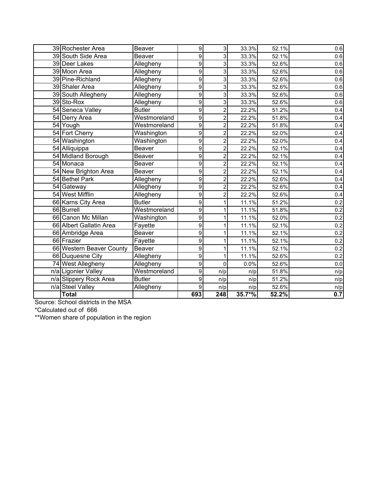| 39 Rochester Area        | Beaver        |                  |                         |          |       |         |
|--------------------------|---------------|------------------|-------------------------|----------|-------|---------|
|                          |               | 9                | $\overline{3}$          | 33.3%    | 52.1% | 0.6     |
| 39 South Side Area       | <b>Beaver</b> | 9                | 3                       | 33.3%    | 52.1% | 0.6     |
| 39 Deer Lakes            | Allegheny     | 9                | 3                       | 33.3%    | 52.6% | 0.6     |
| 39 Moon Area             | Allegheny     | 9                | 3                       | 33.3%    | 52.6% | 0.6     |
| 39 Pine-Richland         | Allegheny     | 9                | 3                       | 33.3%    | 52.6% | 0.6     |
| 39 Shaler Area           | Allegheny     | 9                | 3                       | 33.3%    | 52.6% | 0.6     |
| 39 South Allegheny       | Allegheny     | 9                | 3                       | 33.3%    | 52.6% | 0.6     |
| 39 Sto-Rox               | Allegheny     | 9                | 3                       | 33.3%    | 52.6% | 0.6     |
| 54 Seneca Valley         | <b>Butler</b> | 9                | $\overline{c}$          | 22.2%    | 51.2% | 0.4     |
| 54 Derry Area            | Westmoreland  | 9                | 2                       | 22.2%    | 51.8% | 0.4     |
| 54 Yough                 | Westmoreland  | 9                | $\overline{c}$          | 22.2%    | 51.8% | 0.4     |
| 54 Fort Cherry           | Washington    | 9                | 2                       | 22.2%    | 52.0% | 0.4     |
| 54 Washington            | Washington    | 9                | $\overline{c}$          | 22.2%    | 52.0% | 0.4     |
| 54 Alliquippa            | Beaver        | 9                | $\overline{\mathbf{c}}$ | 22.2%    | 52.1% | 0.4     |
| 54 Midland Borough       | Beaver        | 9                | $\overline{c}$          | 22.2%    | 52.1% | 0.4     |
| 54 Monaca                | Beaver        | 9                | 2                       | 22.2%    | 52.1% | 0.4     |
| 54 New Brighton Area     | <b>Beaver</b> | $\overline{9}$   | $\overline{2}$          | 22.2%    | 52.1% | 0.4     |
| 54 Bethel Park           | Allegheny     | 9                | $\overline{c}$          | 22.2%    | 52.6% | 0.4     |
| 54 Gateway               | Allegheny     | 9                | 2                       | 22.2%    | 52.6% | 0.4     |
| 54 West Mifflin          | Allegheny     | $\overline{9}$   | 2                       | 22.2%    | 52.6% | 0.4     |
| 66 Karns City Area       | <b>Butler</b> | 9                | 1                       | 11.1%    | 51.2% | 0.2     |
| 66 Burrell               | Westmoreland  | 9                |                         | 11.1%    | 51.8% | 0.2     |
| 66 Canon Mc Millan       | Washington    | 9                |                         | 11.1%    | 52.0% | 0.2     |
| 66 Albert Gallatin Area  | Fayette       | 9                |                         | 11.1%    | 52.1% | 0.2     |
| 66 Ambridge Area         | Beaver        | 9                |                         | 11.1%    | 52.1% | 0.2     |
| 66 Frazier               | Fayette       | 9                |                         | 11.1%    | 52.1% | 0.2     |
| 66 Western Beaver County | Beaver        | 9                |                         | 11.1%    | 52.1% | 0.2     |
| 66 Duquesne City         | Allegheny     | 9                | 1                       | 11.1%    | 52.6% | 0.2     |
| 74 West Allegheny        | Allegheny     | 9                | 0                       | 0.0%     | 52.6% | $0.0\,$ |
| n/a Ligonier Valley      | Westmoreland  | 9                | n/p                     | n/p      | 51.8% | n/p     |
| n/a Slippery Rock Area   | <b>Butler</b> | $\boldsymbol{9}$ | n/p                     | n/p      | 51.2% | n/p     |
| n/a Steel Valley         | Allegheny     | $\mathsf g$      | n/p                     | n/p      | 52.6% | n/p     |
| <b>Total</b>             |               | 693              | 248                     | $35.7*%$ | 52.2% | 0.7     |

Source: School districts in the MSA

\*Calculated out of 666

\*\*Women share of population in the region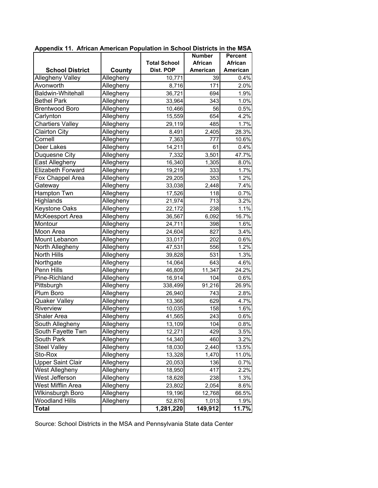|                          |           |                     | <b>Number</b> | <b>Percent</b> |
|--------------------------|-----------|---------------------|---------------|----------------|
|                          |           | <b>Total School</b> | African       | African        |
| <b>School District</b>   | County    | Dist. POP           | American      | American       |
| Allegheny Valley         | Allegheny | 10,771              | 39            | 0.4%           |
| Avonworth                | Allegheny | 8,716               | 171           | 2.0%           |
| Baldwin-Whitehall        | Allegheny | 36,721              | 694           | 1.9%           |
| <b>Bethel Park</b>       | Allegheny | 33,964              | 343           | 1.0%           |
| <b>Brentwood Boro</b>    | Allegheny | 10,466              | 56            | 0.5%           |
| Carlynton                | Allegheny | 15,559              | 654           | 4.2%           |
| <b>Chartiers Valley</b>  | Allegheny | 29,119              | 485           | 1.7%           |
| <b>Clairton City</b>     | Allegheny | 8,491               | 2,405         | 28.3%          |
| Cornell                  | Allegheny | 7,363               | 777           | 10.6%          |
| Deer Lakes               | Allegheny | 14,211              | 61            | 0.4%           |
| Duquesne City            | Allegheny | 7,332               | 3,501         | 47.7%          |
| East Allegheny           | Allegheny | 16,340              | 1,305         | 8.0%           |
| Elizabeth Forward        | Allegheny | 19,219              | 333           | 1.7%           |
| Fox Chappel Area         | Allegheny | 29,205              | 353           | 1.2%           |
| Gateway                  | Allegheny | 33,038              | 2,448         | 7.4%           |
| Hampton Twn              | Allegheny | 17,526              | 118           | 0.7%           |
| Highlands                | Allegheny | 21,974              | 713           | 3.2%           |
| Keystone Oaks            | Allegheny | 22,172              | 238           | 1.1%           |
| McKeesport Area          | Allegheny | 36,567              | 6,092         | 16.7%          |
| Montour                  | Allegheny | 24,711              | 398           | 1.6%           |
| Moon Area                | Allegheny | 24,604              | 827           | 3.4%           |
| Mount Lebanon            | Allegheny | 33,017              | 202           | 0.6%           |
| North Allegheny          | Allegheny | 47,531              | 556           | 1.2%           |
| North Hills              | Allegheny | 39,828              | 531           | 1.3%           |
| Northgate                | Allegheny | 14,064              | 643           | 4.6%           |
| Penn Hills               | Allegheny | 46,809              | 11,347        | 24.2%          |
| Pine-Richland            | Allegheny | 16,914              | 104           | 0.6%           |
| Pittsburgh               | Allegheny | 338,499             | 91,216        | 26.9%          |
| Plum Boro                | Allegheny | 26,940              | 743           | 2.8%           |
| Quaker Valley            | Allegheny | 13,366              | 629           | 4.7%           |
| Riverview                | Allegheny | 10,035              | 158           | 1.6%           |
| Shaler Area              | Allegheny | 41,565              | 243           | 0.6%           |
| South Allegheny          | Allegheny | 13,109              | 104           | 0.8%           |
| South Fayette Twn        | Allegheny | 12,271              | 429           | 3.5%           |
| South Park               | Allegheny | 14,340              | 460           | 3.2%           |
| <b>Steel Valley</b>      | Allegheny | 18,030              | 2,440         | 13.5%          |
| Sto-Rox                  | Allegheny | 13,328              | 1,470         | 11.0%          |
| <b>Upper Saint Clair</b> | Allegheny | 20,053              | 136           | 0.7%           |
| West Allegheny           | Allegheny | 18,950              | 417           | 2.2%           |
| West Jefferson           | Allegheny | 18,628              | 238           | 1.3%           |
| West Mifflin Area        | Allegheny | 23,802              | 2,054         | 8.6%           |
| <b>Wikinsburgh Boro</b>  | Allegheny | 19,196              | 12,768        | 66.5%          |
| <b>Woodland Hills</b>    | Allegheny | 52,876              | 1,013         | 1.9%           |
| <b>Total</b>             |           | 1,281,220           | 149,912       | 11.7%          |

**Appendix 11. African American Population in School Districts in the MSA**

Source: School Districts in the MSA and Pennsylvania State data Center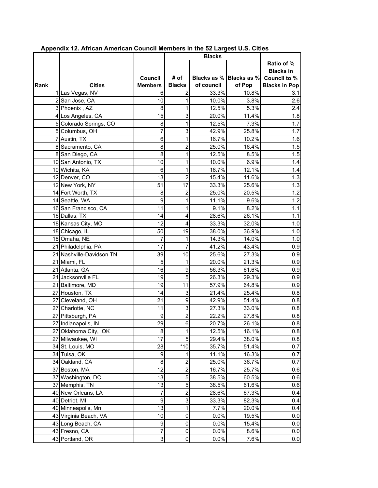|      |                          |                |                         | <b>Blacks</b>           |        |                                |
|------|--------------------------|----------------|-------------------------|-------------------------|--------|--------------------------------|
|      |                          |                |                         |                         |        | Ratio of %<br><b>Blacks in</b> |
|      |                          | Council        | # of                    | Blacks as % Blacks as % |        | Council to %                   |
| Rank | <b>Cities</b>            | <b>Members</b> | <b>Blacks</b>           | of council              | of Pop | <b>Blacks in Pop</b>           |
|      | 1 Las Vegas, NV          | 6              | 2                       | 33.3%                   | 10.8%  | 3.1                            |
|      | 2 San Jose, CA           | 10             | 1                       | 10.0%                   | 3.8%   | 2.6                            |
|      | 3 Phoenix, AZ            | 8              | 1                       | 12.5%                   | 5.3%   | 2.4                            |
|      | 4 Los Angeles, CA        | 15             | 3                       | 20.0%                   | 11.4%  | 1.8                            |
|      | 5 Colorado Springs, CO   | 8              | 1                       | 12.5%                   | 7.3%   | 1.7                            |
|      | 5 Columbus, OH           | 7              | 3                       | 42.9%                   | 25.8%  | 1.7                            |
|      | 7 Austin, TX             | 6              | 1                       | 16.7%                   | 10.2%  | 1.6                            |
|      | 8 Sacramento, CA         | 8              | 2                       | 25.0%                   | 16.4%  | 1.5                            |
|      | 8 San Diego, CA          | 8              | 1                       | 12.5%                   | 8.5%   | 1.5                            |
|      | 10 San Antonio, TX       | 10             | 1                       | 10.0%                   | 6.9%   | 1.4                            |
|      | 10 Wichita, KA           | 6              | 1                       | 16.7%                   | 12.1%  | 1.4                            |
|      | 12 Denver, CO            | 13             | $\overline{2}$          | 15.4%                   | 11.6%  | 1.3                            |
|      | 12 New York, NY          | 51             | 17                      | 33.3%                   | 25.6%  | 1.3                            |
|      | 14 Fort Worth, TX        | 8              | 2                       | 25.0%                   | 20.5%  | 1.2                            |
|      | 14 Seattle, WA           | 9              | 1                       | 11.1%                   | 9.6%   | 1.2                            |
|      | 16 San Francisco, CA     | 11             | 1                       | 9.1%                    | 8.2%   | 1.1                            |
|      | 16 Dallas, TX            | 14             | 4                       | 28.6%                   | 26.1%  | 1.1                            |
|      | 18 Kansas City, MO       | 12             | 4                       | 33.3%                   | 32.0%  | 1.0                            |
|      | 18 Chicago, IL           | 50             | 19                      | 38.0%                   | 36.9%  | 1.0                            |
|      | 18 Omaha, NE             | 7              | 1                       | 14.3%                   | 14.0%  | 1.0                            |
|      | 21 Philadelphia, PA      | 17             | 7                       | 41.2%                   | 43.4%  | 0.9                            |
|      | 21 Nashville-Davidson TN | 39             | 10                      | 25.6%                   | 27.3%  | 0.9                            |
|      | 21 Miami, FL             | 5              | 1                       | 20.0%                   | 21.3%  | 0.9                            |
|      | 21 Atlanta, GA           | 16             | 9                       | 56.3%                   | 61.6%  | 0.9                            |
|      | 21 Jacksonville FL       | 19             | 5                       | 26.3%                   | 29.3%  | 0.9                            |
|      | 21 Baltimore, MD         | 19             | 11                      | 57.9%                   | 64.8%  | 0.9                            |
|      | 27 Houston, TX           | 14             | 3                       | 21.4%                   | 25.4%  | 0.8                            |
|      | 27 Cleveland, OH         | 21             | $\boldsymbol{9}$        | 42.9%                   | 51.4%  | 0.8                            |
|      | 27 Charlotte, NC         | 11             | 3                       | 27.3%                   | 33.0%  | 0.8                            |
|      | 27 Pittsburgh, PA        | 9              | $\overline{2}$          | 22.2%                   | 27.8%  | 0.8                            |
|      | 27 Indianapolis, IN      | 29             | 6                       | 20.7%                   | 26.1%  | 0.8                            |
|      | 27 Oklahoma City, OK     | 8 <sup>0</sup> | 1                       | 12.5%                   | 16.1%  | 0.8                            |
|      | 27 Milwaukee, WI         | 17             | 5                       | 29.4%                   | 38.0%  | 0.8                            |
|      | 34 St. Louis, MO         | 28             | $*10$                   | 35.7%                   | 51.4%  | 0.7                            |
|      | 34 Tulsa, OK             | 9              | 1                       | 11.1%                   | 16.3%  | 0.7                            |
|      | 34 Oakland, CA           | 8              | 2                       | 25.0%                   | 36.7%  | 0.7                            |
|      | 37 Boston, MA            | 12             | $\overline{c}$          | 16.7%                   | 25.7%  | 0.6                            |
|      | 37 Washington, DC        | 13             | 5                       | 38.5%                   | 60.5%  | 0.6                            |
|      | 37 Memphis, TN           | 13             | 5                       | 38.5%                   | 61.6%  | 0.6                            |
|      | 40 New Orleans, LA       | 7              | $\overline{\mathbf{c}}$ | 28.6%                   | 67.3%  | 0.4                            |
|      | 40 Detriot, MI           | 9              | 3                       | 33.3%                   | 82.3%  | 0.4                            |
|      | 40 Minneapolis, Mn       | 13             | 1                       | 7.7%                    | 20.0%  | 0.4                            |
|      | 43 Virginia Beach, VA    | 10             | 0                       | 0.0%                    | 19.5%  | 0.0                            |
|      | 43 Long Beach, CA        | 9              | 0                       | 0.0%                    | 15.4%  | 0.0                            |
|      | 43 Fresno, CA            | $\overline{7}$ | 0                       | 0.0%                    | 8.6%   | 0.0                            |
|      | 43 Portland, OR          | $\mathsf{3}$   | 0                       | 0.0%                    | 7.6%   | 0.0                            |

 **Appendix 12. African American Council Members in the 52 Largest U.S. Cities**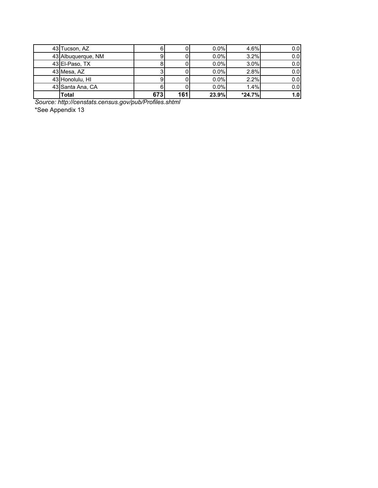| 43 Tucson, AZ      | 61  |     | 0.0%  | 4.6%     | 0.0 <sub>l</sub> |
|--------------------|-----|-----|-------|----------|------------------|
| 43 Albuquerque, NM | 91  |     | 0.0%  | 3.2%     | 0.0 <sub>l</sub> |
| 43 El-Paso, TX     |     |     | 0.0%  | 3.0%     | 0.0              |
| 43 Mesa, AZ        | رب  |     | 0.0%  | 2.8%     | 0.0              |
| 43 Honolulu, HI    |     |     | 0.0%  | 2.2%     | 0.0 <sub>l</sub> |
| 43 Santa Ana, CA   | 6   |     | 0.0%  | 1.4%     | 0.0              |
| <b>Total</b>       | 673 | 161 | 23.9% | $*24.7%$ | 1.0 <sub>l</sub> |

*Source: http://censtats.census.gov/pub/Profiles.shtml*

\*See Appendix 13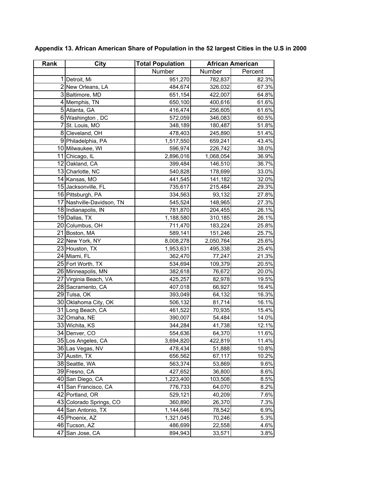| Rank | <b>City</b>               | <b>Total Population</b> |           | <b>African American</b> |  |
|------|---------------------------|-------------------------|-----------|-------------------------|--|
|      |                           | Number                  | Number    | Percent                 |  |
|      | 1 Detroit, Mi             | 951,270                 | 782,837   | 82.3%                   |  |
|      | 2 New Orleans, LA         | 484,674                 | 326,032   | 67.3%                   |  |
|      | 3 Baltimore, MD           | 651,154                 | 422,007   | 64.8%                   |  |
|      | 4 Memphis, TN             | 650,100                 | 400,616   | 61.6%                   |  |
|      | 5 Atlanta, GA             | 416,474                 | 256,605   | 61.6%                   |  |
|      | 6 Washington, DC          | 572,059                 | 346,083   | 60.5%                   |  |
|      | 7 St. Louis, MO           | 348,189                 | 180,487   | 51.8%                   |  |
|      | 8 Cleveland, OH           | 478,403                 | 245,890   | 51.4%                   |  |
|      | 9 Philadelphia, PA        | 1,517,550               | 659,241   | 43.4%                   |  |
|      | 10 Milwaukee, WI          | 596,974                 | 226,742   | 38.0%                   |  |
|      | 11 Chicago, IL            | 2,896,016               | 1,068,054 | 36.9%                   |  |
|      | 12 Oakland, CA            | 399,484                 | 146,510   | 36.7%                   |  |
|      | 13 Charlotte, NC          | 540,828                 | 178,699   | 33.0%                   |  |
|      | 14 Kansas, MO             | 441,545                 | 141,182   | 32.0%                   |  |
|      | 15 Jacksonville, FL       | 735,617                 | 215,484   | 29.3%                   |  |
|      | 16 Pittsburgh, PA         | 334,563                 | 93,132    | 27.8%                   |  |
|      | 17 Nashville-Davidson, TN | 545,524                 | 148,965   | 27.3%                   |  |
|      | 18 Indianapolis, IN       | 781,870                 | 204,455   | 26.1%                   |  |
|      | 19 Dallas, TX             | 1,188,580               | 310,185   | 26.1%                   |  |
|      | 20 Columbus, OH           | 711,470                 | 183,224   | 25.8%                   |  |
|      | 21 Boston, MA             | 589,141                 | 151,246   | 25.7%                   |  |
|      | 22 New York, NY           | 8,008,278               | 2,050,764 | 25.6%                   |  |
|      | 23 Houston, TX            | 1,953,631               | 495,338   | 25.4%                   |  |
|      | 24 Miami, FL              | 362,470                 | 77,247    | 21.3%                   |  |
|      | 25 Fort Worth, TX         | 534,694                 | 109,379   | 20.5%                   |  |
|      | 26 Minneapolis, MN        | 382,618                 | 76,672    | 20.0%                   |  |
|      | 27 Virginia Beach, VA     | 425,257                 | 82,978    | 19.5%                   |  |
|      | 28 Sacramento, CA         | 407,018                 | 66,927    | 16.4%                   |  |
|      | 29 Tulsa, OK              | 393,049                 | 64,132    | 16.3%                   |  |
|      | 30 Oklahoma City, OK      | 506,132                 | 81,714    | 16.1%                   |  |
|      | 31 Long Beach, CA         | 461,522                 | 70,935    | 15.4%                   |  |
|      | 32 Omaha, NE              | 390,007                 | 54,484    | 14.0%                   |  |
|      | 33 Wichita, KS            | 344,284                 | 41,738    | 12.1%                   |  |
|      | 34 Denver, CO             | 554,636                 | 64,370    | 11.6%                   |  |
|      | 35 Los Angeles, CA        | 3,694,820               | 422,819   | 11.4%                   |  |
|      | 36 Las Vegas, NV          | 478,434                 | 51,888    | 10.8%                   |  |
|      | 37 Austin, TX             | 656,562                 | 67,117    | 10.2%                   |  |
|      | 38 Seattle, WA            | 563,374                 | 53,869    | 9.6%                    |  |
|      | 39 Fresno, CA             | 427,652                 | 36,800    | 8.6%                    |  |
|      | 40 San Diego, CA          | 1,223,400               | 103,508   | 8.5%                    |  |
|      | 41 San Francisco, CA      | 776,733                 | 64,070    | 8.2%                    |  |
|      | 42 Portland, OR           | 529,121                 | 40,209    | 7.6%                    |  |
|      | 43 Colorado Springs, CO   | 360,890                 | 26,370    | 7.3%                    |  |
|      | 44 San Antonio, TX        | 1,144,646               | 78,542    | 6.9%                    |  |
|      | 45 Phoenix, AZ            | 1,321,045               | 70,246    | 5.3%                    |  |
|      | 46 Tucson, AZ             | 486,699                 | 22,558    | 4.6%                    |  |
|      | 47 San Jose, CA           | 894,943                 | 33,571    | 3.8%                    |  |

**Appendix 13. African American Share of Population in the 52 largest Cities in the U.S in 2000**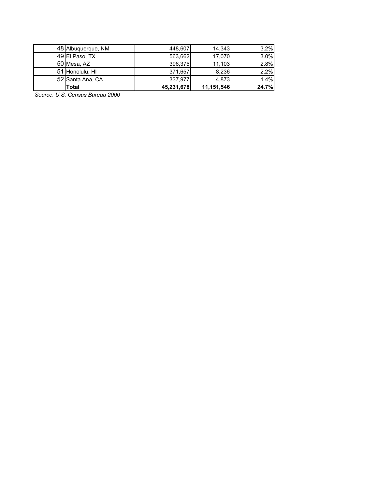| 48 Albuquerque, NM | 448,607    | 14.343     | 3.2%  |
|--------------------|------------|------------|-------|
| 49 El Paso, TX     | 563,662    | 17,070     | 3.0%  |
| 50 Mesa, AZ        | 396,375    | 11,103     | 2.8%  |
| 51 Honolulu, HI    | 371,657    | 8,236      | 2.2%  |
| 52 Santa Ana, CA   | 337,977    | 4.873      | 1.4%  |
| <b>Total</b>       | 45,231,678 | 11,151,546 | 24.7% |

*Source: U.S. Census Bureau 2000*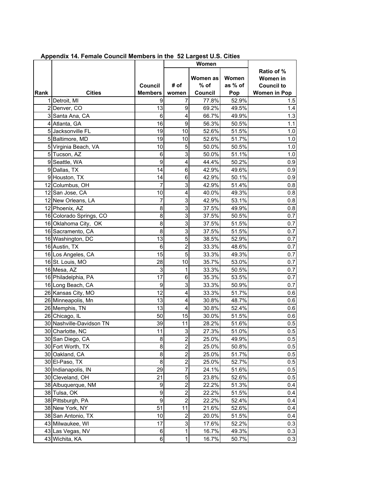|      |                          |                           |                           | Women              |                  |                                             |
|------|--------------------------|---------------------------|---------------------------|--------------------|------------------|---------------------------------------------|
|      |                          | Council                   | # of                      | Women as<br>$%$ of | Women<br>as % of | Ratio of %<br>Women in<br><b>Council to</b> |
| Rank | <b>Cities</b>            | <b>Members</b>            | women                     | Council            | Pop              | <b>Women in Pop</b>                         |
|      | 1 Detroit, MI            | 9                         | 7                         | 77.8%              | 52.9%            | 1.5                                         |
|      | 2 Denver, CO             | 13                        | 9                         | 69.2%              | 49.5%            | 1.4                                         |
|      | 3 Santa Ana, CA          | $\,6$                     | $\overline{\mathbf{4}}$   | 66.7%              | 49.9%            | $1.3$                                       |
|      | 4 Atlanta, GA            | 16                        | $\boldsymbol{9}$          | 56.3%              | 50.5%            | 1.1                                         |
|      | 5 Jacksonville FL        | 19                        | 10                        | 52.6%              | 51.5%            | 1.0                                         |
|      | 5 Baltimore, MD          | 19                        | 10                        | 52.6%              | 51.7%            | 1.0                                         |
|      | 5 Virginia Beach, VA     | 10                        | 5                         | 50.0%              | 50.5%            | 1.0                                         |
|      | 5 Tucson, AZ             | $\,6$                     | 3                         | 50.0%              | 51.1%            | 1.0                                         |
|      | 9 Seattle, WA            | 9                         | $\overline{\mathbf{4}}$   | 44.4%              | 50.2%            | 0.9                                         |
|      | 9 Dallas, TX             | 14                        | $\,6$                     | 42.9%              | 49.6%            | 0.9                                         |
|      | 9 Houston, TX            | 14                        | $\,6$                     | 42.9%              | 50.1%            | 0.9                                         |
|      | 12 Columbus, OH          | 7                         | $\ensuremath{\mathsf{3}}$ | 42.9%              | 51.4%            | 0.8                                         |
|      | 12 San Jose, CA          | 10                        | $\overline{\mathbf{4}}$   | 40.0%              | 49.3%            | 0.8                                         |
|      | 12 New Orleans, LA       | 7                         | 3                         | 42.9%              | 53.1%            | 0.8                                         |
|      | 12 Phoenix, AZ           | 8                         | $\mathsf 3$               | 37.5%              | 49.9%            | 0.8                                         |
|      | 16 Colorado Springs, CO  | 8                         | 3                         | 37.5%              | 50.5%            | 0.7                                         |
|      | 16 Oklahoma City, OK     | 8                         | 3                         | 37.5%              | 51.5%            | 0.7                                         |
|      | 16 Sacramento, CA        | 8                         | 3                         | 37.5%              | 51.5%            | 0.7                                         |
|      | 16 Washington, DC        | 13                        | 5                         | 38.5%              | 52.9%            | 0.7                                         |
|      | 16 Austin, TX            | 6                         | $\overline{c}$            | 33.3%              | 48.6%            | 0.7                                         |
|      | 16 Los Angeles, CA       | 15                        | $\overline{5}$            | 33.3%              | 49.3%            | 0.7                                         |
|      | 16 St. Louis, MO         | 28                        | 10                        | 35.7%              | 53.0%            | 0.7                                         |
|      | 16 Mesa, AZ              | $\ensuremath{\mathsf{3}}$ | $\mathbf{1}$              | 33.3%              | 50.5%            | 0.7                                         |
|      | 16 Philadelphia, PA      | 17                        | 6                         | 35.3%              | 53.5%            | 0.7                                         |
|      | 16 Long Beach, CA        | 9                         | 3                         | 33.3%              | 50.9%            | 0.7                                         |
|      | 26 Kansas City, MO       | 12                        | $\overline{\mathbf{4}}$   | 33.3%              | 51.7%            | 0.6                                         |
|      | 26 Minneapolis, Mn       | 13                        | $\overline{\mathbf{4}}$   | 30.8%              | 48.7%            | 0.6                                         |
|      | 26 Memphis, TN           | 13                        | $\overline{\mathbf{4}}$   | 30.8%              | 52.4%            | 0.6                                         |
|      | 26 Chicago, IL           | 50                        | 15                        | 30.0%              | 51.5%            | 0.6                                         |
|      | 30 Nashville-Davidson TN | 39                        | 11                        | 28.2%              | 51.6%            | 0.5                                         |
|      | 30 Charlotte, NC         | 11                        | $\mathbf{3}$              | 27.3%              | 51.0%            | 0.5                                         |
|      | 30 San Diego, CA         | 8                         | $\overline{a}$            | 25.0%              | 49.9%            | 0.5                                         |
|      | 30 Fort Worth, TX        | 8                         | $\overline{c}$            | 25.0%              | 50.8%            | 0.5                                         |
|      | 30 Oakland, CA           | 8                         | $\overline{c}$            | 25.0%              | 51.7%            | 0.5                                         |
|      | 30 El-Paso, TX           | 8                         | $\overline{\mathbf{c}}$   | 25.0%              | 52.7%            | 0.5                                         |
|      | 30 Indianapolis, IN      | 29                        | $\overline{\mathcal{I}}$  | 24.1%              | 51.6%            | 0.5                                         |
|      | 30 Cleveland, OH         | 21                        | 5                         | 23.8%              | 52.6%            | 0.5                                         |
|      | 38 Albuquerque, NM       | 9                         | $\overline{\mathbf{c}}$   | 22.2%              | 51.3%            | 0.4                                         |
|      | 38 Tulsa, OK             | 9                         | $\mathbf 2$               | 22.2%              | 51.5%            | 0.4                                         |
|      | 38 Pittsburgh, PA        | $\boldsymbol{9}$          | $\overline{2}$            | 22.2%              | 52.4%            | 0.4                                         |
|      | 38 New York, NY          | 51                        | 11                        | 21.6%              | 52.6%            | 0.4                                         |
|      | 38 San Antonio, TX       | 10                        | $\boldsymbol{2}$          | 20.0%              | 51.5%            | 0.4                                         |
|      | 43 Milwaukee, WI         | 17                        | $\mathbf 3$               | 17.6%              | 52.2%            | 0.3                                         |
|      | 43 Las Vegas, NV         | 6                         | 1                         | 16.7%              | 49.3%            | 0.3                                         |
|      | 43 Wichita, KA           | 6                         | $\mathbf{1}$              | 16.7%              | 50.7%            | 0.3                                         |

 **Appendix 14. Female Council Members in the 52 Largest U.S. Cities**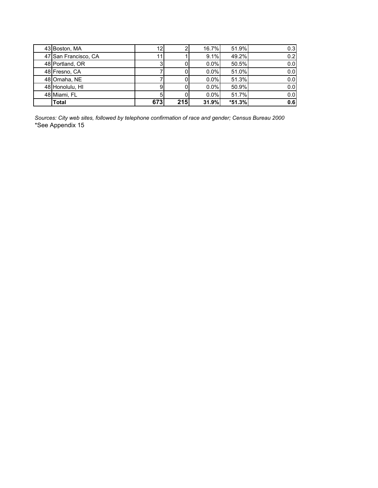| 43 Boston, MA        | 12              |     | 16.7%   | 51.9%    | 0.3              |
|----------------------|-----------------|-----|---------|----------|------------------|
| 47 San Francisco, CA | 11 <sub>1</sub> |     | 9.1%    | 49.2%    | 0.2 <sub>l</sub> |
| 48 Portland, OR      | 3               |     | $0.0\%$ | 50.5%    | 0.0              |
| 48 Fresno, CA        |                 |     | 0.0%    | 51.0%    | 0.0              |
| 48 Omaha, NE         |                 |     | 0.0%    | 51.3%    | 0.0              |
| 48 Honolulu, HI      | 9               |     | $0.0\%$ | 50.9%    | 0.0              |
| 48 Miami, FL         | 5               |     | 0.0%    | 51.7%    | 0.0              |
| <b>Total</b>         | 673             | 215 | 31.9%   | $*51.3%$ | 0.6              |

*Sources: City web sites, followed by telephone confirmation of race and gender; Census Bureau 2000* \*See Appendix 15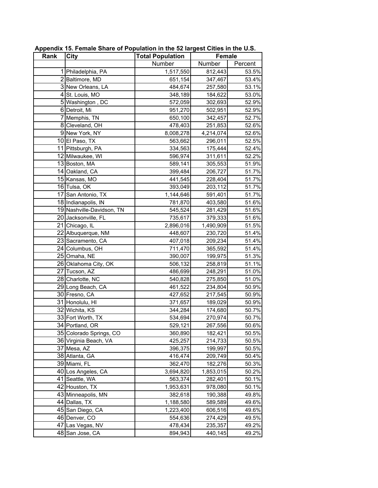| Rank | <b>City</b>               | <b>Total Population</b> | <b>Female</b> |         |
|------|---------------------------|-------------------------|---------------|---------|
|      |                           | Number                  | Number        | Percent |
|      | 1 Philadelphia, PA        | 1,517,550               | 812,443       | 53.5%   |
|      | 2 Baltimore, MD           | 651,154                 | 347,467       | 53.4%   |
|      | 3 New Orleans, LA         | 484,674                 | 257,580       | 53.1%   |
|      | 4 St. Louis, MO           | 348,189                 | 184,622       | 53.0%   |
|      | 5 Washington, DC          | 572,059                 | 302,693       | 52.9%   |
|      | 6 Detroit, Mi             | 951,270                 | 502,951       | 52.9%   |
|      | 7 Memphis, TN             | 650,100                 | 342,457       | 52.7%   |
|      | 8 Cleveland, OH           | 478,403                 | 251,853       | 52.6%   |
|      | 9 New York, NY            | 8,008,278               | 4,214,074     | 52.6%   |
|      | 10El Paso, TX             | 563,662                 | 296,011       | 52.5%   |
|      | 11 Pittsburgh, PA         | 334,563                 | 175,444       | 52.4%   |
|      | 12 Milwaukee, WI          | 596,974                 | 311,611       | 52.2%   |
|      | 13 Boston, MA             | 589,141                 | 305,553       | 51.9%   |
|      | 14 Oakland, CA            | 399,484                 | 206,727       | 51.7%   |
|      | 15 Kansas, MO             | 441,545                 | 228,404       | 51.7%   |
|      | 16 Tulsa, OK              | 393,049                 | 203,112       | 51.7%   |
|      | 17 San Antonio, TX        | 1,144,646               | 591,401       | 51.7%   |
|      | 18 Indianapolis, IN       | 781,870                 | 403,580       | 51.6%   |
|      | 19 Nashville-Davidson, TN | 545,524                 | 281,429       | 51.6%   |
|      | 20 Jacksonville, FL       | 735,617                 | 379,333       | 51.6%   |
|      | 21 Chicago, IL            | 2,896,016               | 1,490,909     | 51.5%   |
|      | 22 Albuquerque, NM        | 448,607                 | 230,720       | 51.4%   |
|      | 23 Sacramento, CA         | 407,018                 | 209,234       | 51.4%   |
|      | 24 Columbus, OH           | 711,470                 | 365,592       | 51.4%   |
|      | 25 Omaha, NE              | 390,007                 | 199,975       | 51.3%   |
|      | 26 Oklahoma City, OK      | 506,132                 | 258,819       | 51.1%   |
|      | 27 Tucson, AZ             | 486,699                 | 248,291       | 51.0%   |
|      | 28 Charlotte, NC          | 540,828                 | 275,850       | 51.0%   |
|      | 29 Long Beach, CA         | 461,522                 | 234,804       | 50.9%   |
|      | 30 Fresno, CA             | 427,652                 | 217,545       | 50.9%   |
|      | 31 Honolulu, HI           | 371,657                 | 189,029       | 50.9%   |
|      | 32 Wichita, KS            | 344,284                 | 174,680       | 50.7%   |
|      | 33 Fort Worth, TX         | 534,694                 | 270,974       | 50.7%   |
|      | 34 Portland, OR           | 529,121                 | 267,556       | 50.6%   |
|      | 35 Colorado Springs, CO   | 360,890                 | 182,421       | 50.5%   |
|      | 36 Virginia Beach, VA     | 425,257                 | 214,733       | 50.5%   |
|      | 37 Mesa, AZ               | 396,375                 | 199,997       | 50.5%   |
|      | 38 Atlanta, GA            | 416,474                 | 209,749       | 50.4%   |
|      | 39 Miami, FL              | 362,470                 | 182,276       | 50.3%   |
|      | 40 Los Angeles, CA        | 3,694,820               | 1,853,015     | 50.2%   |
|      | 41 Seattle, WA            | 563,374                 | 282,401       | 50.1%   |
|      | 42 Houston, TX            | 1,953,631               | 978,080       | 50.1%   |
|      | 43 Minneapolis, MN        | 382,618                 | 190,388       | 49.8%   |
|      | 44 Dallas, TX             | 1,188,580               | 589,589       | 49.6%   |
|      | 45 San Diego, CA          | 1,223,400               | 606,516       | 49.6%   |
|      | 46 Denver, CO             | 554,636                 | 274,429       | 49.5%   |
|      | 47 Las Vegas, NV          | 478,434                 | 235,357       | 49.2%   |
|      | 48 San Jose, CA           | 894,943                 | 440,145       | 49.2%   |

**Appendix 15. Female Share of Population in the 52 largest Cities in the U.S.**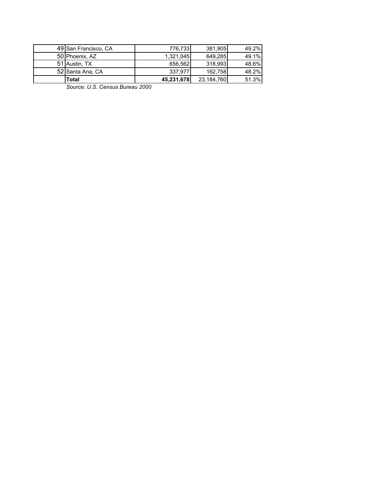| 49 San Francisco, CA | 776.733    | 381.905    | 49.2% |
|----------------------|------------|------------|-------|
| 50 Phoenix, AZ       | 1.321.045  | 649.285    | 49.1% |
| 51 Austin, TX        | 656.562    | 318.993    | 48.6% |
| 52 Santa Ana, CA     | 337.977    | 162.758    | 48.2% |
| Total                | 45,231,678 | 23,184,760 | 51.3% |

*Source: U.S. Census Bureau 2000*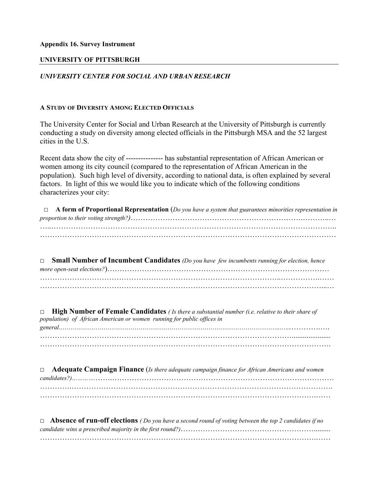## **Appendix 16. Survey Instrument**

## **UNIVERSITY OF PITTSBURGH**

## *UNIVERSITY CENTER FOR SOCIAL AND URBAN RESEARCH*

## **A STUDY OF DIVERSITY AMONG ELECTED OFFICIALS**

The University Center for Social and Urban Research at the University of Pittsburgh is currently conducting a study on diversity among elected officials in the Pittsburgh MSA and the 52 largest cities in the U.S.

Recent data show the city of --------------- has substantial representation of African American or women among its city council (compared to the representation of African American in the population). Such high level of diversity, according to national data, is often explained by several factors. In light of this we would like you to indicate which of the following conditions characterizes your city:

 □ **A form of Proportional Representation** (*Do you have a system that guarantees minorities representation in proportion to their voting strength?)*…………………………………………………………….………..… …..…………………………………………………………………………………………………….. …………………………………………………………………………………………………………

□ **Small Number of Incumbent Candidates** *(Do you have few incumbents running for election, hence more open-seat elections?*)……………………………………………………………………………… ……………………………………………………………………………………..…………….……

□ **High Number of Female Candidates** *( Is there a substantial number (i.e. relative to their share of population) of African American or women running for public offices in general*.……………………………………………………………………………………………..…..………….…. ………………………………………………………………………………………….....................

……………………………………………………………………………………………………….

□ **Adequate Campaign Finance** (*Is there adequate campaign finance for African Americans and women candidates?)………….*…….……………………………………………………………………………… ………….…………………………………………………………………………………………….

| $\Box$ <b>Absence of run-off elections</b> (Do you have a second round of voting between the top 2 candidates if no |
|---------------------------------------------------------------------------------------------------------------------|
|                                                                                                                     |
|                                                                                                                     |